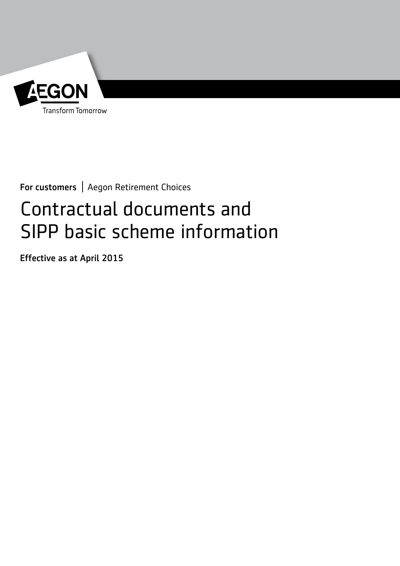

For customers | Aegon Retirement Choices

# Contractual documents and SIPP basic scheme information

Effective as at April 2015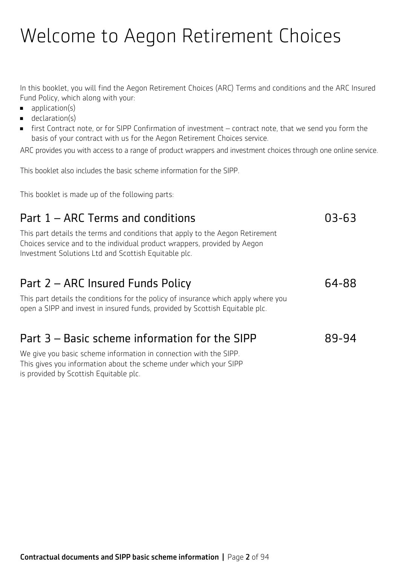# Welcome to Aegon Retirement Choices

In this booklet, you will find the Aegon Retirement Choices (ARC) Terms and conditions and the ARC Insured Fund Policy, which along with your:

- $\Box$  application(s)
- $\blacksquare$  declaration(s)
- <sup>n</sup> first Contract note, or for SIPP Confirmation of investment contract note, that we send you form the basis of your contract with us for the Aegon Retirement Choices service.

ARC provides you with access to a range of product wrappers and investment choices through one online service.

This booklet also includes the basic scheme information for the SIPP.

This booklet is made up of the following parts:

# Part 1 – ARC Terms and conditions **03-63** This part details the terms and conditions that apply to the Aegon Retirement Choices service and to the individual product wrappers, provided by Aegon Investment Solutions Ltd and Scottish Equitable plc. Part 2 – ARC Insured Funds Policy **64-88** This part details the conditions for the policy of insurance which apply where you open a SIPP and invest in insured funds, provided by Scottish Equitable plc. Part  $3 -$  Basic scheme information for the SIPP  $89-94$ We give you basic scheme information in connection with the SIPP. This gives you information about the scheme under which your SIPP is provided by Scottish Equitable plc.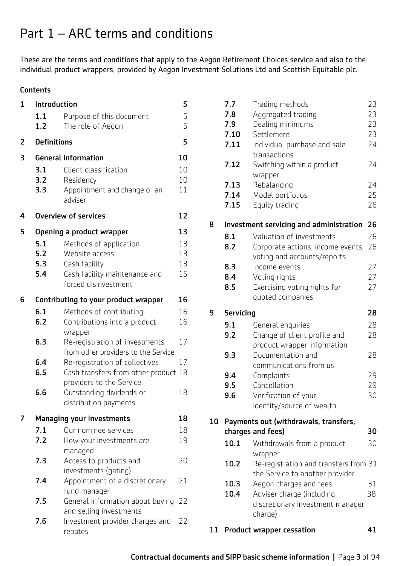# Part 1 – ARC terms and conditions

These are the terms and conditions that apply to the Aegon Retirement Choices service and also to the individual product wrappers, provided by Aegon Investment Solutions Ltd and Scottish Equitable plc.

# **Contents**

| 1 | Introduction                      |                                                                                                                    |                      |
|---|-----------------------------------|--------------------------------------------------------------------------------------------------------------------|----------------------|
|   | 1.1<br>1.2                        | Purpose of this document<br>The role of Aegon                                                                      | 5<br>5               |
| 2 | <b>Definitions</b><br>5           |                                                                                                                    |                      |
| 3 | <b>General information</b><br>10  |                                                                                                                    |                      |
|   | 3.1<br>3.2<br>3.3                 | Client classification<br>Residency<br>Appointment and change of an<br>adviser                                      | 10<br>10<br>11       |
| 4 | <b>Overview of services</b><br>12 |                                                                                                                    |                      |
| 5 | Opening a product wrapper         |                                                                                                                    |                      |
|   | 5.1<br>5.2<br>5.3<br>5.4          | Methods of application<br>Website access<br>Cash facility<br>Cash facility maintenance and<br>forced disinvestment | 13<br>13<br>13<br>15 |
| 6 |                                   | Contributing to your product wrapper                                                                               | 16                   |
|   | 6.1                               | Methods of contributing                                                                                            | 16                   |
|   | 6.2                               | Contributions into a product                                                                                       | 16                   |
|   | 6.3                               | wrapper<br>Re-registration of investments<br>from other providers to the Service                                   | 17                   |
|   | 6.4                               | Re-registration of collectives                                                                                     | 17                   |
|   | 6.5                               | Cash transfers from other product                                                                                  | 18                   |
|   | 6.6                               | providers to the Service<br>Outstanding dividends or<br>distribution payments                                      | 18                   |
| 7 |                                   | <b>Managing your investments</b>                                                                                   | 18                   |
|   | 7.1                               | Our nominee services                                                                                               | 18                   |
|   | 7.2                               | How your investments are<br>managed                                                                                | 19                   |
|   | 7.3                               | Access to products and<br>investments (gating)                                                                     | 20                   |
|   | 7.4                               | Appointment of a discretionary<br>fund manager                                                                     | 21                   |
|   | 7.5                               | General information about buying<br>and selling investments                                                        | 22                   |
|   | 7.6                               | Investment provider charges and<br>rebates                                                                         | 22                   |

|    | 7.7<br>7.8       | Trading methods<br>Aggregated trading                                    | 23<br>23 |
|----|------------------|--------------------------------------------------------------------------|----------|
|    | 7.9              | Dealing minimums                                                         | 23       |
|    | 7.10             | Settlement                                                               | 23       |
|    | 7.11             | Individual purchase and sale<br>transactions                             | 24       |
|    | 7.12             | Switching within a product<br>wrapper                                    | 24       |
|    | 7.13             | Rebalancing                                                              | 24       |
|    | 7.14             | Model portfolios                                                         | 25       |
|    | 7.15             | Equity trading                                                           | 26       |
| 8  |                  | Investment servicing and administration                                  | 26       |
|    | 8.1              | Valuation of investments                                                 | 26       |
|    | 8.2              | Corporate actions, income events,<br>voting and accounts/reports         | 26       |
|    | 8.3              | Income events                                                            | 27       |
|    | 8.4              | Voting rights                                                            | 27       |
|    | 8.5              | Exercising voting rights for<br>quoted companies                         | 27       |
| 9  | <b>Servicing</b> |                                                                          | 28       |
|    | 9.1              | General enquiries                                                        | 28       |
|    | 9.2              | Change of client profile and<br>product wrapper information              | 28       |
|    | 9.3              | Documentation and<br>communications from us                              | 28       |
|    | 9.4              | Complaints                                                               | 29       |
|    | 9.5              | Cancellation                                                             | 29       |
|    | 9.6              | Verification of your                                                     | 30       |
|    |                  | identity/source of wealth                                                |          |
| 10 |                  | Payments out (withdrawals, transfers,<br>charges and fees)               | 30       |
|    | 10.1             | Withdrawals from a product<br>wrapper                                    | 30       |
|    | 10.2             | Re-registration and transfers from 31<br>the Service to another provider |          |
|    | 10.3             | Aegon charges and fees                                                   | 31       |
|    | 10.4             | Adviser charge (including<br>discretionary investment manager<br>charge) | 38       |
| 11 |                  | <b>Product wrapper cessation</b>                                         | 41       |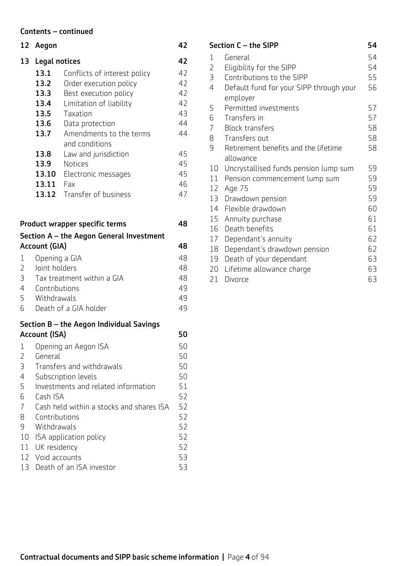#### Contents – continued

|                | 12 Aegon                                 |                                          | 42 |
|----------------|------------------------------------------|------------------------------------------|----|
| 13             | <b>Legal notices</b>                     |                                          | 42 |
|                | 13.1                                     | Conflicts of interest policy             | 42 |
|                | 13.2                                     | Order execution policy                   | 42 |
|                | 13.3                                     | Best execution policy                    | 42 |
|                | 13.4                                     | Limitation of liability                  | 42 |
|                | 13.5                                     | Taxation                                 | 43 |
|                | 13.6                                     | Data protection                          | 44 |
|                | 13.7                                     | Amendments to the terms                  | 44 |
|                |                                          | and conditions                           |    |
|                | 13.8                                     | Law and jurisdiction                     | 45 |
|                | 13.9                                     | <b>Notices</b>                           | 45 |
|                | 13.10                                    | Electronic messages                      | 45 |
|                | 13.11 Fax                                |                                          | 46 |
|                |                                          | 13.12 Transfer of business               | 47 |
|                |                                          |                                          |    |
|                |                                          | Product wrapper specific terms           | 48 |
|                |                                          |                                          |    |
|                |                                          | Section A - the Aegon General Investment |    |
|                | Account (GIA)                            |                                          | 48 |
| $\mathbf{1}$   | Opening a GIA                            |                                          | 48 |
| $\overline{2}$ | Joint holders                            |                                          | 48 |
| 3              |                                          | Tax treatment within a GIA               | 48 |
| $\overline{4}$ | Contributions                            |                                          | 49 |
| 5              | Withdrawals                              |                                          | 49 |
| 6              |                                          | Death of a GIA holder                    | 49 |
|                |                                          | Section B - the Aegon Individual Savings |    |
|                | Account (ISA)                            |                                          | 50 |
| 1              |                                          | Opening an Aegon ISA                     | 50 |
| 2              | General                                  |                                          | 50 |
| 3              | Transfers and withdrawals                |                                          | 50 |
| 4              | Subscription levels                      |                                          | 50 |
| 5              | Investments and related information      |                                          | 51 |
| 6              | Cash ISA                                 |                                          | 52 |
| 7              | Cash held within a stocks and shares ISA |                                          | 52 |
| 8              | Contributions                            |                                          | 52 |
| 9              | Withdrawals                              |                                          | 52 |
| 10             |                                          | ISA application policy                   | 52 |
| 11             | UK residency                             |                                          | 52 |
| 12             | Void accounts                            |                                          | 53 |
| 13             |                                          | Death of an ISA investor                 | 53 |

| Section C - the SIPP<br>54 |                                         |    |
|----------------------------|-----------------------------------------|----|
| 1                          | General                                 | 54 |
| $\overline{2}$             | Eligibility for the SIPP                | 54 |
| 3                          | Contributions to the SIPP               | 55 |
| 4                          | Default fund for your SIPP through your | 56 |
|                            | employer                                |    |
| 5                          | Permitted investments                   | 57 |
| 6                          | Transfers in                            | 57 |
| $\overline{7}$             | <b>Block transfers</b>                  | 58 |
| 8                          | Transfers out                           | 58 |
| 9                          | Retirement benefits and the lifetime    | 58 |
|                            | allowance                               |    |
| 10                         | Uncrystallised funds pension lump sum   | 59 |
| 11                         | Pension commencement lump sum           | 59 |
| 12                         | Age 75                                  | 59 |
| 13                         | Drawdown pension                        | 59 |
| 14                         | Flexible drawdown                       | 60 |
| 15                         | Annuity purchase                        | 61 |
| 16                         | Death benefits                          | 61 |
| 17                         | Dependant's annuity                     | 62 |
| 18                         | Dependant's drawdown pension            | 62 |
| 19                         | Death of your dependant                 | 63 |
| 20                         | Lifetime allowance charge               | 63 |
| 21                         | Divorce                                 | 63 |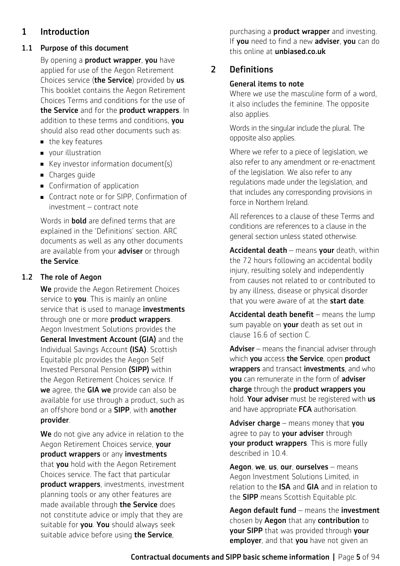# 1 Introduction

# 1.1 Purpose of this document

By opening a **product wrapper**, you have applied for use of the Aegon Retirement Choices service (the Service) provided by us. This booklet contains the Aegon Retirement Choices Terms and conditions for the use of the Service and for the product wrappers. In addition to these terms and conditions, you should also read other documents such as:

- $\blacksquare$  the key features
- vour illustration
- Key investor information document(s)
- $\blacksquare$  Charges guide
- $\blacksquare$  Confirmation of application
- Contract note or for SIPP, Confirmation of investment – contract note

Words in **bold** are defined terms that are explained in the 'Definitions' section. ARC documents as well as any other documents are available from your **adviser** or through the Service.

# 1.2 The role of Aegon

We provide the Aegon Retirement Choices service to **you**. This is mainly an online service that is used to manage investments through one or more product wrappers. Aegon Investment Solutions provides the General Investment Account (GIA) and the Individual Savings Account (ISA). Scottish Equitable plc provides the Aegon Self Invested Personal Pension (SIPP) within the Aegon Retirement Choices service. If we agree, the GIA we provide can also be available for use through a product, such as an offshore bond or a **SIPP**, with **another** provider.

We do not give any advice in relation to the Aegon Retirement Choices service, your product wrappers or any investments that **you** hold with the Aegon Retirement Choices service. The fact that particular product wrappers, investments, investment planning tools or any other features are made available through the Service does not constitute advice or imply that they are suitable for you. You should always seek suitable advice before using the Service,

purchasing a **product wrapper** and investing. If you need to find a new adviser, you can do this online at [unbiased.co.uk](http://unbiased.co.uk)

# 2 Definitions

# General items to note

Where we use the masculine form of a word, it also includes the feminine. The opposite also applies.

Words in the singular include the plural. The opposite also applies.

Where we refer to a piece of legislation, we also refer to any amendment or re-enactment of the legislation. We also refer to any regulations made under the legislation, and that includes any corresponding provisions in force in Northern Ireland.

All references to a clause of these Terms and conditions are references to a clause in the general section unless stated otherwise.

Accidental death – means your death, within the 72 hours following an accidental bodily injury, resulting solely and independently from causes not related to or contributed to by any illness, disease or physical disorder that you were aware of at the start date.

Accidental death benefit  $-$  means the lump sum payable on your death as set out in clause 16.6 of section C.

Adviser – means the financial adviser through which you access the Service, open product wrappers and transact investments, and who you can remunerate in the form of adviser charge through the product wrappers you hold. Your adviser must be registered with us and have appropriate FCA authorisation.

Adviser charge – means money that you agree to pay to your adviser through your product wrappers. This is more fully described in 10.4.

Aegon, we, us, our, ourselves – means Aegon Investment Solutions Limited, in relation to the ISA and GIA and in relation to the **SIPP** means Scottish Equitable plc.

Aegon default fund – means the investment chosen by **Aegon** that any **contribution** to your SIPP that was provided through your employer, and that you have not given an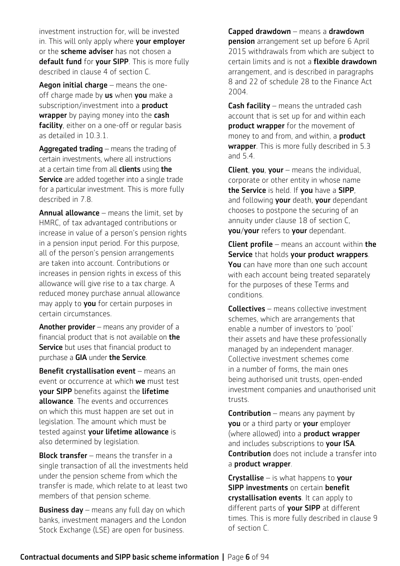investment instruction for, will be invested in. This will only apply where your employer or the scheme adviser has not chosen a default fund for your SIPP. This is more fully described in clause 4 of section C.

Aegon initial charge – means the oneoff charge made by us when you make a subscription/investment into a **product wrapper** by paying money into the **cash** facility, either on a one-off or regular basis as detailed in 10.3.1.

**Aggregated trading** – means the trading of certain investments, where all instructions at a certain time from all **clients** using the **Service** are added together into a single trade for a particular investment. This is more fully described in 7.8.

**Annual allowance** – means the limit, set by HMRC, of tax advantaged contributions or increase in value of a person's pension rights in a pension input period. For this purpose, all of the person's pension arrangements are taken into account. Contributions or increases in pension rights in excess of this allowance will give rise to a tax charge. A reduced money purchase annual allowance may apply to you for certain purposes in certain circumstances.

**Another provider** – means any provider of a financial product that is not available on **the Service** but uses that financial product to purchase a GIA under the Service.

Benefit crystallisation event - means an event or occurrence at which we must test your SIPP benefits against the lifetime **allowance**. The events and occurrences on which this must happen are set out in legislation. The amount which must be tested against your lifetime allowance is also determined by legislation.

Block transfer – means the transfer in a single transaction of all the investments held under the pension scheme from which the transfer is made, which relate to at least two members of that pension scheme.

**Business day** – means any full day on which banks, investment managers and the London Stock Exchange (LSE) are open for business.

Capped drawdown – means a drawdown **pension** arrangement set up before 6 April 2015 withdrawals from which are subject to certain limits and is not a flexible drawdown arrangement, and is described in paragraphs 8 and 22 of schedule 28 to the Finance Act 2004.

**Cash facility** – means the untraded cash account that is set up for and within each product wrapper for the movement of money to and from, and within, a **product wrapper**. This is more fully described in 5.3 and 5.4.

**Client, you, your** – means the individual, corporate or other entity in whose name the Service is held. If you have a SIPP, and following your death, your dependant chooses to postpone the securing of an annuity under clause 18 of section C, you/your refers to your dependant.

**Client profile** – means an account within the Service that holds your product wrappers. You can have more than one such account with each account being treated separately for the purposes of these Terms and conditions.

Collectives – means collective investment schemes, which are arrangements that enable a number of investors to 'pool' their assets and have these professionally managed by an independent manager. Collective investment schemes come in a number of forms, the main ones being authorised unit trusts, open-ended investment companies and unauthorised unit trusts.

**Contribution** – means any payment by you or a third party or your employer (where allowed) into a product wrapper and includes subscriptions to your ISA. Contribution does not include a transfer into a product wrapper.

**Crystallise**  $-$  is what happens to your **SIPP investments** on certain benefit crystallisation events. It can apply to different parts of your SIPP at different times. This is more fully described in clause 9 of section C.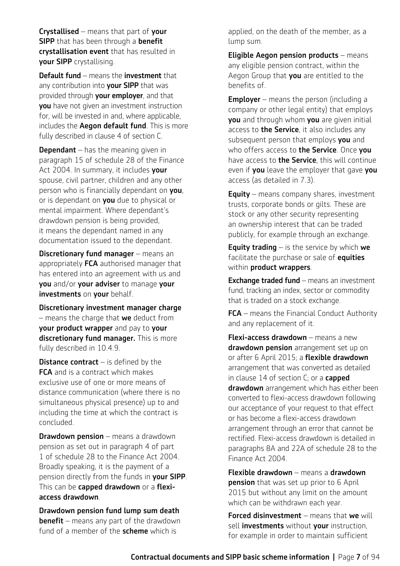Crystallised – means that part of your **SIPP** that has been through a **benefit** crystallisation event that has resulted in your SIPP crystallising.

Default fund – means the investment that any contribution into **your SIPP** that was provided through your employer, and that you have not given an investment instruction for, will be invested in and, where applicable, includes the **Aegon default fund**. This is more fully described in clause 4 of section C.

**Dependant** – has the meaning given in paragraph 15 of schedule 28 of the Finance Act 2004. In summary, it includes your spouse, civil partner, children and any other person who is financially dependant on you, or is dependant on you due to physical or mental impairment. Where dependant's drawdown pension is being provided, it means the dependant named in any documentation issued to the dependant.

Discretionary fund manager - means an appropriately FCA authorised manager that has entered into an agreement with us and you and/or your adviser to manage your investments on your behalf.

Discretionary investment manager charge  $-$  means the charge that we deduct from your product wrapper and pay to your discretionary fund manager. This is more fully described in 10.4.9.

**Distance contract**  $-$  is defined by the **FCA** and is a contract which makes exclusive use of one or more means of distance communication (where there is no simultaneous physical presence) up to and including the time at which the contract is concluded.

**Drawdown pension** – means a drawdown pension as set out in paragraph 4 of part 1 of schedule 28 to the Finance Act 2004. Broadly speaking, it is the payment of a pension directly from the funds in your SIPP. This can be capped drawdown or a flexiaccess drawdown.

Drawdown pension fund lump sum death **benefit** – means any part of the drawdown fund of a member of the **scheme** which is

applied, on the death of the member, as a lump sum.

Eligible Aegon pension products – means any eligible pension contract, within the Aegon Group that you are entitled to the benefits of.

**Employer** – means the person (including a company or other legal entity) that employs you and through whom you are given initial access to the Service, it also includes any subsequent person that employs you and who offers access to **the Service**. Once you have access to **the Service**, this will continue even if you leave the employer that gave you access (as detailed in 7.3).

**Equity** – means company shares, investment trusts, corporate bonds or gilts. These are stock or any other security representing an ownership interest that can be traded publicly, for example through an exchange.

**Equity trading**  $-$  is the service by which we facilitate the purchase or sale of **equities** within **product wrappers**.

**Exchange traded fund** – means an investment fund, tracking an index, sector or commodity that is traded on a stock exchange.

FCA – means the Financial Conduct Authority and any replacement of it.

Flexi-access drawdown – means a new drawdown pension arrangement set up on or after 6 April 2015; a flexible drawdown arrangement that was converted as detailed in clause  $14$  of section C; or a capped drawdown arrangement which has either been converted to flexi-access drawdown following our acceptance of your request to that effect or has become a flexi-access drawdown arrangement through an error that cannot be rectified. Flexi-access drawdown is detailed in paragraphs 8A and 22A of schedule 28 to the Finance Act 2004.

Flexible drawdown – means a drawdown **pension** that was set up prior to 6 April 2015 but without any limit on the amount which can be withdrawn each year.

Forced disinvestment – means that we will sell *investments* without your instruction, for example in order to maintain sufficient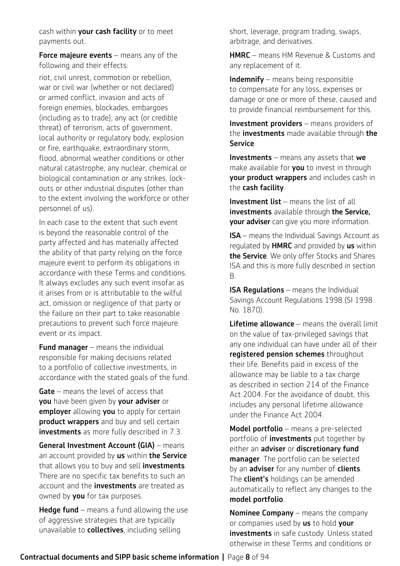cash within your cash facility or to meet payments out.

Force majeure events – means any of the following and their effects:

riot, civil unrest, commotion or rebellion, war or civil war (whether or not declared) or armed conflict, invasion and acts of foreign enemies, blockades, embargoes (including as to trade), any act (or credible threat) of terrorism, acts of government, local authority or regulatory body, explosion or fire, earthquake, extraordinary storm, flood, abnormal weather conditions or other natural catastrophe, any nuclear, chemical or biological contamination or any strikes, lockouts or other industrial disputes (other than to the extent involving the workforce or other personnel of us).

In each case to the extent that such event is beyond the reasonable control of the party affected and has materially affected the ability of that party relying on the force majeure event to perform its obligations in accordance with these Terms and conditions. It always excludes any such event insofar as it arises from or is attributable to the wilful act, omission or negligence of that party or the failure on their part to take reasonable precautions to prevent such force majeure event or its impact.

**Fund manager**  $-$  means the individual responsible for making decisions related to a portfolio of collective investments, in accordance with the stated goals of the fund.

Gate – means the level of access that **you** have been given by **your adviser** or employer allowing you to apply for certain product wrappers and buy and sell certain investments as more fully described in 7.3.

General Investment Account (GIA) – means an account provided by us within the Service that allows you to buy and sell *investments*. There are no specific tax benefits to such an account and the **investments** are treated as owned by you for tax purposes.

**Hedge fund** – means a fund allowing the use of aggressive strategies that are typically unavailable to **collectives**, including selling

short, leverage, program trading, swaps, arbitrage, and derivatives.

HMRC – means HM Revenue & Customs and any replacement of it.

**Indemnify** – means being responsible to compensate for any loss, expenses or damage or one or more of these, caused and to provide financial reimbursement for this.

Investment providers – means providers of the **investments** made available through the Service.

**Investments** – means any assets that  $we$ make available for you to invest in through your product wrappers and includes cash in the cash facility.

Investment list – means the list of all investments available through the Service. your adviser can give you more information.

ISA – means the Individual Savings Account as regulated by **HMRC** and provided by us within the Service. We only offer Stocks and Shares ISA and this is more fully described in section B.

**ISA Regulations** – means the Individual Savings Account Regulations 1998 (SI 1998 No. 1870).

Lifetime allowance - means the overall limit on the value of tax-privileged savings that any one individual can have under all of their registered pension schemes throughout their life. Benefits paid in excess of the allowance may be liable to a tax charge as described in section 214 of the Finance Act 2004. For the avoidance of doubt, this includes any personal lifetime allowance under the Finance Act 2004.

Model portfolio – means a pre-selected portfolio of *investments* put together by either an adviser or discretionary fund manager. The portfolio can be selected by an **adviser** for any number of **clients**. The **client's** holdings can be amended automatically to reflect any changes to the model portfolio.

**Nominee Company** – means the company or companies used by us to hold your investments in safe custody. Unless stated otherwise in these Terms and conditions or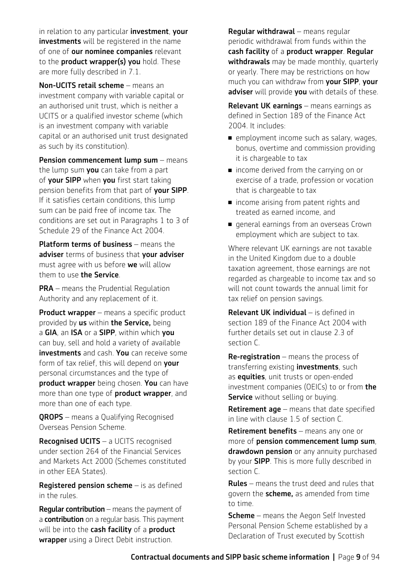in relation to any particular **investment**, your investments will be registered in the name of one of **our nominee companies** relevant to the **product wrapper(s) you** hold. These are more fully described in 7.1.

Non-UCITS retail scheme – means an investment company with variable capital or an authorised unit trust, which is neither a UCITS or a qualified investor scheme (which is an investment company with variable capital or an authorised unit trust designated as such by its constitution).

Pension commencement lump sum – means the lump sum you can take from a part of **your SIPP** when you first start taking pension benefits from that part of your SIPP. If it satisfies certain conditions, this lump sum can be paid free of income tax. The conditions are set out in Paragraphs 1 to 3 of Schedule 29 of the Finance Act 2004.

Platform terms of business – means the adviser terms of business that your adviser must agree with us before we will allow them to use the Service.

**PRA** – means the Prudential Regulation Authority and any replacement of it.

**Product wrapper** – means a specific product provided by us within the Service, being a GIA, an ISA or a SIPP, within which you can buy, sell and hold a variety of available investments and cash. You can receive some form of tax relief, this will depend on your personal circumstances and the type of product wrapper being chosen. You can have more than one type of **product wrapper**, and more than one of each type.

**QROPS** – means a Qualifying Recognised Overseas Pension Scheme.

Recognised UCITS – a UCITS recognised under section 264 of the Financial Services and Markets Act 2000 (Schemes constituted in other EEA States).

Registered pension scheme – is as defined in the rules.

**Reqular contribution** – means the payment of a **contribution** on a regular basis. This payment will be into the cash facility of a product **wrapper** using a Direct Debit instruction.

Regular withdrawal – means regular periodic withdrawal from funds within the cash facility of a product wrapper. Regular withdrawals may be made monthly, quarterly or yearly. There may be restrictions on how much you can withdraw from your SIPP, your adviser will provide you with details of these.

Relevant UK earnings – means earnings as defined in Section 189 of the Finance Act 2004. It includes:

- $\blacksquare$  employment income such as salary, wages, bonus, overtime and commission providing it is chargeable to tax
- income derived from the carrying on or exercise of a trade, profession or vocation that is chargeable to tax
- n income arising from patent rights and treated as earned income, and
- **n** general earnings from an overseas Crown employment which are subject to tax.

Where relevant UK earnings are not taxable in the United Kingdom due to a double taxation agreement, those earnings are not regarded as chargeable to income tax and so will not count towards the annual limit for tax relief on pension savings.

Relevant UK individual – is defined in section 189 of the Finance Act 2004 with further details set out in clause 2.3 of section C.

**Re-registration** – means the process of transferring existing **investments**, such as **equities**, unit trusts or open-ended investment companies (OEICs) to or from the **Service** without selling or buying.

Retirement age – means that date specified in line with clause 1.5 of section C.

Retirement benefits – means any one or more of pension commencement lump sum, drawdown pension or any annuity purchased by your **SIPP**. This is more fully described in section C.

**Rules** – means the trust deed and rules that govern the **scheme**, as amended from time to time.

**Scheme** – means the Aegon Self Invested Personal Pension Scheme established by a Declaration of Trust executed by Scottish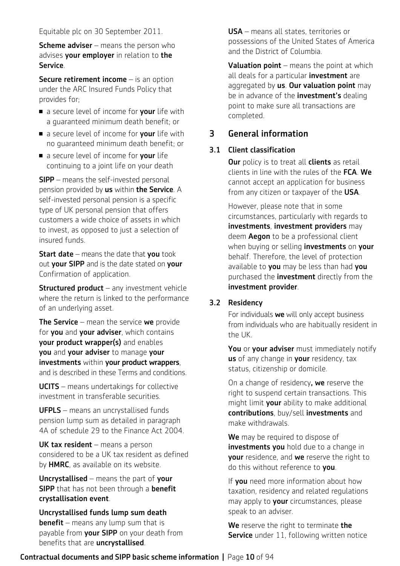#### Equitable plc on 30 September 2011.

**Scheme adviser** – means the person who advises your employer in relation to the Service.

Secure retirement income - is an option under the ARC Insured Funds Policy that provides for;

- a secure level of income for **your** life with a guaranteed minimum death benefit; or
- a secure level of income for **your** life with no guaranteed minimum death benefit; or
- a secure level of income for **your** life continuing to a joint life on your death

**SIPP** – means the self-invested personal pension provided by **us** within **the Service**. A self-invested personal pension is a specific type of UK personal pension that offers customers a wide choice of assets in which to invest, as opposed to just a selection of insured funds.

**Start date** – means the date that **vou** took out your SIPP and is the date stated on your Confirmation of application.

**Structured product**  $-$  any investment vehicle where the return is linked to the performance of an underlying asset.

The Service – mean the service we provide for you and your adviser, which contains your product wrapper(s) and enables you and your adviser to manage your investments within your product wrappers, and is described in these Terms and conditions.

UCITS – means undertakings for collective investment in transferable securities.

UFPLS – means an uncrystallised funds pension lump sum as detailed in paragraph 4A of schedule 29 to the Finance Act 2004.

UK tax resident - means a person considered to be a UK tax resident as defined by **HMRC**, as available on its website.

Uncrystallised – means the part of your **SIPP** that has not been through a **benefit** crystallisation event.

Uncrystallised funds lump sum death **benefit** – means any lump sum that is payable from your SIPP on your death from benefits that are uncrystallised.

USA – means all states, territories or possessions of the United States of America and the District of Columbia.

**Valuation point** – means the point at which all deals for a particular **investment** are aggregated by us. Our valuation point may be in advance of the **investment's** dealing point to make sure all transactions are completed.

# 3 General information

# 3.1 Client classification

**Our** policy is to treat all **clients** as retail clients in line with the rules of the FCA. We cannot accept an application for business from any citizen or taxpayer of the USA.

However, please note that in some circumstances, particularly with regards to investments, investment providers may deem **Aegon** to be a professional client when buying or selling **investments** on **your** behalf. Therefore, the level of protection available to you may be less than had you purchased the *investment* directly from the investment provider.

# 3.2 Residency

For individuals we will only accept business from individuals who are habitually resident in the UK.

You or your adviser must immediately notify us of any change in your residency, tax status, citizenship or domicile.

On a change of residency, we reserve the right to suspend certain transactions. This might limit **your** ability to make additional contributions, buy/sell investments and make withdrawals.

We may be required to dispose of investments you hold due to a change in your residence, and we reserve the right to do this without reference to vou.

If you need more information about how taxation, residency and related regulations may apply to **your** circumstances, please speak to an adviser.

We reserve the right to terminate the **Service** under 11, following written notice

# Contractual documents and SIPP basic scheme information **|** Page 10 of 94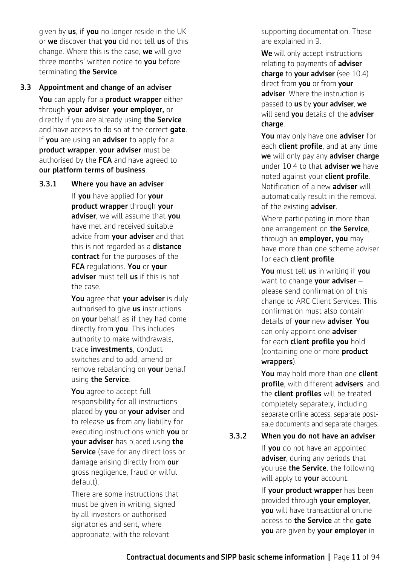given by **us**, if you no longer reside in the UK or we discover that you did not tell us of this change. Where this is the case, we will give three months' written notice to you before terminating the Service.

#### 3.3 Appointment and change of an adviser

You can apply for a product wrapper either through your adviser, your employer, or directly if you are already using the Service and have access to do so at the correct gate. If you are using an adviser to apply for a product wrapper, your adviser must be authorised by the FCA and have agreed to our platform terms of business.

3.3.1 Where you have an adviser

If you have applied for your product wrapper through your adviser, we will assume that you have met and received suitable advice from **your adviser** and that this is not regarded as a **distance** contract for the purposes of the FCA requlations. You or your adviser must tell us if this is not the case.

You agree that your adviser is duly authorised to give **us** instructions on your behalf as if they had come directly from you. This includes authority to make withdrawals, trade *investments*, conduct switches and to add, amend or remove rebalancing on your behalf using the Service.

You agree to accept full responsibility for all instructions placed by you or your adviser and to release **us** from any liability for executing instructions which you or your adviser has placed using the Service (save for any direct loss or damage arising directly from our gross negligence, fraud or wilful default).

There are some instructions that must be given in writing, signed by all investors or authorised signatories and sent, where appropriate, with the relevant

supporting documentation. These are explained in 9.

We will only accept instructions relating to payments of **adviser** charge to your adviser (see 10.4) direct from you or from your adviser. Where the instruction is passed to us by your adviser, we will send you details of the adviser charge.

You may only have one adviser for each **client profile**, and at any time we will only pay any adviser charge under 10.4 to that **adviser we** have noted against your **client profile**. Notification of a new **adviser** will automatically result in the removal of the existing adviser.

Where participating in more than one arrangement on the Service, through an **employer, you** may have more than one scheme adviser for each client profile.

You must tell us in writing if you want to change your adviser  $$ please send confirmation of this change to ARC Client Services. This confirmation must also contain details of your new adviser. You can only appoint one **adviser** for each client profile you hold (containing one or more product wrappers).

You may hold more than one client profile, with different advisers, and the client profiles will be treated completely separately, including separate online access, separate postsale documents and separate charges.

#### 3.3.2 When you do not have an adviser

If **you** do not have an appointed adviser, during any periods that you use **the Service**, the following will apply to your account.

If your product wrapper has been provided through your employer, you will have transactional online access to the Service at the gate you are given by your employer in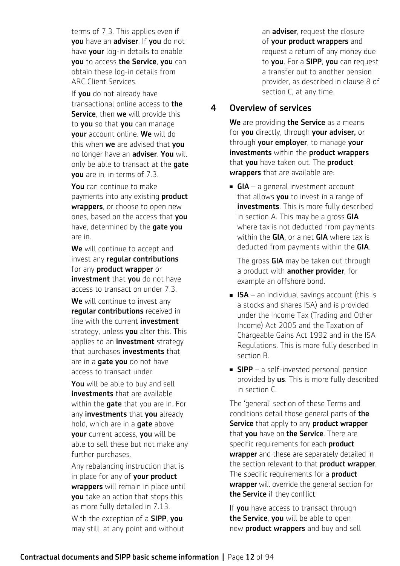terms of 7.3. This applies even if you have an adviser. If you do not have your log-in details to enable you to access the Service, you can obtain these log-in details from ARC Client Services.

If vou do not already have transactional online access to the Service, then we will provide this to **you** so that **you** can manage your account online. We will do this when we are advised that you no longer have an adviser. You will only be able to transact at the **gate** you are in, in terms of 7.3.

You can continue to make payments into any existing **product** wrappers, or choose to open new ones, based on the access that you have, determined by the **gate you** are in.

We will continue to accept and invest any regular contributions for any **product wrapper** or investment that you do not have access to transact on under 7.3.

We will continue to invest any regular contributions received in line with the current **investment** strategy, unless you alter this. This applies to an **investment** strategy that purchases **investments** that are in a **gate you** do not have access to transact under.

You will be able to buy and sell investments that are available within the gate that you are in. For any **investments** that you already hold, which are in a **gate** above your current access, you will be able to sell these but not make any further purchases.

Any rebalancing instruction that is in place for any of your product wrappers will remain in place until you take an action that stops this as more fully detailed in 7.13. With the exception of a **SIPP**, you may still, at any point and without

an **adviser**, request the closure of your product wrappers and request a return of any money due to you. For a SIPP, you can request a transfer out to another pension provider, as described in clause 8 of section C, at any time.

# 4 Overview of services

We are providing the Service as a means for you directly, through your adviser, or through your employer, to manage your investments within the product wrappers that you have taken out. The product wrappers that are available are:

**GIA** – a general investment account that allows **you** to invest in a range of investments. This is more fully described in section A. This may be a gross GIA where tax is not deducted from payments within the  $GIA$ , or a net  $GIA$  where tax is deducted from payments within the GIA.

The gross GIA may be taken out through a product with **another provider**, for example an offshore bond.

- **n** ISA an individual savings account (this is a stocks and shares ISA) and is provided under the Income Tax (Trading and Other Income) Act 2005 and the Taxation of Chargeable Gains Act 1992 and in the ISA Regulations. This is more fully described in section B.
- **SIPP** a self-invested personal pension provided by us. This is more fully described in section C.

The 'general' section of these Terms and conditions detail those general parts of the Service that apply to any product wrapper that you have on the Service. There are specific requirements for each **product** wrapper and these are separately detailed in the section relevant to that **product wrapper**. The specific requirements for a **product** wrapper will override the general section for the Service if they conflict.

If you have access to transact through the Service, you will be able to open new **product wrappers** and buy and sell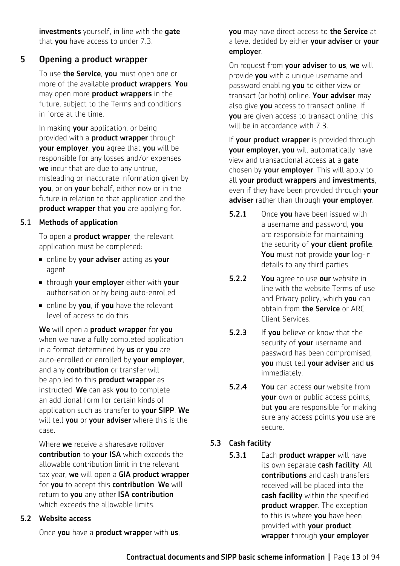investments yourself, in line with the gate that you have access to under 7.3.

# 5 Opening a product wrapper

To use the Service, you must open one or more of the available product wrappers. You may open more **product wrappers** in the future, subject to the Terms and conditions in force at the time.

In making your application, or being provided with a **product wrapper** through your employer, you agree that you will be responsible for any losses and/or expenses we incur that are due to any untrue, misleading or inaccurate information given by you, or on your behalf, either now or in the future in relation to that application and the product wrapper that you are applying for.

# 5.1 Methods of application

To open a **product wrapper**, the relevant application must be completed:

- n online by your adviser acting as your agent
- **n** through your employer either with your authorisation or by being auto-enrolled
- $\blacksquare$  online by **you**, if **you** have the relevant level of access to do this

We will open a product wrapper for you when we have a fully completed application in a format determined by us or you are auto-enrolled or enrolled by your employer. and any **contribution** or transfer will be applied to this **product wrapper** as instructed. We can ask you to complete an additional form for certain kinds of application such as transfer to your SIPP. We will tell you or your adviser where this is the case.

Where **we** receive a sharesave rollover contribution to your ISA which exceeds the allowable contribution limit in the relevant tax year, we will open a GIA product wrapper for you to accept this contribution. We will return to you any other ISA contribution which exceeds the allowable limits.

# 5.2 Website access

Once you have a product wrapper with us,

you may have direct access to the Service at a level decided by either **your adviser** or **your** employer.

On request from your adviser to us, we will provide you with a unique username and password enabling **you** to either view or transact (or both) online. Your adviser may also give you access to transact online. If you are given access to transact online, this will be in accordance with 7.3.

If your product wrapper is provided through your employer, you will automatically have view and transactional access at a gate chosen by your employer. This will apply to all your product wrappers and investments, even if they have been provided through your adviser rather than through your employer.

- **5.2.1** Once **vou** have been issued with a username and password, you are responsible for maintaining the security of your client profile. You must not provide your log-in details to any third parties.
- **5.2.2** You agree to use our website in line with the website Terms of use and Privacy policy, which you can obtain from the Service or ARC Client Services.
- **5.2.3** If you believe or know that the security of your username and password has been compromised, you must tell your adviser and us immediately.
- **5.2.4** You can access our website from **your** own or public access points, but you are responsible for making sure any access points you use are secure.

# 5.3 Cash facility

5.3.1 Each product wrapper will have its own separate cash facility. All contributions and cash transfers received will be placed into the cash facility within the specified **product wrapper.** The exception to this is where you have been provided with your product wrapper through your employer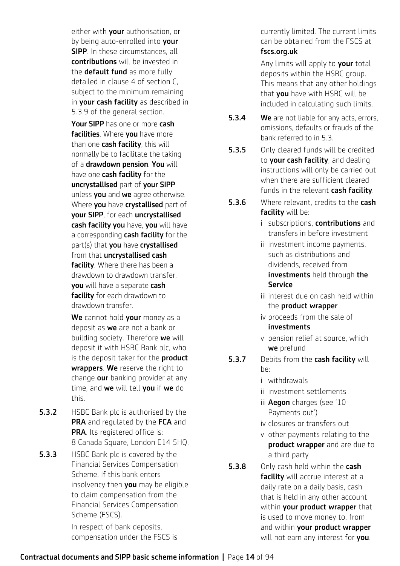either with **your** authorisation, or by being auto-enrolled into your **SIPP**. In these circumstances, all contributions will be invested in the **default fund** as more fully detailed in clause 4 of section C, subject to the minimum remaining in your cash facility as described in 5.3.9 of the general section.

Your SIPP has one or more cash facilities. Where you have more than one **cash facility**, this will normally be to facilitate the taking of a drawdown pension. You will have one **cash facility** for the uncrystallised part of your SIPP unless you and we agree otherwise. Where **you** have **crystallised** part of your SIPP, for each uncrystallised cash facility you have, you will have a corresponding cash facility for the part(s) that you have crystallised from that *uncrystallised* cash facility. Where there has been a drawdown to drawdown transfer, you will have a separate cash facility for each drawdown to drawdown transfer.

We cannot hold your money as a deposit as we are not a bank or building society. Therefore we will deposit it with HSBC Bank plc, who is the deposit taker for the **product** wrappers. We reserve the right to change our banking provider at any time, and we will tell you if we do this.

- **5.3.2** HSBC Bank plc is authorised by the PRA and requlated by the FCA and PRA. Its registered office is: 8 Canada Square, London E14 5HQ.
- **5.3.3** HSBC Bank plc is covered by the Financial Services Compensation Scheme. If this bank enters insolvency then you may be eligible to claim compensation from the Financial Services Compensation Scheme (FSCS).

In respect of bank deposits, compensation under the FSCS is

currently limited. The current limits can be obtained from the FSCS at fscs.org.uk

Any limits will apply to **your** total deposits within the HSBC group. This means that any other holdings that **you** have with HSBC will be included in calculating such limits.

- **5.3.4** We are not liable for any acts, errors, omissions, defaults or frauds of the bank referred to in 5.3.
- **5.3.5** Only cleared funds will be credited to your cash facility, and dealing instructions will only be carried out when there are sufficient cleared funds in the relevant **cash facility**.
- **5.3.6** Where relevant, credits to the **cash** facility will be:
	- i subscriptions, **contributions** and transfers in before investment
	- ii investment income payments, such as distributions and dividends, received from investments held through the Service
	- iii interest due on cash held within the product wrapper
	- iv proceeds from the sale of investments
	- v pension relief at source, which we prefund
- **5.3.7** Debits from the cash facility will  $h$ e·

i withdrawals

- ii investment settlements
- iii **Aegon** charges (see '10 Payments out')
- iv closures or transfers out
- v other payments relating to the product wrapper and are due to a third party
- **5.3.8** Only cash held within the cash facility will accrue interest at a daily rate on a daily basis, cash that is held in any other account within **vour product wrapper** that is used to move money to, from and within your product wrapper will not earn any interest for vou.

# Contractual documents and SIPP basic scheme information **|** Page 14 of 94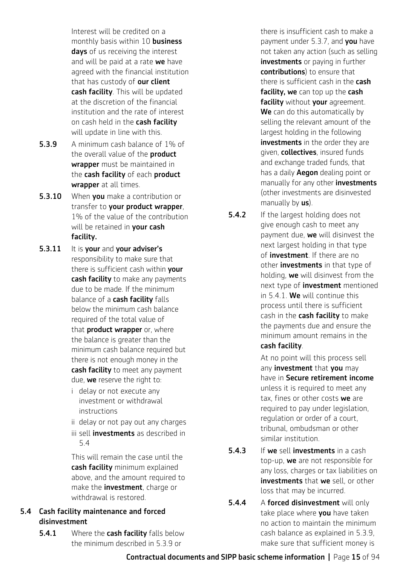Interest will be credited on a monthly basis within 10 **business** days of us receiving the interest and will be paid at a rate we have agreed with the financial institution that has custody of **our client** cash facility. This will be updated at the discretion of the financial institution and the rate of interest on cash held in the cash facility will update in line with this.

- 5.3.9 A minimum cash balance of 1% of the overall value of the **product** wrapper must be maintained in the cash facility of each product wrapper at all times.
- **5.3.10** When you make a contribution or transfer to your product wrapper, 1% of the value of the contribution will be retained in your cash facility.
- 5.3.11 It is your and your adviser's responsibility to make sure that there is sufficient cash within your cash facility to make any payments due to be made. If the minimum balance of a cash facility falls below the minimum cash balance required of the total value of that **product wrapper** or, where the balance is greater than the minimum cash balance required but there is not enough money in the cash facility to meet any payment due, we reserve the right to:
	- i delay or not execute any investment or withdrawal instructions
	- ii delay or not pay out any charges
	- iii sell **investments** as described in 5.4

This will remain the case until the cash facility minimum explained above, and the amount required to make the **investment**, charge or withdrawal is restored.

# 5.4 Cash facility maintenance and forced disinvestment

**5.4.1** Where the **cash facility** falls below the minimum described in 5.3.9 or

there is insufficient cash to make a payment under 5.3.7, and **you** have not taken any action (such as selling investments or paying in further contributions) to ensure that there is sufficient cash in the **cash** facility, we can top up the cash facility without your agreement. We can do this automatically by selling the relevant amount of the largest holding in the following investments in the order they are given, collectives, insured funds and exchange traded funds, that has a daily **Aegon** dealing point or manually for any other **investments** (other investments are disinvested manually by  $us$ ).

**5.4.2** If the largest holding does not give enough cash to meet any payment due, we will disinvest the next largest holding in that type of investment. If there are no other **investments** in that type of holding, we will disinvest from the next type of *investment* mentioned in 5.4.1. We will continue this process until there is sufficient cash in the **cash facility** to make the payments due and ensure the minimum amount remains in the cash facility.

> At no point will this process sell any **investment** that **you** may have in Secure retirement income unless it is required to meet any tax. fines or other costs we are required to pay under legislation. regulation or order of a court, tribunal, ombudsman or other similar institution.

- **5.4.3** If we sell investments in a cash top-up, we are not responsible for any loss, charges or tax liabilities on investments that we sell, or other loss that may be incurred.
- **5.4.4** A forced disinvestment will only take place where **you** have taken no action to maintain the minimum cash balance as explained in 5.3.9, make sure that sufficient money is

Contractual documents and SIPP basic scheme information **|** Page 15 of 94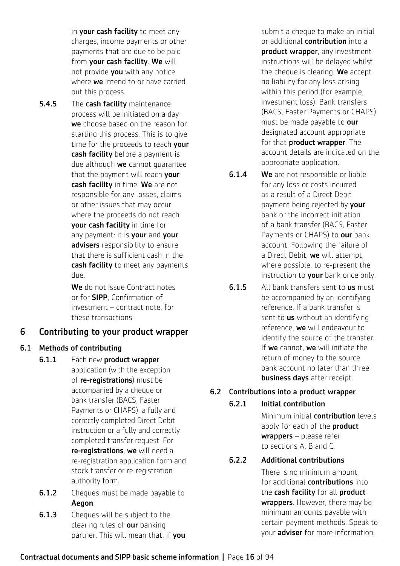in your cash facility to meet any charges, income payments or other payments that are due to be paid from your cash facility. We will not provide you with any notice where **we** intend to or have carried out this process.

**5.4.5** The **cash facility** maintenance process will be initiated on a day we choose based on the reason for starting this process. This is to give time for the proceeds to reach vour cash facility before a payment is due although we cannot quarantee that the payment will reach vour cash facility in time. We are not responsible for any losses, claims or other issues that may occur where the proceeds do not reach your cash facility in time for any payment: it is **your** and **your** advisers responsibility to ensure that there is sufficient cash in the cash facility to meet any payments due.

> We do not issue Contract notes or for SIPP, Confirmation of investment – contract note, for these transactions.

# 6 Contributing to your product wrapper

# 6.1 Methods of contributing

- 6.1.1 Each new product wrapper application (with the exception of re-registrations) must be accompanied by a cheque or bank transfer (BACS, Faster Payments or CHAPS), a fully and correctly completed Direct Debit instruction or a fully and correctly completed transfer request. For re-registrations, we will need a re-registration application form and stock transfer or re-registration authority form.
- **6.1.2** Cheques must be made payable to Aegon.
- **6.1.3** Cheques will be subject to the clearing rules of our banking partner. This will mean that, if you

submit a cheque to make an initial or additional **contribution** into a product wrapper, any investment instructions will be delayed whilst the cheque is clearing. We accept no liability for any loss arising within this period (for example, investment loss). Bank transfers (BACS, Faster Payments or CHAPS) must be made payable to our designated account appropriate for that **product wrapper**. The account details are indicated on the appropriate application.

- **6.1.4** We are not responsible or liable for any loss or costs incurred as a result of a Direct Debit payment being rejected by **your** bank or the incorrect initiation of a bank transfer (BACS, Faster Payments or CHAPS) to our bank account. Following the failure of a Direct Debit, we will attempt. where possible, to re-present the instruction to your bank once only.
- **6.1.5** All bank transfers sent to **us** must be accompanied by an identifying reference. If a bank transfer is sent to **us** without an identifying reference, we will endeavour to identify the source of the transfer. If we cannot, we will initiate the return of money to the source bank account no later than three business days after receipt.

# 6.2 Contributions into a product wrapper

# 6.2.1 Initial contribution

Minimum initial contribution levels apply for each of the **product**  $wrappers - please refer$ to sections A, B and C.

# 6.2.2 Additional contributions

There is no minimum amount for additional **contributions** into the cash facility for all product wrappers. However, there may be minimum amounts payable with certain payment methods. Speak to your **adviser** for more information.

# Contractual documents and SIPP basic scheme information **|** Page 16 of 94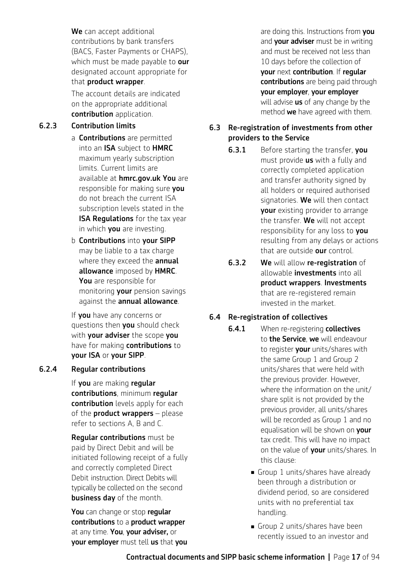We can accept additional contributions by bank transfers (BACS, Faster Payments or CHAPS), which must be made payable to our designated account appropriate for that product wrapper.

The account details are indicated on the appropriate additional contribution application.

# 6.2.3 Contribution limits

- a **Contributions** are permitted into an ISA subject to HMRC maximum yearly subscription limits. Current limits are available at [hmrc.gov.uk](http://hmrc.gov.uk) You are responsible for making sure you do not breach the current ISA subscription levels stated in the **ISA Requlations** for the tax year in which you are investing.
- b Contributions into your SIPP may be liable to a tax charge where they exceed the **annual** allowance imposed by HMRC. You are responsible for monitoring **your** pension savings against the annual allowance.

If **you** have any concerns or questions then you should check with **your adviser** the scope you have for making contributions to your ISA or your SIPP.

# 6.2.4 Regular contributions

If you are making regular contributions, minimum regular contribution levels apply for each of the **product wrappers**  $-$  please refer to sections A, B and C.

Regular contributions must be paid by Direct Debit and will be initiated following receipt of a fully and correctly completed Direct Debit instruction. Direct Debits will typically be collected on the second business day of the month.

You can change or stop regular contributions to a product wrapper at any time. You, your adviser, or your employer must tell us that you

are doing this. Instructions from you and **your adviser** must be in writing and must be received not less than 10 days before the collection of your next contribution. If regular contributions are being paid through your employer, your employer will advise **us** of any change by the method **we** have agreed with them.

# 6.3 Re-registration of investments from other providers to the Service

- **6.3.1** Before starting the transfer, you must provide **us** with a fully and correctly completed application and transfer authority signed by all holders or required authorised signatories. We will then contact your existing provider to arrange the transfer. We will not accept responsibility for any loss to you resulting from any delays or actions that are outside our control.
- 6.3.2 We will allow re-registration of allowable **investments** into all product wrappers. Investments that are re-registered remain invested in the market.

# 6.4 Re-registration of collectives

- **6.4.1** When re-registering **collectives** to the Service, we will endeavour to register your units/shares with the same Group 1 and Group 2 units/shares that were held with the previous provider. However, where the information on the unit/ share split is not provided by the previous provider, all units/shares will be recorded as Group 1 and no equalisation will be shown on your tax credit. This will have no impact on the value of your units/shares. In this clause:
	- Group 1 units/shares have already been through a distribution or dividend period, so are considered units with no preferential tax handling.
	- **n** Group 2 units/shares have been recently issued to an investor and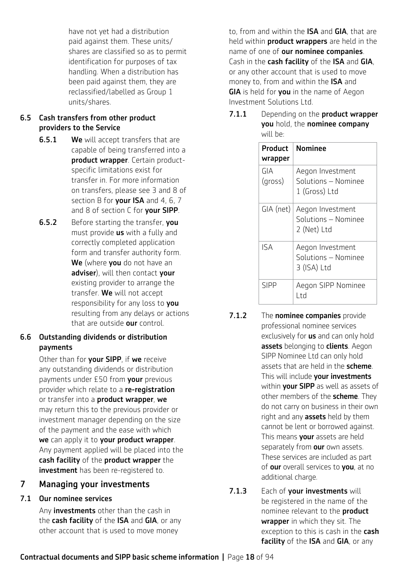have not yet had a distribution paid against them. These units/ shares are classified so as to permit identification for purposes of tax handling. When a distribution has been paid against them, they are reclassified/labelled as Group 1 units/shares.

# 6.5 Cash transfers from other product providers to the Service

- **6.5.1** We will accept transfers that are capable of being transferred into a product wrapper. Certain productspecific limitations exist for transfer in. For more information on transfers, please see 3 and 8 of section B for your ISA and 4, 6, 7 and 8 of section C for your SIPP.
- **6.5.2** Before starting the transfer, you must provide **us** with a fully and correctly completed application form and transfer authority form. We (where you do not have an adviser), will then contact your existing provider to arrange the transfer. We will not accept responsibility for any loss to you resulting from any delays or actions that are outside our control.

# 6.6 Outstanding dividends or distribution payments

Other than for your SIPP, if we receive any outstanding dividends or distribution payments under £50 from your previous provider which relate to a re-registration or transfer into a product wrapper, we may return this to the previous provider or investment manager depending on the size of the payment and the ease with which we can apply it to your product wrapper. Any payment applied will be placed into the cash facility of the product wrapper the investment has been re-registered to.

# 7 Managing your investments

# 7.1 Our nominee services

Any **investments** other than the cash in the cash facility of the ISA and GIA, or any other account that is used to move money

to, from and within the **ISA** and **GIA**, that are held within **product wrappers** are held in the name of one of our nominee companies. Cash in the cash facility of the ISA and GIA, or any other account that is used to move money to, from and within the **ISA** and GIA is held for you in the name of Aegon Investment Solutions Ltd.

7.1.1 Depending on the **product wrapper** you hold, the nominee company will be:

| Product<br>wrapper | Nominee                                                  |
|--------------------|----------------------------------------------------------|
| GIA<br>(gross)     | Aegon Investment<br>Solutions — Nominee<br>1 (Gross) Ltd |
| GIA (net)          | Aegon Investment<br>Solutions - Nominee<br>2 (Net) Ltd   |
| <b>ISA</b>         | Aegon Investment<br>Solutions — Nominee<br>3 (ISA) Ltd   |
| <b>SIPP</b>        | Aegon SIPP Nominee<br>l td                               |

- 7.1.2 The nominee companies provide professional nominee services exclusively for **us** and can only hold assets belonging to clients. Aegon SIPP Nominee Ltd can only hold assets that are held in the **scheme**. This will include your investments within **your SIPP** as well as assets of other members of the scheme. They do not carry on business in their own right and any **assets** held by them cannot be lent or borrowed against. This means your assets are held separately from our own assets. These services are included as part of our overall services to you, at no additional charge.
- 7.1.3 Each of vour investments will be registered in the name of the nominee relevant to the **product** wrapper in which they sit. The exception to this is cash in the **cash** facility of the ISA and GIA, or any

Contractual documents and SIPP basic scheme information **|** Page 18 of 94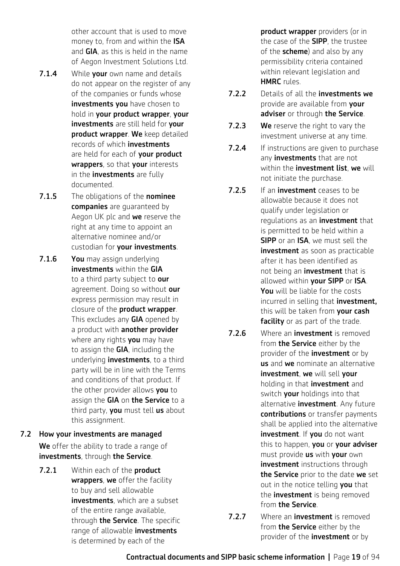other account that is used to move money to, from and within the **ISA** and GIA, as this is held in the name of Aegon Investment Solutions Ltd.

- 7.1.4 While vour own name and details do not appear on the register of any of the companies or funds whose investments you have chosen to hold in your product wrapper, your investments are still held for vour product wrapper. We keep detailed records of which investments are held for each of **your product** wrappers, so that your interests in the **investments** are fully documented.
- 7.1.5 The obligations of the nominee companies are quaranteed by Aegon UK plc and we reserve the right at any time to appoint an alternative nominee and/or custodian for your investments.
- 7.1.6 You may assign underlying investments within the GIA to a third party subject to our agreement. Doing so without our express permission may result in closure of the product wrapper. This excludes any **GIA** opened by a product with **another provider** where any rights you may have to assign the **GIA**, including the underlying **investments**, to a third party will be in line with the Terms and conditions of that product. If the other provider allows you to assign the GIA on the Service to a third party, you must tell us about this assignment.
- 7.2 How your investments are managed We offer the ability to trade a range of investments, through the Service.
	- 7.2.1 Within each of the product wrappers, we offer the facility to buy and sell allowable investments, which are a subset of the entire range available, through **the Service**. The specific range of allowable *investments* is determined by each of the

product wrapper providers (or in the case of the **SIPP**, the trustee of the  $scheme$ ) and also by any permissibility criteria contained within relevant legislation and HMRC rules.

- 7.2.2 Details of all the investments we provide are available from vour adviser or through the Service.
- **7.2.3** We reserve the right to vary the investment universe at any time.
- **7.2.4** If instructions are given to purchase any **investments** that are not within the **investment list**, we will not initiate the purchase.
- 7.2.5 If an **investment** ceases to be allowable because it does not qualify under legislation or regulations as an **investment** that is permitted to be held within a SIPP or an ISA, we must sell the investment as soon as practicable after it has been identified as not being an **investment** that is allowed within your SIPP or ISA. You will be liable for the costs incurred in selling that **investment.** this will be taken from your cash facility or as part of the trade.
- **7.2.6** Where an **investment** is removed from **the Service** either by the provider of the **investment** or by us and we nominate an alternative investment, we will sell your holding in that **investment** and switch your holdings into that alternative *investment*. Any future contributions or transfer payments shall be applied into the alternative investment. If you do not want this to happen, you or your adviser must provide us with your own investment instructions through the Service prior to the date we set out in the notice telling you that the **investment** is being removed from the Service.
- 7.2.7 Where an **investment** is removed from **the Service** either by the provider of the **investment** or by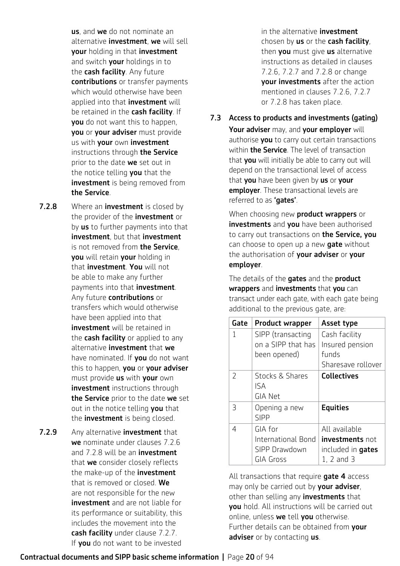us, and we do not nominate an alternative *investment*, we will sell your holding in that investment and switch your holdings in to the cash facility. Any future contributions or transfer payments which would otherwise have been applied into that **investment** will be retained in the cash facility. If you do not want this to happen, you or your adviser must provide us with your own investment instructions through the Service prior to the date we set out in the notice telling you that the investment is being removed from the Service.

- 7.2.8 Where an investment is closed by the provider of the **investment** or by **us** to further payments into that investment, but that investment is not removed from the Service. you will retain your holding in that **investment**. You will not be able to make any further payments into that investment. Any future **contributions** or transfers which would otherwise have been applied into that **investment** will be retained in the **cash facility** or applied to any alternative **investment** that we have nominated. If **vou** do not want this to happen, you or your adviser must provide us with your own investment instructions through the Service prior to the date we set out in the notice telling vou that the **investment** is being closed.
- 7.2.9 Any alternative investment that we nominate under clauses 7.2.6 and 7.2.8 will be an **investment** that we consider closely reflects the make-up of the **investment** that is removed or closed. We are not responsible for the new investment and are not liable for its performance or suitability, this includes the movement into the cash facility under clause 7.2.7. If **you** do not want to be invested

in the alternative **investment** chosen by us or the cash facility, then you must give us alternative instructions as detailed in clauses 7.2.6, 7.2.7 and 7.2.8 or change your investments after the action mentioned in clauses 7.2.6, 7.2.7 or 7.2.8 has taken place.

7.3 Access to products and investments (gating)

Your adviser may, and your employer will authorise you to carry out certain transactions within **the Service**. The level of transaction that you will initially be able to carry out will depend on the transactional level of access that you have been given by us or your employer. These transactional levels are referred to as 'gates'.

When choosing new **product wrappers** or investments and you have been authorised to carry out transactions on the Service. vou can choose to open up a new **gate** without the authorisation of your adviser or your employer.

The details of the **gates** and the **product** wrappers and investments that you can transact under each gate, with each gate being additional to the previous gate, are:

| Gate          | <b>Product wrapper</b>                                             | Asset type                                                                            |
|---------------|--------------------------------------------------------------------|---------------------------------------------------------------------------------------|
| 1             | SIPP (transacting<br>on a SIPP that has<br>been opened)            | Cash facility<br>Insured pension<br>funds<br>Sharesave rollover                       |
| $\mathcal{P}$ | Stocks & Shares<br>ISA<br>GIA Net                                  | <b>Collectives</b>                                                                    |
| 3             | Opening a new<br><b>SIPP</b>                                       | <b>Equities</b>                                                                       |
| 4             | GIA for<br>International Bond<br>SIPP Drawdown<br><b>GIA Gross</b> | All available<br><b>investments</b> not<br>included in <b>gates</b><br>$1, 2$ and $3$ |

All transactions that require **gate 4** access may only be carried out by your adviser, other than selling any **investments** that you hold. All instructions will be carried out online, unless we tell you otherwise. Further details can be obtained from your adviser or by contacting us.

# Contractual documents and SIPP basic scheme information **|** Page 20 of 94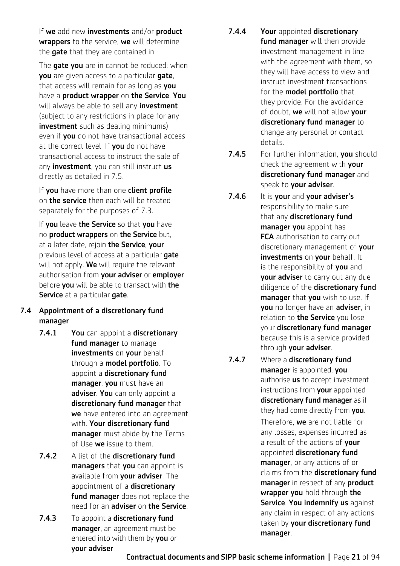If we add new investments and/or product wrappers to the service, we will determine the gate that they are contained in.

The **gate you** are in cannot be reduced: when you are given access to a particular gate, that access will remain for as long as **you** have a **product wrapper** on the Service. You will always be able to sell any *investment* (subject to any restrictions in place for any **investment** such as dealing minimums) even if you do not have transactional access at the correct level. If **vou** do not have transactional access to instruct the sale of any **investment**, you can still instruct us directly as detailed in 7.5.

If you have more than one client profile on **the service** then each will be treated separately for the purposes of 7.3.

If you leave the Service so that you have no product wrappers on the Service but, at a later date, rejoin the Service, your previous level of access at a particular gate will not apply. We will require the relevant authorisation from your adviser or employer before you will be able to transact with the Service at a particular gate.

# 7.4 Appointment of a discretionary fund manager

- 7.4.1 You can appoint a discretionary fund manager to manage investments on your behalf through a model portfolio. To appoint a discretionary fund manager, you must have an adviser. You can only appoint a discretionary fund manager that we have entered into an agreement with. Your discretionary fund manager must abide by the Terms of Use we issue to them.
- 7.4.2 A list of the discretionary fund managers that you can appoint is available from your adviser. The appointment of a discretionary fund manager does not replace the need for an **adviser** on **the Service**.
- 7.4.3 To appoint a discretionary fund manager, an agreement must be entered into with them by you or your adviser.
- 7.4.4 Your appointed discretionary fund manager will then provide investment management in line with the agreement with them, so they will have access to view and instruct investment transactions for the **model portfolio** that they provide. For the avoidance of doubt, we will not allow your discretionary fund manager to change any personal or contact details.
- 7.4.5 For further information, you should check the agreement with your discretionary fund manager and speak to your adviser.
- 7.4.6 It is your and your adviser's responsibility to make sure that any discretionary fund manager you appoint has FCA authorisation to carry out discretionary management of your investments on your behalf. It is the responsibility of you and your adviser to carry out any due diligence of the discretionary fund manager that you wish to use. If you no longer have an adviser, in relation to the Service you lose your discretionary fund manager because this is a service provided through your adviser.
- 7.4.7 Where a discretionary fund manager is appointed, you authorise **us** to accept investment instructions from your appointed discretionary fund manager as if they had come directly from you. Therefore, we are not liable for any losses, expenses incurred as a result of the actions of your appointed discretionary fund manager, or any actions of or claims from the discretionary fund manager in respect of any product wrapper you hold through the Service. You indemnify us against any claim in respect of any actions taken by your discretionary fund manager.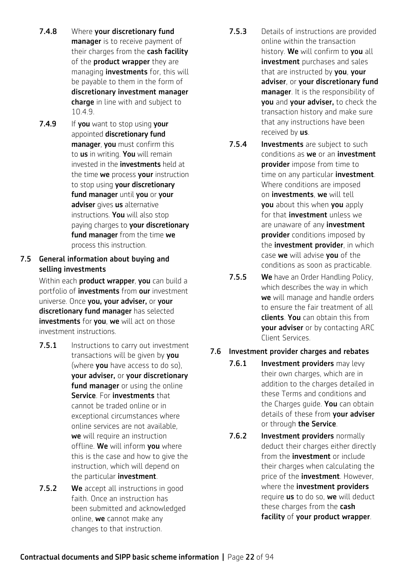- 7.4.8 Where your discretionary fund manager is to receive payment of their charges from the cash facility of the **product wrapper** they are managing **investments** for, this will be payable to them in the form of discretionary investment manager charge in line with and subject to 10.4.9.
- 7.4.9 If you want to stop using your appointed discretionary fund manager, you must confirm this to us in writing. You will remain invested in the **investments** held at the time we process vour instruction to stop using your discretionary fund manager until you or your adviser gives us alternative instructions. You will also stop paying charges to your discretionary fund manager from the time we process this instruction.

# 7.5 General information about buying and selling investments

Within each **product wrapper**, you can build a portfolio of **investments** from **our** investment universe. Once you, your adviser, or your discretionary fund manager has selected investments for you, we will act on those investment instructions.

- **7.5.1** Instructions to carry out investment transactions will be given by you (where **you** have access to do so). your adviser, or your discretionary fund manager or using the online Service. For investments that cannot be traded online or in exceptional circumstances where online services are not available, we will require an instruction offline. We will inform you where this is the case and how to give the instruction, which will depend on the particular investment.
- 7.5.2 We accept all instructions in good faith. Once an instruction has been submitted and acknowledged online, we cannot make any changes to that instruction.
- **7.5.3** Details of instructions are provided online within the transaction history. We will confirm to you all investment purchases and sales that are instructed by you, your adviser, or your discretionary fund manager. It is the responsibility of you and your adviser, to check the transaction history and make sure that any instructions have been received by us.
- 7.5.4 Investments are subject to such conditions as we or an investment **provider** impose from time to time on any particular *investment*. Where conditions are imposed on *investments*, we will tell **vou** about this when **you** apply for that *investment* unless we are unaware of any **investment provider** conditions imposed by the **investment provider**, in which case we will advise vou of the conditions as soon as practicable.
- **7.5.5 We** have an Order Handling Policy, which describes the way in which we will manage and handle orders to ensure the fair treatment of all clients. You can obtain this from **vour adviser** or by contacting ARC Client Services.

# 7.6 Investment provider charges and rebates

- 7.6.1 **Investment providers** may levy their own charges, which are in addition to the charges detailed in these Terms and conditions and the Charges guide. You can obtain details of these from your adviser or through the Service.
- 7.6.2 Investment providers normally deduct their charges either directly from the **investment** or include their charges when calculating the price of the *investment*. However, where the investment providers require **us** to do so, we will deduct these charges from the cash facility of your product wrapper.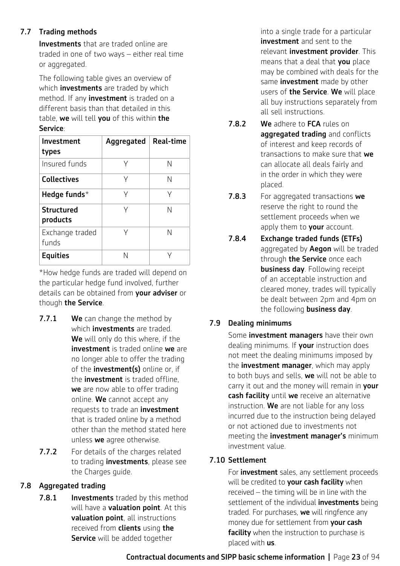# 7.7 Trading methods

**Investments** that are traded online are traded in one of two ways – either real time or aggregated.

The following table gives an overview of which **investments** are traded by which method. If any **investment** is traded on a different basis than that detailed in this table, we will tell vou of this within the Service:

| Investment<br>types           | Aggregated | <b>Real-time</b> |
|-------------------------------|------------|------------------|
| Insured funds                 | γ          | N                |
| <b>Collectives</b>            | γ          | Ν                |
| Hedge funds $*$               | γ          | γ                |
| <b>Structured</b><br>products | γ          | N                |
| Exchange traded<br>funds      | γ          | N                |
| <b>Equities</b>               | N          |                  |

\*How hedge funds are traded will depend on the particular hedge fund involved, further details can be obtained from **vour adviser** or though the Service.

- 7.7.1 We can change the method by which **investments** are traded. We will only do this where, if the investment is traded online we are no longer able to offer the trading of the **investment(s)** online or, if the **investment** is traded offline. we are now able to offer trading online. We cannot accept any requests to trade an **investment** that is traded online by a method other than the method stated here unless we agree otherwise.
- 7.7.2 For details of the charges related to trading **investments**, please see the Charges guide.

# 7.8 Aggregated trading

**7.8.1** Investments traded by this method will have a **valuation point**. At this valuation point, all instructions received from **clients** using **the Service** will be added together

into a single trade for a particular investment and sent to the relevant *investment* provider. This means that a deal that you place may be combined with deals for the same **investment** made by other users of the Service. We will place all buy instructions separately from all sell instructions.

- 7.8.2 We adhere to FCA rules on aggregated trading and conflicts of interest and keep records of transactions to make sure that we can allocate all deals fairly and in the order in which they were placed.
- **7.8.3** For aggregated transactions we reserve the right to round the settlement proceeds when we apply them to your account.
- 7.8.4 Exchange traded funds (ETFs) aggregated by **Aegon** will be traded through the Service once each business day. Following receipt of an acceptable instruction and cleared money, trades will typically be dealt between 2pm and 4pm on the following **business day**.

# 7.9 Dealing minimums

Some **investment managers** have their own dealing minimums. If your instruction does not meet the dealing minimums imposed by the **investment manager**, which may apply to both buys and sells, we will not be able to carry it out and the money will remain in your cash facility until we receive an alternative instruction. We are not liable for any loss incurred due to the instruction being delayed or not actioned due to investments not meeting the **investment manager's** minimum investment value.

# 7.10 Settlement

For **investment** sales, any settlement proceeds will be credited to **your cash facility** when received – the timing will be in line with the settlement of the individual **investments** being traded. For purchases, we will ringfence any money due for settlement from your cash facility when the instruction to purchase is placed with **us**.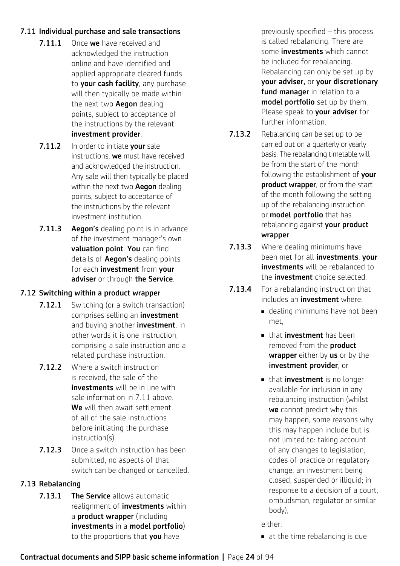# 7.11 Individual purchase and sale transactions

- 7.11.1 Once we have received and acknowledged the instruction online and have identified and applied appropriate cleared funds to your cash facility, any purchase will then typically be made within the next two **Aegon** dealing points, subject to acceptance of the instructions by the relevant investment provider.
- 7.11.2 In order to initiate your sale instructions, we must have received and acknowledged the instruction. Any sale will then typically be placed within the next two **Aegon** dealing points, subject to acceptance of the instructions by the relevant investment institution.
- 7.11.3 Aegon's dealing point is in advance of the investment manager's own valuation point. You can find details of **Aegon's** dealing points for each *investment* from your adviser or through the Service.

# 7.12 Switching within a product wrapper

- **7.12.1** Switching (or a switch transaction) comprises selling an investment and buying another **investment**, in other words it is one instruction, comprising a sale instruction and a related purchase instruction.
- 7.12.2 Where a switch instruction is received, the sale of the investments will be in line with sale information in 7.11 above. We will then await settlement of all of the sale instructions before initiating the purchase instruction(s).
- **7.12.3** Once a switch instruction has been submitted, no aspects of that switch can be changed or cancelled.

# 7.13 Rebalancing

**7.13.1 The Service allows automatic** realignment of *investments* within a product wrapper (including investments in a model portfolio) to the proportions that you have

previously specified – this process is called rebalancing. There are some **investments** which cannot be included for rebalancing. Rebalancing can only be set up by your adviser, or your discretionary fund manager in relation to a model portfolio set up by them. Please speak to your adviser for further information.

- 7.13.2 Rebalancing can be set up to be carried out on a quarterly or yearly basis. The rebalancing timetable will be from the start of the month following the establishment of vour product wrapper, or from the start of the month following the setting up of the rebalancing instruction or **model portfolio** that has rebalancing against your product wrapper.
- **7.13.3** Where dealing minimums have been met for all investments, your investments will be rebalanced to the investment choice selected.
- **7.13.4** For a rebalancing instruction that includes an *investment* where:
	- dealing minimums have not been met,
	- $\blacksquare$  that **investment** has been removed from the **product** wrapper either by us or by the investment provider, or
	- that **investment** is no longer available for inclusion in any rebalancing instruction (whilst we cannot predict why this may happen, some reasons why this may happen include but is not limited to: taking account of any changes to legislation, codes of practice or regulatory change; an investment being closed, suspended or illiquid; in response to a decision of a court, ombudsman, regulator or similar body),

either:

 $\blacksquare$  at the time rebalancing is due

#### Contractual documents and SIPP basic scheme information **|** Page 24 of 94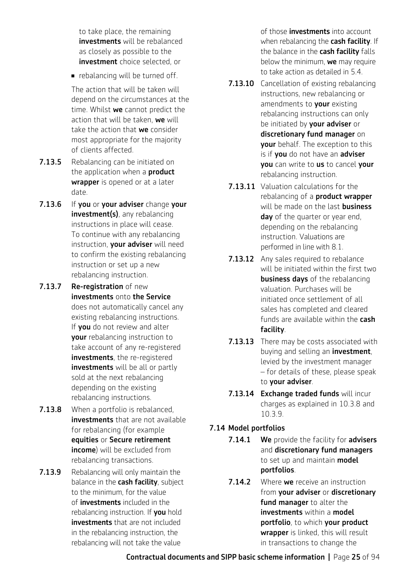to take place, the remaining **investments** will be rebalanced as closely as possible to the investment choice selected, or

 $\blacksquare$  rebalancing will be turned off.

The action that will be taken will depend on the circumstances at the time. Whilst we cannot predict the action that will be taken, we will take the action that we consider most appropriate for the majority of clients affected.

- **7.13.5** Rebalancing can be initiated on the application when a **product** wrapper is opened or at a later date.
- 7.13.6 If you or your adviser change your investment(s), any rebalancing instructions in place will cease. To continue with any rebalancing instruction, your adviser will need to confirm the existing rebalancing instruction or set up a new rebalancing instruction.
- 7.13.7 Re-registration of new investments onto the Service does not automatically cancel any existing rebalancing instructions. If you do not review and alter your rebalancing instruction to take account of any re-registered investments, the re-registered **investments** will be all or partly sold at the next rebalancing depending on the existing rebalancing instructions.
- **7.13.8** When a portfolio is rebalanced, investments that are not available for rebalancing (for example equities or Secure retirement income) will be excluded from rebalancing transactions.
- **7.13.9** Rebalancing will only maintain the balance in the cash facility, subject to the minimum, for the value of investments included in the rebalancing instruction. If you hold investments that are not included in the rebalancing instruction, the rebalancing will not take the value

of those **investments** into account when rebalancing the cash facility. If the balance in the cash facility falls below the minimum, we may require to take action as detailed in 5.4.

- **7.13.10** Cancellation of existing rebalancing instructions, new rebalancing or amendments to your existing rebalancing instructions can only be initiated by **your adviser** or discretionary fund manager on your behalf. The exception to this is if you do not have an adviser you can write to us to cancel your rebalancing instruction.
- 7.13.11 Valuation calculations for the rebalancing of a **product wrapper** will be made on the last **business** day of the quarter or year end, depending on the rebalancing instruction. Valuations are performed in line with 8.1.
- **7.13.12** Any sales required to rebalance will be initiated within the first two business days of the rebalancing valuation. Purchases will be initiated once settlement of all sales has completed and cleared funds are available within the **cash** facility.
- **7.13.13** There may be costs associated with buying and selling an **investment**, levied by the investment manager – for details of these, please speak to your adviser.
- 7.13.14 Exchange traded funds will incur charges as explained in 10.3.8 and 10.3.9.

# 7.14 Model portfolios

- 7.14.1 We provide the facility for advisers and discretionary fund managers to set up and maintain **model** portfolios.
- **7.14.2** Where we receive an instruction from your adviser or discretionary fund manager to alter the investments within a model portfolio, to which your product wrapper is linked, this will result in transactions to change the

Contractual documents and SIPP basic scheme information **|** Page 25 of 94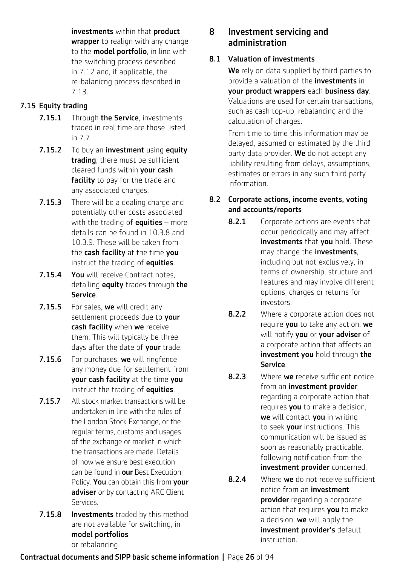investments within that product wrapper to realign with any change to the **model portfolio**, in line with the switching process described in 7.12 and, if applicable, the re-balanicng process described in 7.13.

# 7.15 Equity trading

- 7.15.1 Through the Service, investments traded in real time are those listed in 7.7.
- 7.15.2 To buy an investment using equity trading, there must be sufficient cleared funds within your cash facility to pay for the trade and any associated charges.
- **7.15.3** There will be a dealing charge and potentially other costs associated with the trading of **equities** – more details can be found in 10.3.8 and 10.3.9. These will be taken from the cash facility at the time you instruct the trading of equities.
- 7.15.4 You will receive Contract notes, detailing **equity** trades through the Service.
- 7.15.5 For sales, we will credit any settlement proceeds due to your cash facility when we receive them. This will typically be three days after the date of your trade.
- 7.15.6 For purchases, we will ringfence any money due for settlement from your cash facility at the time you instruct the trading of equities.
- 7.15.7 All stock market transactions will be undertaken in line with the rules of the London Stock Exchange, or the regular terms, customs and usages of the exchange or market in which the transactions are made. Details of how we ensure best execution can be found in our Best Execution Policy. You can obtain this from your adviser or by contacting ARC Client Services.
- **7.15.8 Investments** traded by this method are not available for switching, in model portfolios or rebalancing.

# 8 Investment servicing and administration

# 8.1 Valuation of investments

We rely on data supplied by third parties to provide a valuation of the **investments** in your product wrappers each business day. Valuations are used for certain transactions, such as cash top-up, rebalancing and the calculation of charges.

From time to time this information may be delayed, assumed or estimated by the third party data provider. We do not accept any liability resulting from delays, assumptions, estimates or errors in any such third party information.

# 8.2 Corporate actions, income events, voting and accounts/reports

- 8.2.1 Corporate actions are events that occur periodically and may affect investments that you hold. These may change the **investments**, including but not exclusively, in terms of ownership, structure and features and may involve different options, charges or returns for investors.
- 8.2.2 Where a corporate action does not require you to take any action, we will notify you or your adviser of a corporate action that affects an investment you hold through the Service.
- **8.2.3** Where we receive sufficient notice from an investment provider regarding a corporate action that requires you to make a decision, we will contact you in writing to seek your instructions. This communication will be issued as soon as reasonably practicable, following notification from the investment provider concerned.
- 8.2.4 Where we do not receive sufficient notice from an investment provider regarding a corporate action that requires you to make a decision, we will apply the investment provider's default instruction.

# Contractual documents and SIPP basic scheme information **|** Page 26 of 94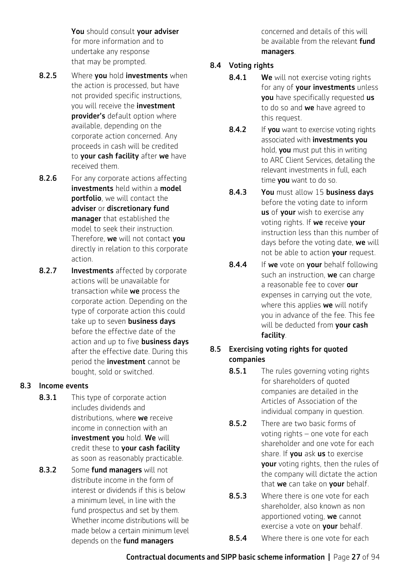You should consult your adviser for more information and to undertake any response that may be prompted.

- 8.2.5 Where you hold investments when the action is processed, but have not provided specific instructions, you will receive the **investment** provider's default option where available, depending on the corporate action concerned. Any proceeds in cash will be credited to your cash facility after we have received them.
- **8.2.6** For any corporate actions affecting investments held within a model portfolio, we will contact the adviser or discretionary fund manager that established the model to seek their instruction. Therefore, we will not contact you directly in relation to this corporate action.
- 8.2.7 Investments affected by corporate actions will be unavailable for transaction while we process the corporate action. Depending on the type of corporate action this could take up to seven **business days** before the effective date of the action and up to five **business days** after the effective date. During this period the **investment** cannot be bought, sold or switched.

# 8.3 Income events

- 8.3.1 This type of corporate action includes dividends and distributions, where we receive income in connection with an investment you hold. We will credit these to your cash facility as soon as reasonably practicable.
- 8.3.2 Some fund managers will not distribute income in the form of interest or dividends if this is below a minimum level, in line with the fund prospectus and set by them. Whether income distributions will be made below a certain minimum level depends on the **fund managers**

concerned and details of this will be available from the relevant **fund** managers.

# 8.4 Voting rights

- 8.4.1 We will not exercise voting rights for any of **your investments** unless **you** have specifically requested us to do so and we have agreed to this request.
- 8.4.2 If you want to exercise voting rights associated with investments you hold, you must put this in writing to ARC Client Services, detailing the relevant investments in full, each time **you** want to do so.
- 8.4.3 You must allow 15 business days before the voting date to inform us of your wish to exercise any voting rights. If we receive your instruction less than this number of days before the voting date, we will not be able to action your request.
- 8.4.4 If we vote on your behalf following such an instruction, we can charge a reasonable fee to cover our expenses in carrying out the vote, where this applies we will notify you in advance of the fee. This fee will be deducted from your cash facility.

# 8.5 Exercising voting rights for quoted companies

- 8.5.1 The rules governing voting rights for shareholders of quoted companies are detailed in the Articles of Association of the individual company in question.
- **8.5.2** There are two basic forms of voting rights – one vote for each shareholder and one vote for each share. If you ask us to exercise your voting rights, then the rules of the company will dictate the action that we can take on your behalf.
- 8.5.3 Where there is one vote for each shareholder, also known as non apportioned voting, we cannot exercise a vote on **vour** behalf.
- 8.5.4 Where there is one vote for each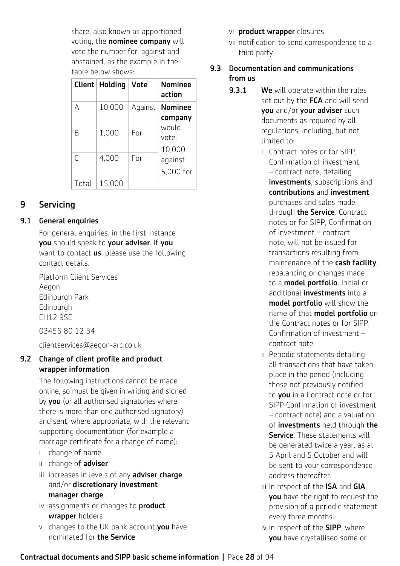share, also known as apportioned voting, the **nominee company** will vote the number for, against and abstained, as the example in the table below shows:

| Client | Holding | <b>Vote</b> | <b>Nominee</b><br>action  |
|--------|---------|-------------|---------------------------|
| A      | 10,000  | Against     | <b>Nominee</b><br>company |
| R      | 1,000   | For         | would<br>vote:<br>10,000  |
| ſ      | 4,000   | For         | aqainst<br>5,000 for      |
| Total  | 15,000  |             |                           |

# 9 Servicing

# 9.1 General enquiries

For general enquiries, in the first instance you should speak to your adviser. If you want to contact **us**, please use the following contact details.

Platform Client Services Aegon Edinburgh Park Edinburgh EH12 9SE

03456 80 12 34

clientservices@aegon-arc.co.uk

# 9.2 Change of client profile and product wrapper information

The following instructions cannot be made online, so must be given in writing and signed by vou (or all authorised signatories where there is more than one authorised signatory) and sent, where appropriate, with the relevant supporting documentation (for example a marriage certificate for a change of name):

- i change of name
- ii change of **adviser**
- iii increases in levels of any adviser charge and/or discretionary investment manager charge
- iv assignments or changes to **product** wrapper holders
- v changes to the UK bank account you have nominated for the Service

# vi **product wrapper** closures

vii notification to send correspondence to a third party

# 9.3 Documentation and communications from us

- **9.3.1** We will operate within the rules set out by the FCA and will send you and/or your adviser such documents as required by all regulations, including, but not limited to:
	- i Contract notes or for SIPP, Confirmation of investment – contract note, detailing investments, subscriptions and contributions and investment purchases and sales made through the Service. Contract notes or for SIPP, Confirmation of investment – contract note, will not be issued for transactions resulting from maintenance of the cash facility, rebalancing or changes made to a model portfolio. Initial or additional *investments* into a model portfolio will show the name of that **model portfolio** on the Contract notes or for SIPP, Confirmation of investment – contract note.
	- ii Periodic statements detailing all transactions that have taken place in the period (including those not previously notified to you in a Contract note or for SIPP Confirmation of investment – contract note) and a valuation of *investments* held through the Service. These statements will be generated twice a year, as at 5 April and 5 October and will be sent to your correspondence address thereafter.
	- iii In respect of the ISA and GIA, you have the right to request the provision of a periodic statement every three months.
	- iv In respect of the **SIPP**, where you have crystallised some or

# Contractual documents and SIPP basic scheme information **|** Page 28 of 94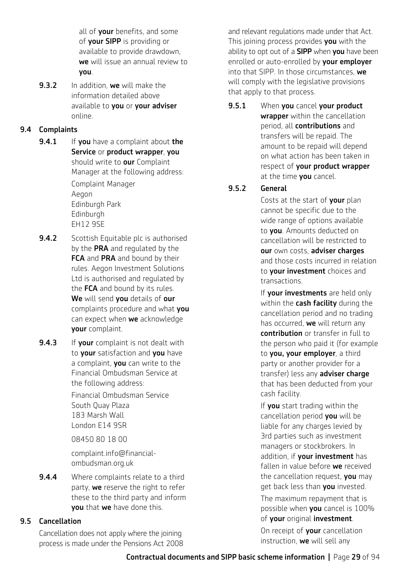all of your benefits, and some of your SIPP is providing or available to provide drawdown, we will issue an annual review to you.

**9.3.2** In addition, we will make the information detailed above available to you or your adviser online.

# 9.4 Complaints

- **9.4.1** If you have a complaint about the Service or product wrapper, you should write to **our** Complaint Manager at the following address: Complaint Manager Aegon Edinburgh Park **Edinburgh** EH12 9SE
- **9.4.2** Scottish Equitable plc is authorised by the PRA and regulated by the FCA and PRA and bound by their rules. Aegon Investment Solutions Ltd is authorised and regulated by the FCA and bound by its rules. We will send you details of our complaints procedure and what you can expect when we acknowledge your complaint.
- **9.4.3** If your complaint is not dealt with to your satisfaction and you have a complaint, you can write to the Financial Ombudsman Service at the following address:

Financial Ombudsman Service South Quay Plaza 183 Marsh Wall London E14 9SR

08450 80 18 00

complaint.info@financialombudsman.org.uk

**9.4.4** Where complaints relate to a third party, we reserve the right to refer these to the third party and inform you that we have done this.

# 9.5 Cancellation

Cancellation does not apply where the joining process is made under the Pensions Act 2008

and relevant regulations made under that Act. This joining process provides you with the ability to opt out of a **SIPP** when you have been enrolled or auto-enrolled by your employer into that SIPP. In those circumstances, we will comply with the legislative provisions that apply to that process.

9.5.1 When you cancel your product wrapper within the cancellation period, all contributions and transfers will be repaid. The amount to be repaid will depend on what action has been taken in respect of your product wrapper at the time **you** cancel.

# 9.5.2 General

Costs at the start of your plan cannot be specific due to the wide range of options available to **you**. Amounts deducted on cancellation will be restricted to our own costs, adviser charges and those costs incurred in relation to **your investment** choices and transactions.

If your investments are held only within the **cash facility** during the cancellation period and no trading has occurred, we will return any contribution or transfer in full to the person who paid it (for example to you, your employer, a third party or another provider for a transfer) less any adviser charge that has been deducted from your cash facility.

If you start trading within the cancellation period you will be liable for any charges levied by 3rd parties such as investment managers or stockbrokers. In addition, if **your investment** has fallen in value before we received the cancellation request, you may get back less than you invested. The maximum repayment that is

possible when you cancel is 100% of your original investment.

On receipt of your cancellation instruction, we will sell any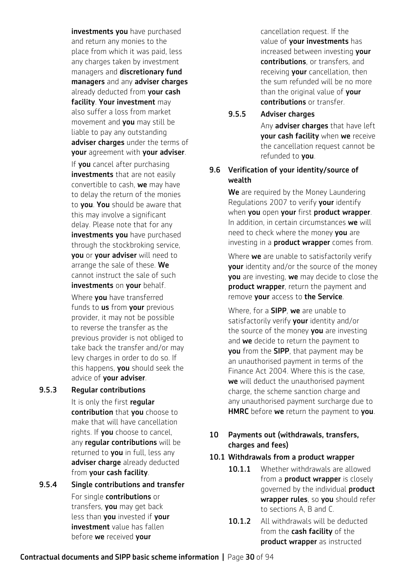investments you have purchased and return any monies to the place from which it was paid, less any charges taken by investment managers and discretionary fund managers and any adviser charges already deducted from your cash facility. Your investment may also suffer a loss from market movement and **you** may still be liable to pay any outstanding adviser charges under the terms of your agreement with your adviser. If you cancel after purchasing investments that are not easily convertible to cash, we may have to delay the return of the monies to **you. You** should be aware that this may involve a significant delay. Please note that for any investments you have purchased through the stockbroking service, you or your adviser will need to arrange the sale of these. We cannot instruct the sale of such investments on your behalf. Where **you** have transferred funds to us from your previous provider, it may not be possible to reverse the transfer as the

previous provider is not obliged to take back the transfer and/or may levy charges in order to do so. If this happens, you should seek the advice of your adviser.

#### 9.5.3 Regular contributions

It is only the first regular contribution that you choose to make that will have cancellation rights. If **you** choose to cancel, any reqular contributions will be returned to **you** in full, less any adviser charge already deducted from your cash facility.

9.5.4 Single contributions and transfer For single contributions or transfers, you may get back less than you invested if your **investment** value has fallen before we received your

cancellation request. If the value of your investments has increased between investing your contributions, or transfers, and receiving your cancellation, then the sum refunded will be no more than the original value of your contributions or transfer.

#### 9.5.5 Adviser charges

Any adviser charges that have left your cash facility when we receive the cancellation request cannot be refunded to **you**.

#### 9.6 Verification of your identity/source of wealth

We are required by the Money Laundering Regulations 2007 to verify your identify when you open your first product wrapper. In addition, in certain circumstances we will need to check where the money you are investing in a **product wrapper** comes from.

Where we are unable to satisfactorily verify your identity and/or the source of the money you are investing, we may decide to close the product wrapper, return the payment and remove your access to the Service.

Where, for a **SIPP**, we are unable to satisfactorily verify your identity and/or the source of the money you are investing and we decide to return the payment to **you** from the **SIPP**, that payment may be an unauthorised payment in terms of the Finance Act 2004. Where this is the case, we will deduct the unauthorised payment charge, the scheme sanction charge and any unauthorised payment surcharge due to HMRC before we return the payment to you.

# 10 Payments out (withdrawals, transfers, charges and fees)

# 10.1 Withdrawals from a product wrapper

- 10.1.1 Whether withdrawals are allowed from a **product wrapper** is closely governed by the individual **product** wrapper rules, so you should refer to sections A, B and C.
- 10.1.2 All withdrawals will be deducted from the **cash facility** of the product wrapper as instructed

# Contractual documents and SIPP basic scheme information **|** Page 30 of 94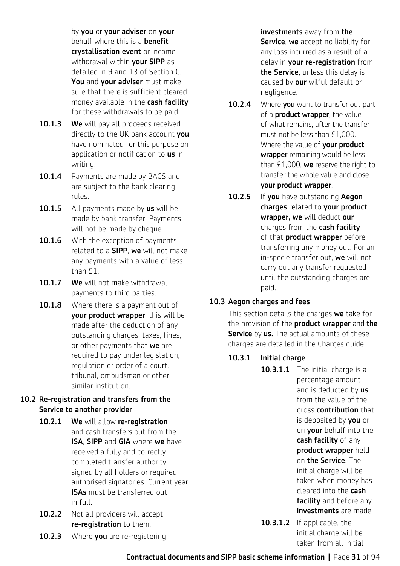by you or your adviser on your behalf where this is a **benefit** crystallisation event or income withdrawal within your SIPP as detailed in 9 and 13 of Section C. You and your adviser must make sure that there is sufficient cleared money available in the cash facility for these withdrawals to be paid.

- 10.1.3 We will pay all proceeds received directly to the UK bank account vou have nominated for this purpose on application or notification to us in writing.
- 10.1.4 Payments are made by BACS and are subject to the bank clearing rules.
- 10.1.5 All payments made by us will be made by bank transfer. Payments will not be made by cheque.
- 10.1.6 With the exception of payments related to a **SIPP**, we will not make any payments with a value of less than £1.
- 10.1.7 We will not make withdrawal payments to third parties.
- 10.1.8 Where there is a payment out of your product wrapper, this will be made after the deduction of any outstanding charges, taxes, fines, or other payments that we are required to pay under legislation, regulation or order of a court, tribunal, ombudsman or other similar institution.

# 10.2 Re-registration and transfers from the Service to another provider

- 10.2.1 We will allow re-registration and cash transfers out from the ISA, SIPP and GIA where we have received a fully and correctly completed transfer authority signed by all holders or required authorised signatories. Current year ISAs must be transferred out in full.
- 10.2.2 Not all providers will accept re-registration to them.
- 10.2.3 Where you are re-registering

investments away from the Service, we accept no liability for any loss incurred as a result of a delay in **your re-registration** from the Service, unless this delay is caused by our wilful default or negligence.

- 10.2.4 Where you want to transfer out part of a **product wrapper**, the value of what remains, after the transfer must not be less than £1,000. Where the value of **your product** wrapper remaining would be less than  $£1,000$ , we reserve the right to transfer the whole value and close your product wrapper.
- 10.2.5 If you have outstanding Aegon charges related to your product wrapper, we will deduct our charges from the cash facility of that **product wrapper** before transferring any money out. For an in-specie transfer out, we will not carry out any transfer requested until the outstanding charges are paid.

# 10.3 Aegon charges and fees

This section details the charges we take for the provision of the **product wrapper** and the Service by us. The actual amounts of these charges are detailed in the Charges guide.

10.3.1 Initial charge

10.3.1.1 The initial charge is a percentage amount and is deducted by us from the value of the gross contribution that is deposited by **you** or on **your** behalf into the cash facility of any product wrapper held on the Service. The initial charge will be taken when money has cleared into the cash facility and before any investments are made.

10.3.1.2 If applicable, the initial charge will be taken from all initial

Contractual documents and SIPP basic scheme information **|** Page 31 of 94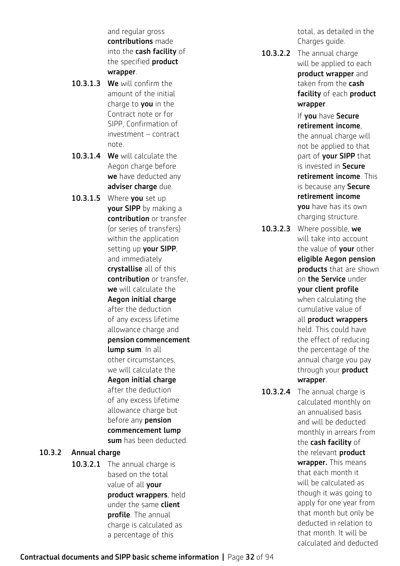and regular gross contributions made into the cash facility of the specified **product** wrapper.

- 10.3.1.3 We will confirm the amount of the initial charge to **you** in the Contract note or for SIPP, Confirmation of investment – contract note.
- 10.3.1.4 We will calculate the Aegon charge before we have deducted any adviser charge due.
- 10.3.1.5 Where you set up your SIPP by making a contribution or transfer (or series of transfers) within the application setting up **your SIPP**. and immediately crystallise all of this contribution or transfer, we will calculate the Aegon initial charge after the deduction of any excess lifetime allowance charge and pension commencement lump sum. In all other circumstances, we will calculate the Aegon initial charge after the deduction of any excess lifetime allowance charge but before any **pension** commencement lump sum has been deducted.

# 10.3.2 Annual charge

10.3.2.1 The annual charge is based on the total value of all **your** product wrappers, held under the same **client** profile. The annual charge is calculated as a percentage of this

total, as detailed in the Charges guide.

10.3.2.2 The annual charge will be applied to each product wrapper and taken from the cash facility of each product wrapper.

> If you have Secure retirement income, the annual charge will not be applied to that part of **your SIPP** that is invested in Secure retirement income. This is because any Secure retirement income you have has its own charging structure.

- 10.3.2.3 Where possible, we will take into account the value of **your** other eligible Aegon pension products that are shown on the Service under your client profile when calculating the cumulative value of all product wrappers held. This could have the effect of reducing the percentage of the annual charge you pay through your **product** wrapper.
- 10.3.2.4 The annual charge is calculated monthly on an annualised basis and will be deducted monthly in arrears from the **cash facility** of the relevant **product** wrapper. This means that each month it will be calculated as though it was going to apply for one year from that month but only be deducted in relation to that month. It will be calculated and deducted

Contractual documents and SIPP basic scheme information **|** Page 32 of 94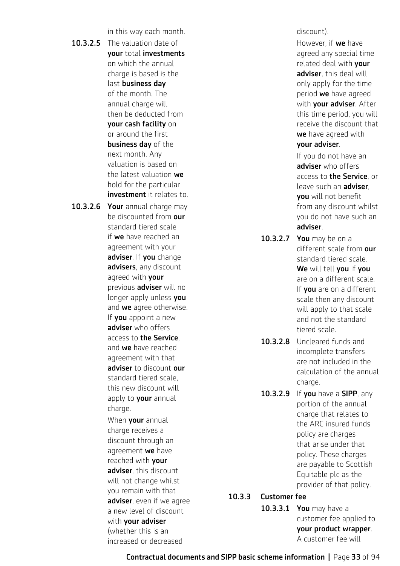in this way each month.

- 10.3.2.5 The valuation date of your total investments on which the annual charge is based is the last business day of the month. The annual charge will then be deducted from your cash facility on or around the first business day of the next month. Any valuation is based on the latest valuation we hold for the particular investment it relates to.
- 10.3.2.6 Your annual charge may be discounted from our standard tiered scale if we have reached an agreement with your adviser. If you change advisers, any discount agreed with **vour** previous adviser will no longer apply unless you and we agree otherwise. If **you** appoint a new adviser who offers access to the Service, and we have reached agreement with that adviser to discount our standard tiered scale, this new discount will apply to your annual charge. When **your** annual

charge receives a discount through an agreement we have reached with your adviser, this discount will not change whilst you remain with that adviser, even if we agree a new level of discount with **your adviser** (whether this is an increased or decreased

#### discount).

However, if we have agreed any special time related deal with **your** adviser, this deal will only apply for the time period we have agreed with your adviser. After this time period, you will receive the discount that we have agreed with your adviser.

If you do not have an adviser who offers access to the Service, or leave such an **adviser**, you will not benefit from any discount whilst you do not have such an adviser.

- 10.3.2.7 You may be on a different scale from our standard tiered scale. We will tell you if you are on a different scale. If you are on a different scale then any discount will apply to that scale and not the standard tiered scale.
- 10.3.2.8 Uncleared funds and incomplete transfers are not included in the calculation of the annual charge.
- 10.3.2.9 If you have a SIPP, any portion of the annual charge that relates to the ARC insured funds policy are charges that arise under that policy. These charges are payable to Scottish Equitable plc as the provider of that policy.

# 10.3.3 Customer fee

| <b>10.3.3.1 You</b> may have a |  |
|--------------------------------|--|
| customer fee applied to        |  |
| your product wrapper.          |  |
| A customer fee will            |  |

Contractual documents and SIPP basic scheme information **|** Page 33 of 94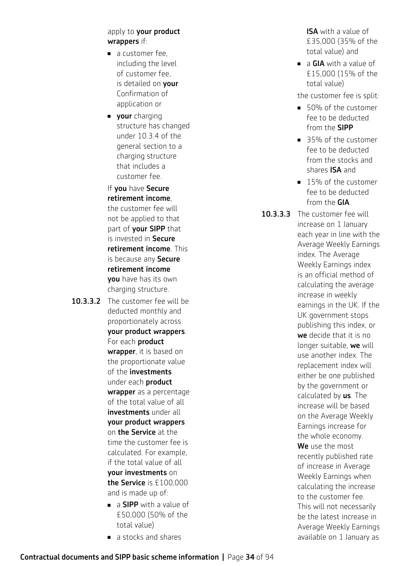#### apply to your product wrappers if:

- $\blacksquare$  a customer fee, including the level of customer fee, is detailed on **your** Confirmation of application or
- vour charging structure has changed under 10.3.4 of the general section to a charging structure that includes a customer fee.

If you have Secure retirement income, the customer fee will not be applied to that part of your SIPP that is invested in Secure retirement income. This is because any Secure retirement income you have has its own charging structure.

- 10.3.3.2 The customer fee will be deducted monthly and proportionately across your product wrappers. For each product wrapper, it is based on the proportionate value of the investments under each product wrapper as a percentage of the total value of all investments under all your product wrappers on the Service at the time the customer fee is calculated. For example, if the total value of all your investments on the Service is £100,000 and is made up of:
	- $\blacksquare$  a **SIPP** with a value of £50,000 (50% of the total value)
	- a stocks and shares

**ISA** with a value of £35,000 (35% of the total value) and

 $\blacksquare$  a GIA with a value of £15,000 (15% of the total value)

the customer fee is split:

- <sup>n</sup> 50% of the customer fee to be deducted from the SIPP
- 35% of the customer fee to be deducted from the stocks and shares ISA and
- 15% of the customer fee to be deducted from the GIA

10.3.3.3 The customer fee will increase on 1 January each year in line with the Average Weekly Earnings index. The Average Weekly Earnings index is an official method of calculating the average increase in weekly earnings in the UK. If the UK government stops publishing this index, or we decide that it is no longer suitable, we will use another index. The replacement index will either be one published by the government or calculated by us. The increase will be based on the Average Weekly Earnings increase for the whole economy. We use the most recently published rate of increase in Average Weekly Earnings when calculating the increase to the customer fee. This will not necessarily be the latest increase in Average Weekly Earnings available on 1 January as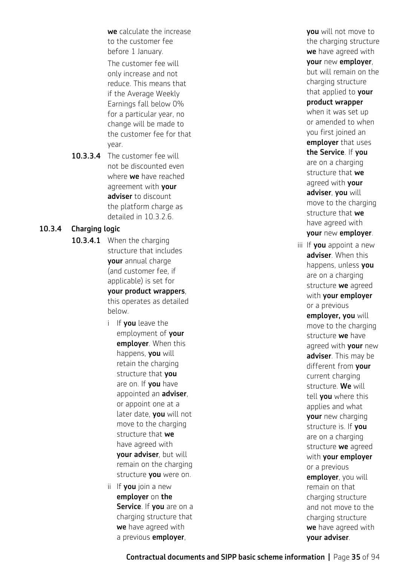we calculate the increase to the customer fee before 1 January. The customer fee will only increase and not reduce. This means that if the Average Weekly Earnings fall below 0% for a particular year, no change will be made to the customer fee for that year.

10.3.3.4 The customer fee will not be discounted even where **we** have reached agreement with your adviser to discount the platform charge as detailed in 10.3.2.6.

# 10.3.4 Charging logic

- 10.3.4.1 When the charging structure that includes your annual charge (and customer fee, if applicable) is set for your product wrappers, this operates as detailed below.
	- i If you leave the employment of your employer. When this happens, you will retain the charging structure that you are on. If you have appointed an adviser, or appoint one at a later date, you will not move to the charging structure that we have agreed with your adviser, but will remain on the charging structure vou were on.
	- ii If  $you$  join a new employer on the Service. If you are on a charging structure that we have agreed with a previous **employer**,

you will not move to the charging structure we have agreed with your new employer, but will remain on the charging structure that applied to your product wrapper when it was set up or amended to when you first joined an employer that uses the Service. If you are on a charging structure that we agreed with your adviser, you will move to the charging structure that we have agreed with your new employer. iii If **you** appoint a new adviser. When this happens, unless vou are on a charging structure we agreed with your employer or a previous employer, you will move to the charging structure we have agreed with your new adviser. This may be different from your current charging structure. We will tell you where this applies and what your new charging structure is. If you are on a charging structure we agreed with your employer or a previous employer, you will remain on that charging structure and not move to the charging structure we have agreed with

your adviser.

Contractual documents and SIPP basic scheme information **|** Page 35 of 94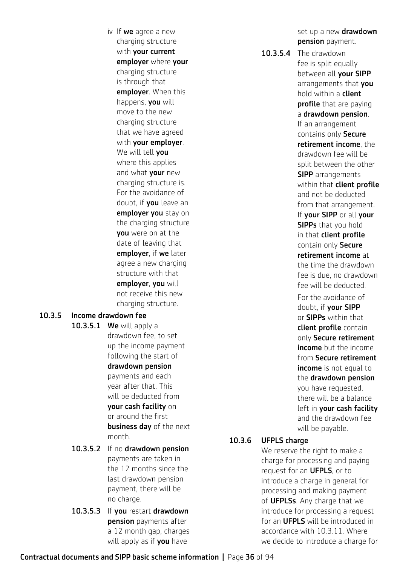iv If  $we$  agree a new charging structure with your current employer where your charging structure is through that employer. When this happens, you will move to the new charging structure that we have agreed with your employer. We will tell you where this applies and what your new charging structure is. For the avoidance of doubt, if **you** leave an employer you stay on the charging structure you were on at the date of leaving that employer, if we later agree a new charging structure with that employer, you will not receive this new charging structure.

# 10.3.5 Income drawdown fee

- 10.3.5.1 We will apply a drawdown fee, to set up the income payment following the start of drawdown pension payments and each year after that. This will be deducted from your cash facility on or around the first business day of the next month.
- 10.3.5.2 If no drawdown pension payments are taken in the 12 months since the last drawdown pension payment, there will be no charge.
- 10.3.5.3 If you restart drawdown pension payments after a 12 month gap, charges will apply as if **you** have

set up a new **drawdown** pension payment.

10.3.5.4 The drawdown fee is split equally between all your SIPP arrangements that you hold within a client profile that are paying a drawdown pension. If an arrangement contains only Secure retirement income, the drawdown fee will be split between the other **SIPP** arrangements within that **client profile** and not be deducted from that arrangement. If your SIPP or all your **SIPPs** that you hold in that client profile contain only Secure retirement income at the time the drawdown fee is due, no drawdown fee will be deducted. For the avoidance of doubt, if your SIPP or SIPPs within that client profile contain only Secure retirement income but the income from Secure retirement income is not equal to the drawdown pension you have requested, there will be a balance left in your cash facility and the drawdown fee will be payable.

#### 10.3.6 UFPLS charge

We reserve the right to make a charge for processing and paying request for an **UFPLS**, or to introduce a charge in general for processing and making payment of **UFPLSs**. Any charge that we introduce for processing a request for an **UFPLS** will be introduced in accordance with 10.3.11. Where we decide to introduce a charge for

# Contractual documents and SIPP basic scheme information **|** Page 36 of 94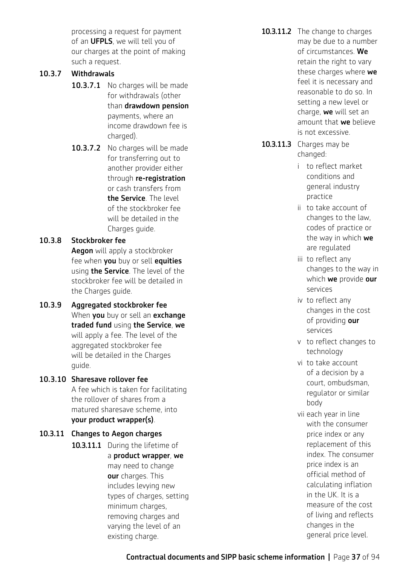processing a request for payment of an **UFPLS**, we will tell you of our charges at the point of making such a request.

#### 10.3.7 Withdrawals

- 10.3.7.1 No charges will be made for withdrawals (other than drawdown pension payments, where an income drawdown fee is charged).
- 10.3.7.2 No charges will be made for transferring out to another provider either through re-registration or cash transfers from the Service. The level of the stockbroker fee will be detailed in the Charges guide.

#### 10.3.8 Stockbroker fee

Aegon will apply a stockbroker fee when you buy or sell equities using **the Service**. The level of the stockbroker fee will be detailed in the Charges guide.

10.3.9 Aggregated stockbroker fee When **you** buy or sell an **exchange** traded fund using the Service, we will apply a fee. The level of the aggregated stockbroker fee will be detailed in the Charges guide.

#### 10.3.10 Sharesave rollover fee

A fee which is taken for facilitating the rollover of shares from a matured sharesave scheme, into your product wrapper(s).

10.3.11 Changes to Aegon charges 10.3.11.1 During the lifetime of a product wrapper, we may need to change our charges. This includes levying new types of charges, setting minimum charges. removing charges and varying the level of an

existing charge.

- 10.3.11.2 The change to charges may be due to a number of circumstances. We retain the right to vary these charges where we feel it is necessary and reasonable to do so. In setting a new level or charge, we will set an amount that we believe is not excessive.
- 10.3.11.3 Charges may be changed:
	- i to reflect market conditions and general industry practice
	- ii to take account of changes to the law, codes of practice or the way in which we are regulated
	- iii to reflect any changes to the way in which we provide our services
	- iv to reflect any changes in the cost of providing our services
	- v to reflect changes to technology
	- vi to take account of a decision by a court, ombudsman, regulator or similar body
	- vii each year in line with the consumer price index or any replacement of this index. The consumer price index is an official method of calculating inflation in the UK. It is a measure of the cost of living and reflects changes in the general price level.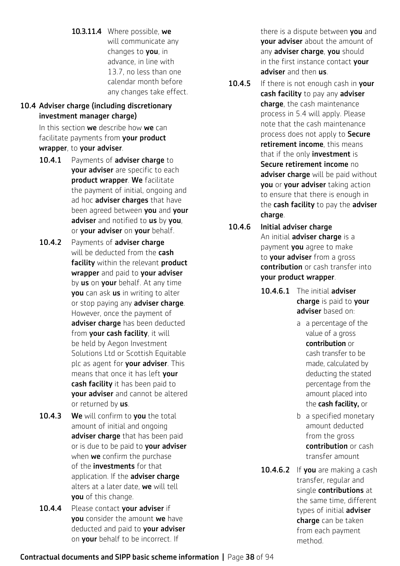10.3.11.4 Where possible, we will communicate any changes to you, in advance, in line with 13.7, no less than one calendar month before any changes take effect.

#### 10.4 Adviser charge (including discretionary investment manager charge)

In this section we describe how we can facilitate payments from your product wrapper, to your adviser.

- 10.4.1 Payments of adviser charge to your adviser are specific to each product wrapper. We facilitate the payment of initial, ongoing and ad hoc adviser charges that have been agreed between you and your adviser and notified to us by you, or your adviser on your behalf.
- 10.4.2 Payments of adviser charge will be deducted from the **cash** facility within the relevant product wrapper and paid to your adviser by us on your behalf. At any time you can ask us in writing to alter or stop paying any adviser charge. However, once the payment of adviser charge has been deducted from your cash facility, it will be held by Aegon Investment Solutions Ltd or Scottish Equitable plc as agent for your adviser. This means that once it has left your cash facility it has been paid to your adviser and cannot be altered or returned by us.
- 10.4.3 We will confirm to you the total amount of initial and ongoing adviser charge that has been paid or is due to be paid to your adviser when **we** confirm the purchase of the **investments** for that application. If the adviser charge alters at a later date, we will tell you of this change.
- 10.4.4 Please contact vour adviser if you consider the amount we have deducted and paid to **vour adviser** on your behalf to be incorrect. If

there is a dispute between you and **vour adviser** about the amount of any adviser charge, you should in the first instance contact your adviser and then us.

- 10.4.5 If there is not enough cash in your cash facility to pay any adviser charge, the cash maintenance process in 5.4 will apply. Please note that the cash maintenance process does not apply to Secure retirement income, this means that if the only **investment** is Secure retirement income no adviser charge will be paid without you or your adviser taking action to ensure that there is enough in the cash facility to pay the adviser charge.
- 10.4.6 Initial adviser charge An initial **adviser charge** is a payment **you** agree to make to **your adviser** from a gross contribution or cash transfer into your product wrapper.
	- 10.4.6.1 The initial adviser charge is paid to your adviser based on:
		- a a percentage of the value of a gross contribution or cash transfer to be made, calculated by deducting the stated percentage from the amount placed into the cash facility, or
		- b a specified monetary amount deducted from the gross contribution or cash transfer amount
	- 10.4.6.2 If you are making a cash transfer, regular and single contributions at the same time, different types of initial adviser charge can be taken from each payment method.

Contractual documents and SIPP basic scheme information **|** Page 38 of 94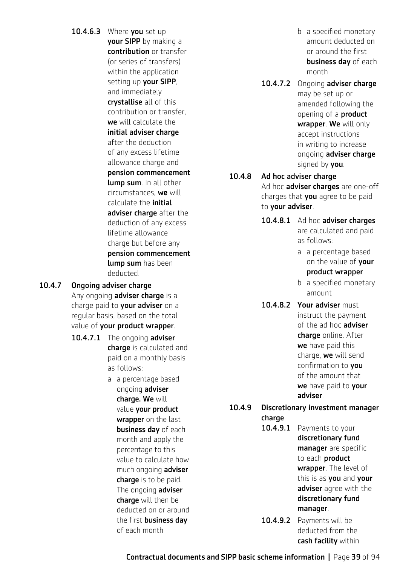- 10.4.6.3 Where you set up vour SIPP by making a contribution or transfer (or series of transfers) within the application setting up your SIPP, and immediately crystallise all of this contribution or transfer, we will calculate the initial adviser charge after the deduction of any excess lifetime allowance charge and pension commencement lump sum. In all other circumstances, we will calculate the initial adviser charge after the deduction of any excess lifetime allowance charge but before any pension commencement lump sum has been deducted.
- 10.4.7 Ongoing adviser charge
	- Any ongoing **adviser charge** is a charge paid to your adviser on a regular basis, based on the total value of your product wrapper.
	- 10.4.7.1 The ongoing adviser charge is calculated and paid on a monthly basis as follows:
		- a a percentage based ongoing adviser charge. We will value your product wrapper on the last business day of each month and apply the percentage to this value to calculate how much ongoing **adviser** charge is to be paid. The ongoing **adviser** charge will then be deducted on or around the first business day of each month
- b a specified monetary amount deducted on or around the first business day of each month
- 10.4.7.2 Ongoing adviser charge may be set up or amended following the opening of a product wrapper. We will only accept instructions in writing to increase ongoing adviser charge signed by you.

10.4.8 Ad hoc adviser charge Ad hoc adviser charges are one-off charges that you agree to be paid to your adviser.

- 10.4.8.1 Ad hoc adviser charges
	- are calculated and paid as follows:
	- a a percentage based on the value of your product wrapper
	- b a specified monetary amount
- 10.4.8.2 Your adviser must instruct the payment of the ad hoc adviser charge online. After we have paid this charge, we will send confirmation to **vou** of the amount that we have paid to your adviser.

#### 10.4.9 Discretionary investment manager charge

10.4.9.1 Payments to your

discretionary fund manager are specific to each **product** wrapper. The level of this is as you and your adviser agree with the discretionary fund manager.

10.4.9.2 Payments will be deducted from the cash facility within

Contractual documents and SIPP basic scheme information **|** Page 39 of 94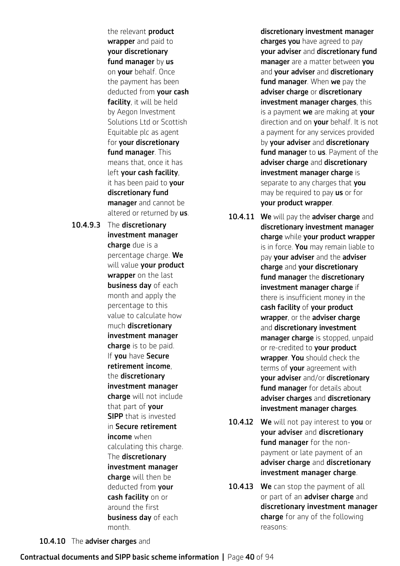the relevant **product** wrapper and paid to your discretionary fund manager by us on your behalf. Once the payment has been deducted from your cash facility, it will be held by Aegon Investment Solutions Ltd or Scottish Equitable plc as agent for your discretionary fund manager. This means that, once it has left your cash facility, it has been paid to your discretionary fund manager and cannot be altered or returned by us.

10.4.9.3 The discretionary investment manager charge due is a percentage charge. We will value your product wrapper on the last business day of each month and apply the percentage to this value to calculate how much discretionary investment manager charge is to be paid. If you have Secure retirement income, the discretionary investment manager charge will not include that part of your SIPP that is invested in Secure retirement **income** when calculating this charge. The discretionary investment manager charge will then be deducted from your cash facility on or around the first business day of each month.

discretionary investment manager charges you have agreed to pay your adviser and discretionary fund manager are a matter between you and your adviser and discretionary fund manager. When we pay the adviser charge or discretionary investment manager charges, this is a payment we are making at your direction and on your behalf. It is not a payment for any services provided by your adviser and discretionary fund manager to us. Payment of the adviser charge and discretionary investment manager charge is separate to any charges that you may be required to pay us or for your product wrapper.

10.4.11 We will pay the adviser charge and discretionary investment manager charge while your product wrapper is in force. You may remain liable to pay your adviser and the adviser charge and your discretionary fund manager the discretionary investment manager charge if there is insufficient money in the cash facility of your product wrapper, or the adviser charge and discretionary investment manager charge is stopped, unpaid or re-credited to your product wrapper. You should check the terms of **your** agreement with your adviser and/or discretionary fund manager for details about adviser charges and discretionary investment manager charges.

- 10.4.12 We will not pay interest to you or your adviser and discretionary fund manager for the nonpayment or late payment of an adviser charge and discretionary investment manager charge.
- 10.4.13 We can stop the payment of all or part of an **adviser charge** and discretionary investment manager charge for any of the following reasons:

10.4.10 The adviser charges and

#### Contractual documents and SIPP basic scheme information **|** Page 40 of 94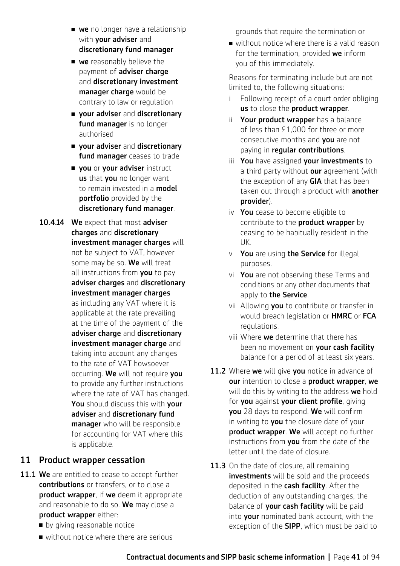- **we** no longer have a relationship with your adviser and discretionary fund manager
- $\blacksquare$  we reasonably believe the payment of adviser charge and discretionary investment manager charge would be contrary to law or regulation
- **n** your adviser and discretionary fund manager is no longer authorised
- **n** your adviser and discretionary fund manager ceases to trade
- vou or your adviser instruct us that you no longer want to remain invested in a **model** portfolio provided by the discretionary fund manager.
- 10.4.14 We expect that most adviser charges and discretionary investment manager charges will not be subject to VAT, however some may be so. We will treat all instructions from you to pay adviser charges and discretionary investment manager charges as including any VAT where it is applicable at the rate prevailing at the time of the payment of the adviser charge and discretionary investment manager charge and taking into account any changes to the rate of VAT howsoever occurring. We will not require you to provide any further instructions where the rate of VAT has changed. You should discuss this with your adviser and discretionary fund **manager** who will be responsible for accounting for VAT where this is applicable.

#### 11 Product wrapper cessation

- 11.1 We are entitled to cease to accept further contributions or transfers, or to close a product wrapper, if we deem it appropriate and reasonable to do so. We may close a product wrapper either:
	- **n** by giving reasonable notice
	- $\blacksquare$  without notice where there are serious

grounds that require the termination or

 $\blacksquare$  without notice where there is a valid reason for the termination, provided we inform you of this immediately.

Reasons for terminating include but are not limited to, the following situations:

- i Following receipt of a court order obliging us to close the product wrapper.
- ii Your product wrapper has a balance of less than £1,000 for three or more consecutive months and you are not paying in regular contributions.
- iii You have assigned your investments to a third party without our agreement (with the exception of any GIA that has been taken out through a product with **another** provider).
- iv You cease to become eligible to contribute to the **product wrapper** by ceasing to be habitually resident in the UK.
- v You are using the Service for illegal purposes.
- vi You are not observing these Terms and conditions or any other documents that apply to the Service.
- vii Allowing vou to contribute or transfer in would breach legislation or HMRC or FCA regulations.
- viii Where we determine that there has been no movement on your cash facility balance for a period of at least six years.
- 11.2 Where we will give you notice in advance of our intention to close a product wrapper, we will do this by writing to the address we hold for you against your client profile, giving you 28 days to respond. We will confirm in writing to you the closure date of your product wrapper. We will accept no further instructions from you from the date of the letter until the date of closure.
- 11.3 On the date of closure, all remaining investments will be sold and the proceeds deposited in the cash facility. After the deduction of any outstanding charges, the balance of **your cash facility** will be paid into your nominated bank account, with the exception of the **SIPP**, which must be paid to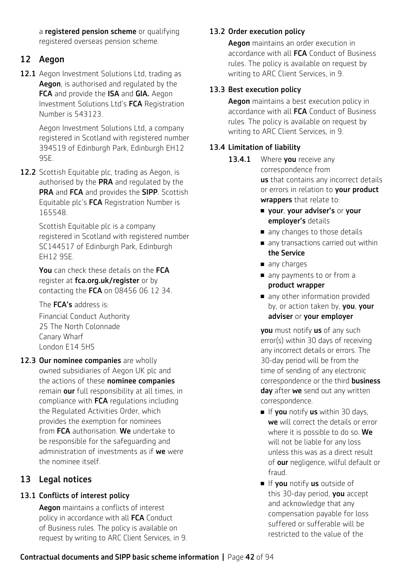a registered pension scheme or qualifying registered overseas pension scheme.

# 12 Aegon

12.1 Aegon Investment Solutions Ltd, trading as Aegon, is authorised and regulated by the FCA and provide the ISA and GIA. Aegon Investment Solutions Ltd's FCA Registration Number is 543123.

> Aegon Investment Solutions Ltd, a company registered in Scotland with registered number 394519 of Edinburgh Park, Edinburgh EH12 9SE.

12.2 Scottish Equitable plc, trading as Aegon, is authorised by the PRA and regulated by the PRA and FCA and provides the SIPP. Scottish Equitable plc's FCA Registration Number is 165548.

> Scottish Equitable plc is a company registered in Scotland with registered number SC144517 of Edinburgh Park, Edinburgh EH12 9SE.

You can check these details on the FCA register at [fca.org.uk/register](http://fca.org.uk/register) or by contacting the FCA on 08456 06 12 34.

The **FCA's** address is:

Financial Conduct Authority 25 The North Colonnade Canary Wharf London E14 5HS

12.3 Our nominee companies are wholly owned subsidiaries of Aegon UK plc and the actions of these **nominee companies** remain our full responsibility at all times, in compliance with FCA regulations including the Regulated Activities Order, which provides the exemption for nominees from FCA authorisation. We undertake to be responsible for the safeguarding and administration of investments as if we were the nominee itself.

# 13 Legal notices

# 13.1 Conflicts of interest policy

Aegon maintains a conflicts of interest policy in accordance with all FCA Conduct of Business rules. The policy is available on request by writing to ARC Client Services, in 9.

# 13.2 Order execution policy

Aegon maintains an order execution in accordance with all **FCA** Conduct of Business rules. The policy is available on request by writing to ARC Client Services, in 9.

# 13.3 Best execution policy

Aegon maintains a best execution policy in accordance with all FCA Conduct of Business rules. The policy is available on request by writing to ARC Client Services, in 9.

# 13.4 Limitation of liability

- 13.4.1 Where you receive any correspondence from us that contains any incorrect details or errors in relation to your product wrappers that relate to:
	- **n** your, your adviser's or your employer's details
	- $\blacksquare$  any changes to those details
	- $\blacksquare$  any transactions carried out within the Service
	- $\blacksquare$  any charges
	- n any payments to or from a product wrapper
	- n any other information provided by, or action taken by, you, your adviser or your employer

you must notify us of any such error(s) within 30 days of receiving any incorrect details or errors. The 30-day period will be from the time of sending of any electronic correspondence or the third **business** day after we send out any written correspondence.

- $\blacksquare$  If you notify us within 30 days, we will correct the details or error where it is possible to do so. We will not be liable for any loss unless this was as a direct result of our negligence, wilful default or fraud.
- **n** If you notify us outside of this 30-day period, you accept and acknowledge that any compensation payable for loss suffered or sufferable will be restricted to the value of the

# Contractual documents and SIPP basic scheme information **|** Page 42 of 94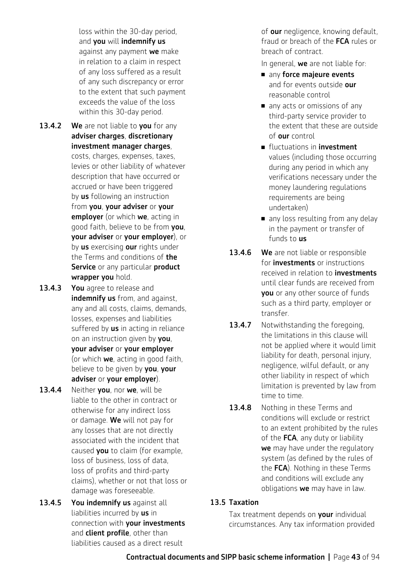loss within the 30-day period, and you will indemnify us against any payment we make in relation to a claim in respect of any loss suffered as a result of any such discrepancy or error to the extent that such payment exceeds the value of the loss within this 30-day period.

- 13.4.2 We are not liable to you for any adviser charges, discretionary investment manager charges, costs, charges, expenses, taxes, levies or other liability of whatever description that have occurred or accrued or have been triggered by us following an instruction from you, your adviser or your employer (or which we, acting in good faith, believe to be from you, your adviser or your employer), or by us exercising our rights under the Terms and conditions of the Service or any particular product wrapper you hold.
- 13.4.3 You agree to release and indemnify us from, and against, any and all costs, claims, demands, losses, expenses and liabilities suffered by us in acting in reliance on an instruction given by you, your adviser or your employer (or which **we**, acting in good faith, believe to be given by you, your adviser or your employer).
- 13.4.4 Neither you, nor we, will be liable to the other in contract or otherwise for any indirect loss or damage. We will not pay for any losses that are not directly associated with the incident that caused **you** to claim (for example, loss of business, loss of data, loss of profits and third-party claims), whether or not that loss or damage was foreseeable.
- 13.4.5 You indemnify us against all liabilities incurred by us in connection with your investments and **client profile**, other than liabilities caused as a direct result

of our negligence, knowing default, fraud or breach of the **FCA** rules or breach of contract.

In general, we are not liable for:

- $\blacksquare$  any force majeure events and for events outside our reasonable control
- n any acts or omissions of any third-party service provider to the extent that these are outside of our control
- **n** fluctuations in **investment** values (including those occurring during any period in which any verifications necessary under the money laundering regulations requirements are being undertaken)
- n any loss resulting from any delay in the payment or transfer of funds to us
- 13.4.6 We are not liable or responsible for **investments** or instructions received in relation to **investments** until clear funds are received from you or any other source of funds such as a third party, employer or transfer.
- 13.4.7 Notwithstanding the foregoing, the limitations in this clause will not be applied where it would limit liability for death, personal injury, negligence, wilful default, or any other liability in respect of which limitation is prevented by law from time to time.
- 13.4.8 Nothing in these Terms and conditions will exclude or restrict to an extent prohibited by the rules of the FCA, any duty or liability we may have under the regulatory system (as defined by the rules of the FCA). Nothing in these Terms and conditions will exclude any obligations we may have in law.

#### 13.5 Taxation

Tax treatment depends on your individual circumstances. Any tax information provided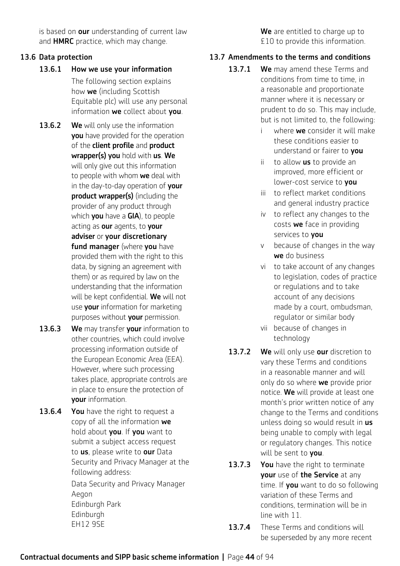is based on our understanding of current law and **HMRC** practice, which may change.

#### 13.6 Data protection

- 13.6.1 How we use your information The following section explains how we (including Scottish Equitable plc) will use any personal information we collect about vou.
- 13.6.2 We will only use the information **you** have provided for the operation of the client profile and product wrapper(s) you hold with us. We will only give out this information to people with whom we deal with in the day-to-day operation of your product wrapper(s) (including the provider of any product through which you have a GIA), to people acting as our agents, to your adviser or your discretionary fund manager (where you have provided them with the right to this data, by signing an agreement with them) or as required by law on the understanding that the information will be kept confidential. We will not use **your** information for marketing purposes without your permission.
- 13.6.3 We may transfer your information to other countries, which could involve processing information outside of the European Economic Area (EEA). However, where such processing takes place, appropriate controls are in place to ensure the protection of your information.
- 13.6.4 You have the right to request a copy of all the information we hold about you. If you want to submit a subject access request to us, please write to our Data Security and Privacy Manager at the following address:

Data Security and Privacy Manager Aegon Edinburgh Park Edinburgh EH12 9SE

We are entitled to charge up to £10 to provide this information.

#### 13.7 Amendments to the terms and conditions

- 13.7.1 We may amend these Terms and conditions from time to time, in a reasonable and proportionate manner where it is necessary or prudent to do so. This may include, but is not limited to, the following:
	- i where we consider it will make these conditions easier to understand or fairer to you
	- ii to allow  $us$  to provide an improved, more efficient or lower-cost service to you
	- iii to reflect market conditions and general industry practice
	- iv to reflect any changes to the costs we face in providing services to **vou**
	- v because of changes in the way we do business
	- vi to take account of any changes to legislation, codes of practice or regulations and to take account of any decisions made by a court, ombudsman, regulator or similar body
	- vii because of changes in technology
- 13.7.2 We will only use our discretion to vary these Terms and conditions in a reasonable manner and will only do so where we provide prior notice. We will provide at least one month's prior written notice of any change to the Terms and conditions unless doing so would result in us being unable to comply with legal or regulatory changes. This notice will be sent to you.
- 13.7.3 You have the right to terminate your use of the Service at any time. If you want to do so following variation of these Terms and conditions, termination will be in line with 11.
- 13.7.4 These Terms and conditions will be superseded by any more recent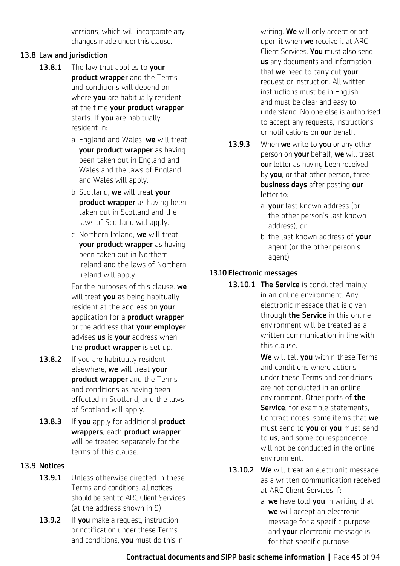versions, which will incorporate any changes made under this clause.

#### 13.8 Law and jurisdiction

- 13.8.1 The law that applies to your product wrapper and the Terms and conditions will depend on where **you** are habitually resident at the time your product wrapper starts. If you are habitually resident in:
	- a England and Wales, we will treat your product wrapper as having been taken out in England and Wales and the laws of England and Wales will apply.
	- b Scotland, we will treat your product wrapper as having been taken out in Scotland and the laws of Scotland will apply.
	- c Northern Ireland, we will treat your product wrapper as having been taken out in Northern Ireland and the laws of Northern Ireland will apply.

For the purposes of this clause, we will treat you as being habitually resident at the address on your application for a **product wrapper** or the address that your employer advises us is your address when the **product wrapper** is set up.

- 13.8.2 If you are habitually resident elsewhere, we will treat your product wrapper and the Terms and conditions as having been effected in Scotland, and the laws of Scotland will apply.
- 13.8.3 If you apply for additional product wrappers, each product wrapper will be treated separately for the terms of this clause.

#### 13.9 Notices

- 13.9.1 Unless otherwise directed in these Terms and conditions, all notices should be sent to ARC Client Services (at the address shown in 9).
- 13.9.2 If you make a request, instruction or notification under these Terms and conditions, you must do this in

writing. We will only accept or act upon it when **we** receive it at ARC Client Services. You must also send us any documents and information that we need to carry out your request or instruction. All written instructions must be in English and must be clear and easy to understand. No one else is authorised to accept any requests, instructions or notifications on **our** behalf.

- 13.9.3 When we write to vou or any other person on your behalf, we will treat our letter as having been received by **you**, or that other person, three business days after posting our letter to:
	- a your last known address (or the other person's last known address), or
	- b the last known address of your agent (or the other person's agent)

#### 13.10 Electronic messages

13.10.1 The Service is conducted mainly in an online environment. Any electronic message that is given through **the Service** in this online environment will be treated as a written communication in line with this clause.

> We will tell you within these Terms and conditions where actions under these Terms and conditions are not conducted in an online environment. Other parts of **the Service**, for example statements, Contract notes, some items that we must send to **you** or **you** must send to **us**, and some correspondence will not be conducted in the online environment.

- 13.10.2 We will treat an electronic message as a written communication received at ARC Client Services if:
	- a we have told you in writing that we will accept an electronic message for a specific purpose and **your** electronic message is for that specific purpose

Contractual documents and SIPP basic scheme information **|** Page 45 of 94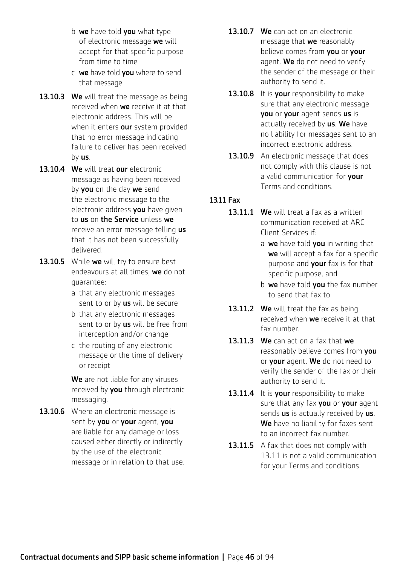- b  $we$  have told you what type of electronic message we will accept for that specific purpose from time to time
- c we have told you where to send that message
- 13.10.3 We will treat the message as being received when we receive it at that electronic address. This will be when it enters our system provided that no error message indicating failure to deliver has been received by us.
- 13.10.4 We will treat our electronic message as having been received by **you** on the day we send the electronic message to the electronic address **you** have given to us on the Service unless we receive an error message telling us that it has not been successfully delivered.
- 13.10.5 While we will try to ensure best endeavours at all times, we do not guarantee:
	- a that any electronic messages sent to or by us will be secure
	- b that any electronic messages sent to or by us will be free from interception and/or change
	- c the routing of any electronic message or the time of delivery or receipt

We are not liable for any viruses received by you through electronic messaging.

13.10.6 Where an electronic message is sent by you or your agent, you are liable for any damage or loss caused either directly or indirectly by the use of the electronic message or in relation to that use.

- 13.10.7 We can act on an electronic message that we reasonably believe comes from you or your agent. We do not need to verify the sender of the message or their authority to send it.
- 13.10.8 It is vour responsibility to make sure that any electronic message you or your agent sends us is actually received by us. We have no liability for messages sent to an incorrect electronic address.
- 13.10.9 An electronic message that does not comply with this clause is not a valid communication for your Terms and conditions.

#### 13.11 Fax

- 13.11.1 We will treat a fax as a written communication received at ARC Client Services if:
	- a we have told you in writing that we will accept a fax for a specific purpose and **your** fax is for that specific purpose, and
	- b we have told vou the fax number to send that fax to
- 13.11.2 We will treat the fax as being received when we receive it at that fax number.
- 13.11.3 We can act on a fax that we reasonably believe comes from you or your agent. We do not need to verify the sender of the fax or their authority to send it.
- 13.11.4 It is your responsibility to make sure that any fax you or your agent sends us is actually received by us. We have no liability for faxes sent to an incorrect fax number.
- 13.11.5 A fax that does not comply with 13.11 is not a valid communication for your Terms and conditions.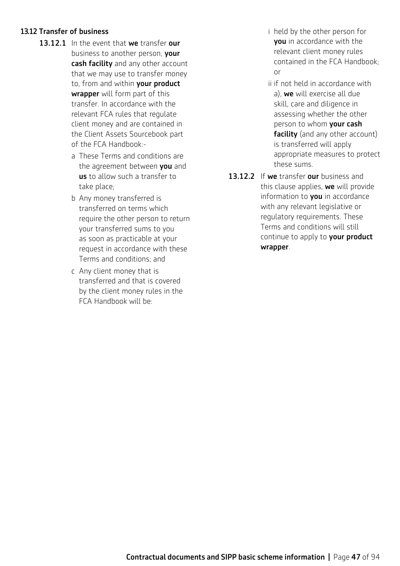#### 13.12 Transfer of business

- 13.12.1 In the event that we transfer our business to another person, **vour** cash facility and any other account that we may use to transfer money to, from and within your product wrapper will form part of this transfer. In accordance with the relevant FCA rules that regulate client money and are contained in the Client Assets Sourcebook part of the FCA Handbook:
	- a These Terms and conditions are the agreement between you and us to allow such a transfer to take place;
	- b Any money transferred is transferred on terms which require the other person to return your transferred sums to you as soon as practicable at your request in accordance with these Terms and conditions; and
	- c Any client money that is transferred and that is covered by the client money rules in the FCA Handbook will be:
- i held by the other person for you in accordance with the relevant client money rules contained in the FCA Handbook; or
- ii if not held in accordance with a), we will exercise all due skill, care and diligence in assessing whether the other person to whom **your cash** facility (and any other account) is transferred will apply appropriate measures to protect these sums.
- 13.12.2 If we transfer our business and this clause applies, we will provide information to **you** in accordance with any relevant legislative or regulatory requirements. These Terms and conditions will still continue to apply to your product wrapper.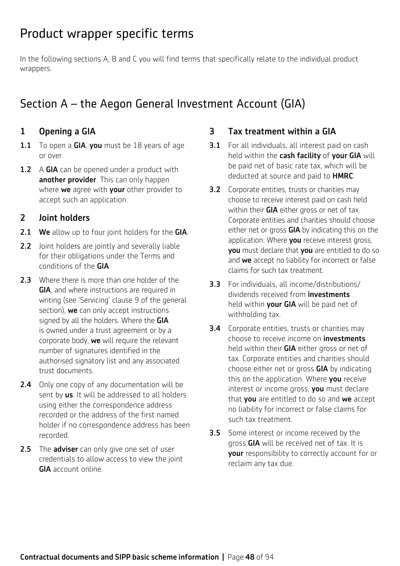# Product wrapper specific terms

In the following sections A, B and C you will find terms that specifically relate to the individual product wrappers.

# Section A – the Aegon General Investment Account (GIA)

# 1 Opening a GIA

- 1.1 To open a GIA, you must be 18 years of age or over.
- **1.2** A GIA can be opened under a product with another provider. This can only happen where we agree with your other provider to accept such an application.

## 2 Joint holders

- 2.1 We allow up to four joint holders for the GIA.
- 2.2 Joint holders are jointly and severally liable for their obligations under the Terms and conditions of the GIA.
- 2.3 Where there is more than one holder of the GIA, and where instructions are required in writing (see 'Servicing' clause 9 of the general section), we can only accept instructions signed by all the holders. Where the GIA is owned under a trust agreement or by a corporate body, we will require the relevant number of signatures identified in the authorised signatory list and any associated trust documents.
- 2.4 Only one copy of any documentation will be sent by us. It will be addressed to all holders using either the correspondence address recorded or the address of the first named holder if no correspondence address has been recorded.
- 2.5 The adviser can only give one set of user credentials to allow access to view the joint GIA account online.

### 3 Tax treatment within a GIA

- **3.1** For all individuals, all interest paid on cash held within the cash facility of your GIA will be paid net of basic rate tax, which will be deducted at source and paid to **HMRC**.
- **3.2** Corporate entities, trusts or charities may choose to receive interest paid on cash held within their GIA either gross or net of tax. Corporate entities and charities should choose either net or gross GIA by indicating this on the application. Where **you** receive interest gross, you must declare that you are entitled to do so and we accept no liability for incorrect or false claims for such tax treatment.
- 3.3 For individuals, all income/distributions/ dividends received from **investments** held within your GIA will be paid net of withholding tax.
- **3.4** Corporate entities, trusts or charities may choose to receive income on **investments** held within their GIA either gross or net of tax. Corporate entities and charities should choose either net or gross GIA by indicating this on the application. Where you receive interest or income gross, you must declare that you are entitled to do so and we accept no liability for incorrect or false claims for such tax treatment.
- **3.5** Some interest or income received by the gross GIA will be received net of tax. It is your responsibility to correctly account for or reclaim any tax due.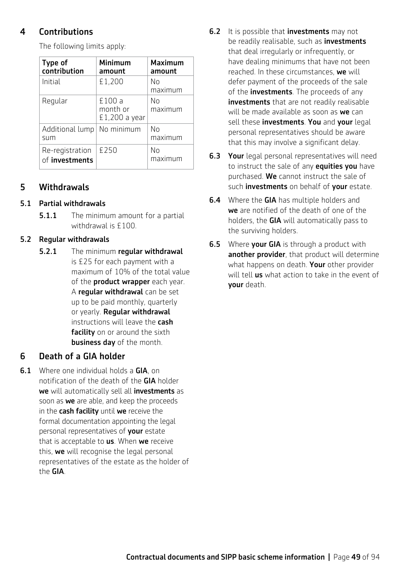### 4 Contributions

| Type of<br>contribution           | Minimum<br>amount                   | <b>Maximum</b><br>amount |
|-----------------------------------|-------------------------------------|--------------------------|
| Initial                           | £1,200                              | No<br>maximum            |
| Regular                           | £100 a<br>month or<br>£1,200 a year | Nο<br>maximum            |
| Additional lump<br>sum            | No minimum                          | No<br>maximum            |
| Re-registration<br>of investments | £250                                | No<br>maximum            |

The following limits apply:

#### 5 Withdrawals

#### 5.1 Partial withdrawals

**5.1.1** The minimum amount for a partial withdrawal is £100.

#### 5.2 Regular withdrawals

5.2.1 The minimum regular withdrawal is £25 for each payment with a maximum of 10% of the total value of the **product wrapper** each year. A regular withdrawal can be set up to be paid monthly, quarterly or yearly. Regular withdrawal instructions will leave the cash facility on or around the sixth business day of the month.

#### 6 Death of a GIA holder

**6.1** Where one individual holds a GIA, on notification of the death of the GIA holder we will automatically sell all investments as soon as we are able, and keep the proceeds in the cash facility until we receive the formal documentation appointing the legal personal representatives of your estate that is acceptable to us. When we receive this, we will recognise the legal personal representatives of the estate as the holder of the GIA.

- **6.2** It is possible that **investments** may not be readily realisable, such as **investments** that deal irregularly or infrequently, or have dealing minimums that have not been reached. In these circumstances, we will defer payment of the proceeds of the sale of the **investments**. The proceeds of any investments that are not readily realisable will be made available as soon as we can sell these investments. You and your legal personal representatives should be aware that this may involve a significant delay.
- **6.3 Your** legal personal representatives will need to instruct the sale of any **equities you** have purchased. We cannot instruct the sale of such *investments* on behalf of **your** estate.
- **6.4** Where the **GIA** has multiple holders and we are notified of the death of one of the holders, the GIA will automatically pass to the surviving holders.
- **6.5** Where your GIA is through a product with another provider, that product will determine what happens on death. Your other provider will tell us what action to take in the event of your death.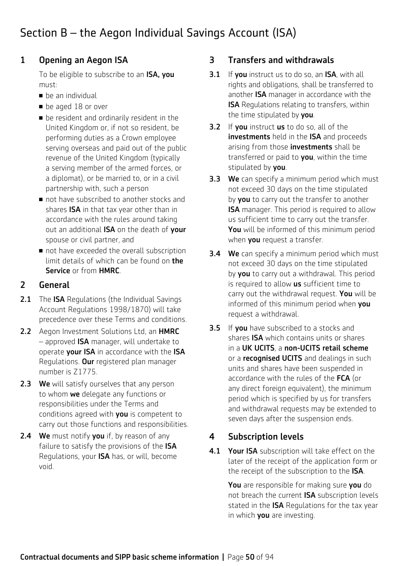# Section B – the Aegon Individual Savings Account (ISA)

# 1 Opening an Aegon ISA

To be eligible to subscribe to an ISA, you must:

- $\blacksquare$  be an individual
- **be aged 18 or over**
- $\blacksquare$  be resident and ordinarily resident in the United Kingdom or, if not so resident, be performing duties as a Crown employee serving overseas and paid out of the public revenue of the United Kingdom (typically a serving member of the armed forces, or a diplomat), or be married to, or in a civil partnership with, such a person
- not have subscribed to another stocks and shares **ISA** in that tax year other than in accordance with the rules around taking out an additional ISA on the death of your spouse or civil partner, and
- not have exceeded the overall subscription limit details of which can be found on the Service or from HMRC.

# 2 General

- 2.1 The ISA Regulations (the Individual Savings Account Regulations 1998/1870) will take precedence over these Terms and conditions.
- 2.2 Aegon Investment Solutions Ltd, an HMRC – approved ISA manager, will undertake to operate your ISA in accordance with the ISA Regulations. Our registered plan manager number is Z1775.
- 2.3 We will satisfy ourselves that any person to whom we delegate any functions or responsibilities under the Terms and conditions agreed with you is competent to carry out those functions and responsibilities.
- **2.4** We must notify you if, by reason of any failure to satisfy the provisions of the ISA Regulations, your ISA has, or will, become void.

## 3 Transfers and withdrawals

- **3.1** If you instruct us to do so, an ISA, with all rights and obligations, shall be transferred to another ISA manager in accordance with the ISA Regulations relating to transfers, within the time stipulated by you.
- **3.2** If you instruct us to do so, all of the investments held in the ISA and proceeds arising from those **investments** shall be transferred or paid to you, within the time stipulated by **you**.
- **3.3** We can specify a minimum period which must not exceed 30 days on the time stipulated by **you** to carry out the transfer to another ISA manager. This period is required to allow us sufficient time to carry out the transfer. You will be informed of this minimum period when **you** request a transfer.
- **3.4** We can specify a minimum period which must not exceed 30 days on the time stipulated by **you** to carry out a withdrawal. This period is required to allow us sufficient time to carry out the withdrawal request. You will be informed of this minimum period when vou request a withdrawal.
- **3.5** If **vou** have subscribed to a stocks and shares ISA which contains units or shares in a UK UCITS, a non-UCITS retail scheme or a **recognised UCITS** and dealings in such units and shares have been suspended in accordance with the rules of the FCA (or any direct foreign equivalent), the minimum period which is specified by us for transfers and withdrawal requests may be extended to seven days after the suspension ends.

# 4 Subscription levels

4.1 Your ISA subscription will take effect on the later of the receipt of the application form or the receipt of the subscription to the ISA.

> You are responsible for making sure you do not breach the current ISA subscription levels stated in the **ISA** Regulations for the tax year in which you are investing.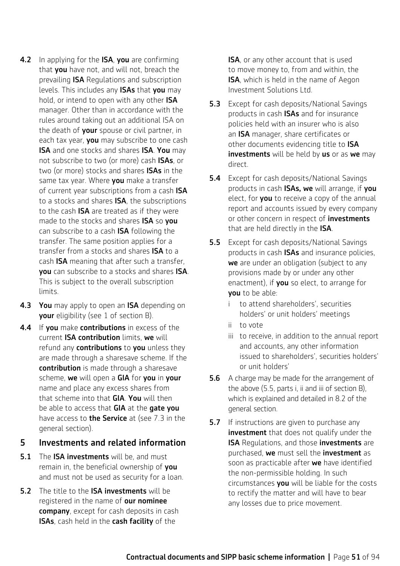- 4.2 In applying for the ISA, you are confirming that you have not, and will not, breach the prevailing ISA Regulations and subscription levels. This includes any ISAs that you may hold, or intend to open with any other ISA manager. Other than in accordance with the rules around taking out an additional ISA on the death of your spouse or civil partner, in each tax year, you may subscribe to one cash ISA and one stocks and shares ISA. You may not subscribe to two (or more) cash ISAs, or two (or more) stocks and shares **ISAs** in the same tax year. Where you make a transfer of current year subscriptions from a cash ISA to a stocks and shares **ISA**, the subscriptions to the cash **ISA** are treated as if they were made to the stocks and shares **ISA** so you can subscribe to a cash ISA following the transfer. The same position applies for a transfer from a stocks and shares **ISA** to a cash ISA meaning that after such a transfer, you can subscribe to a stocks and shares ISA. This is subject to the overall subscription limits.
- 4.3 You may apply to open an ISA depending on your eligibility (see 1 of section B).
- 4.4 If you make contributions in excess of the current ISA contribution limits, we will refund any contributions to you unless they are made through a sharesave scheme. If the contribution is made through a sharesave scheme, we will open a GIA for you in your name and place any excess shares from that scheme into that **GIA. You** will then be able to access that GIA at the gate you have access to **the Service** at (see 7.3 in the general section).

#### 5 Investments and related information

- 5.1 The ISA investments will be, and must remain in, the beneficial ownership of you and must not be used as security for a loan.
- 5.2 The title to the **ISA investments** will be registered in the name of our nominee company, except for cash deposits in cash ISAs, cash held in the cash facility of the

**ISA**, or any other account that is used to move money to, from and within, the ISA, which is held in the name of Aegon Investment Solutions Ltd.

- **5.3** Except for cash deposits/National Savings products in cash ISAs and for insurance policies held with an insurer who is also an ISA manager, share certificates or other documents evidencing title to **ISA** investments will be held by us or as we may direct.
- **5.4** Except for cash deposits/National Savings products in cash **ISAs, we** will arrange, if you elect, for **you** to receive a copy of the annual report and accounts issued by every company or other concern in respect of *investments* that are held directly in the ISA.
- 5.5 Except for cash deposits/National Savings products in cash ISAs and insurance policies, we are under an obligation (subject to any provisions made by or under any other enactment), if you so elect, to arrange for you to be able:
	- to attend shareholders', securities holders' or unit holders' meetings
	- ii to vote
	- iii to receive, in addition to the annual report and accounts, any other information issued to shareholders', securities holders' or unit holders'
- **5.6** A charge may be made for the arrangement of the above (5.5, parts i, ii and iii of section B), which is explained and detailed in 8.2 of the general section.
- **5.7** If instructions are given to purchase any investment that does not qualify under the **ISA Regulations, and those investments are** purchased, we must sell the investment as soon as practicable after we have identified the non-permissible holding. In such circumstances you will be liable for the costs to rectify the matter and will have to bear any losses due to price movement.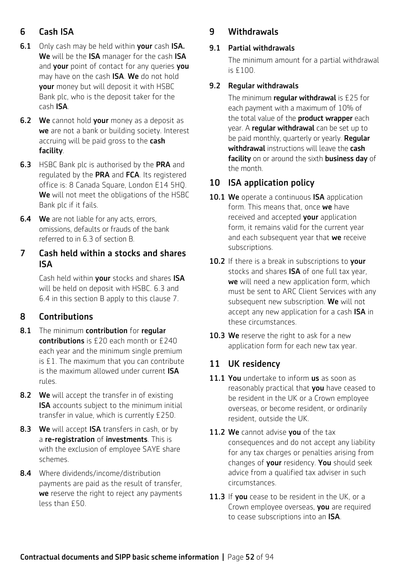# 6 Cash ISA

- **6.1** Only cash may be held within your cash ISA. We will be the ISA manager for the cash ISA and your point of contact for any queries you may have on the cash **ISA**. We do not hold your money but will deposit it with HSBC Bank plc, who is the deposit taker for the cash ISA.
- **6.2** We cannot hold your money as a deposit as we are not a bank or building society. Interest accruing will be paid gross to the cash facility.
- **6.3** HSBC Bank plc is authorised by the PRA and regulated by the PRA and FCA. Its registered office is: 8 Canada Square, London E14 5HQ. We will not meet the obligations of the HSBC Bank plc if it fails.
- **6.4** We are not liable for any acts, errors, omissions, defaults or frauds of the bank referred to in 6.3 of section B.

### 7 Cash held within a stocks and shares ISA

Cash held within your stocks and shares ISA will be held on deposit with HSBC. 6.3 and 6.4 in this section B apply to this clause 7.

# 8 Contributions

- 8.1 The minimum contribution for regular contributions is £20 each month or £240 each year and the minimum single premium is £1. The maximum that you can contribute is the maximum allowed under current ISA rules.
- 8.2 We will accept the transfer in of existing **ISA** accounts subject to the minimum initial transfer in value, which is currently £250.
- 8.3 We will accept ISA transfers in cash, or by a re-registration of investments. This is with the exclusion of employee SAYE share schemes.
- 8.4 Where dividends/income/distribution payments are paid as the result of transfer, we reserve the right to reject any payments less than £50.

### 9 Withdrawals

#### 9.1 Partial withdrawals

 The minimum amount for a partial withdrawal is £100.

#### 9.2 Regular withdrawals

The minimum regular withdrawal is  $£25$  for each payment with a maximum of 10% of the total value of the **product wrapper** each year. A regular withdrawal can be set up to be paid monthly, quarterly or yearly. **Reqular** withdrawal instructions will leave the cash facility on or around the sixth business day of the month.

## 10 ISA application policy

- 10.1 We operate a continuous ISA application form. This means that, once we have received and accepted **your** application form, it remains valid for the current year and each subsequent year that we receive subscriptions.
- 10.2 If there is a break in subscriptions to your stocks and shares **ISA** of one full tax year, we will need a new application form, which must be sent to ARC Client Services with any subsequent new subscription. We will not accept any new application for a cash ISA in these circumstances.
- 10.3 We reserve the right to ask for a new application form for each new tax year.

### 11 UK residency

- 11.1 You undertake to inform us as soon as reasonably practical that you have ceased to be resident in the UK or a Crown employee overseas, or become resident, or ordinarily resident, outside the UK.
- 11.2 We cannot advise you of the tax consequences and do not accept any liability for any tax charges or penalties arising from changes of your residency. You should seek advice from a qualified tax adviser in such circumstances.
- 11.3 If you cease to be resident in the UK, or a Crown employee overseas, you are required to cease subscriptions into an ISA.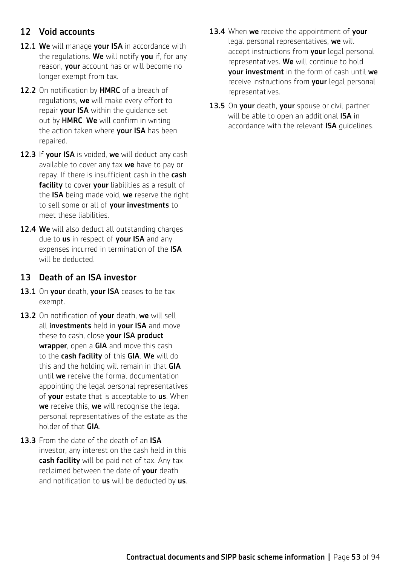### 12 Void accounts

- 12.1 We will manage your ISA in accordance with the regulations. We will notify you if, for any reason, your account has or will become no longer exempt from tax.
- 12.2 On notification by HMRC of a breach of regulations, we will make every effort to repair your ISA within the quidance set out by HMRC. We will confirm in writing the action taken where your ISA has been repaired.
- 12.3 If your ISA is voided, we will deduct any cash available to cover any tax we have to pay or repay. If there is insufficient cash in the cash facility to cover your liabilities as a result of the ISA being made void, we reserve the right to sell some or all of your investments to meet these liabilities.
- 12.4 We will also deduct all outstanding charges due to us in respect of your ISA and any expenses incurred in termination of the **ISA** will be deducted.

#### 13 Death of an ISA investor

- 13.1 On your death, your ISA ceases to be tax exempt.
- 13.2 On notification of your death, we will sell all investments held in your ISA and move these to cash, close your ISA product wrapper, open a GIA and move this cash to the cash facility of this GIA. We will do this and the holding will remain in that GIA until we receive the formal documentation appointing the legal personal representatives of your estate that is acceptable to us. When we receive this, we will recognise the legal personal representatives of the estate as the holder of that GIA.
- 13.3 From the date of the death of an ISA investor, any interest on the cash held in this cash facility will be paid net of tax. Any tax reclaimed between the date of your death and notification to us will be deducted by us.
- 13.4 When we receive the appointment of your legal personal representatives, we will accept instructions from your legal personal representatives. We will continue to hold your investment in the form of cash until we receive instructions from your legal personal representatives.
- 13.5 On your death, your spouse or civil partner will be able to open an additional **ISA** in accordance with the relevant ISA guidelines.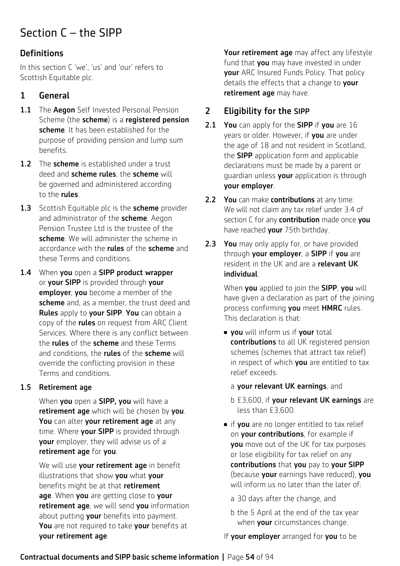# Section C – the SIPP

# **Definitions**

In this section C 'we', 'us' and 'our' refers to Scottish Equitable plc.

# 1 General

- 1.1 The Aegon Self Invested Personal Pension Scheme (the scheme) is a registered pension scheme. It has been established for the purpose of providing pension and lump sum benefits.
- 1.2 The scheme is established under a trust deed and scheme rules, the scheme will be governed and administered according to the rules.
- 1.3 Scottish Equitable plc is the scheme provider and administrator of the **scheme**. Aegon Pension Trustee Ltd is the trustee of the scheme. We will administer the scheme in accordance with the **rules** of the **scheme** and these Terms and conditions.
- 1.4 When you open a SIPP product wrapper or your SIPP is provided through your employer, you become a member of the scheme and, as a member, the trust deed and Rules apply to your SIPP. You can obtain a copy of the **rules** on request from ARC Client Services. Where there is any conflict between the **rules** of the **scheme** and these Terms and conditions, the **rules** of the **scheme** will override the conflicting provision in these Terms and conditions.

#### 1.5 Retirement age

When you open a SIPP, you will have a retirement age which will be chosen by you. You can alter your retirement age at any time. Where **your SIPP** is provided through your employer, they will advise us of a retirement age for you.

We will use your retirement age in benefit illustrations that show you what your benefits might be at that retirement age. When you are getting close to your retirement age, we will send you information about putting your benefits into payment. You are not required to take your benefits at your retirement age.

Your retirement age may affect any lifestyle fund that you may have invested in under your ARC Insured Funds Policy. That policy details the effects that a change to your retirement age may have.

# 2 Eligibility for the SIPP

- 2.1 You can apply for the SIPP if you are 16 years or older. However, if you are under the age of 18 and not resident in Scotland, the **SIPP** application form and applicable declarations must be made by a parent or guardian unless your application is through your employer.
- 2.2 You can make contributions at any time. We will not claim any tax relief under 3.4 of section C for any **contribution** made once you have reached **your** 75th birthday.
- 2.3 You may only apply for, or have provided through your employer, a SIPP if you are resident in the UK and are a relevant UK individual.

When you applied to join the SIPP, you will have given a declaration as part of the joining process confirming you meet HMRC rules. This declaration is that:

- **vou** will inform us if your total contributions to all UK registered pension schemes (schemes that attract tax relief) in respect of which you are entitled to tax relief exceeds:
	- a your relevant UK earnings, and
	- b £3,600, if your relevant UK earnings are less than £3,600.
- $\blacksquare$  if you are no longer entitled to tax relief on **your contributions**, for example if you move out of the UK for tax purposes or lose eligibility for tax relief on any contributions that you pay to your SIPP (because your earnings have reduced), you will inform us no later than the later of:
	- a 30 days after the change, and
	- b the 5 April at the end of the tax year when **your** circumstances change.

If your employer arranged for you to be

#### Contractual documents and SIPP basic scheme information **|** Page 54 of 94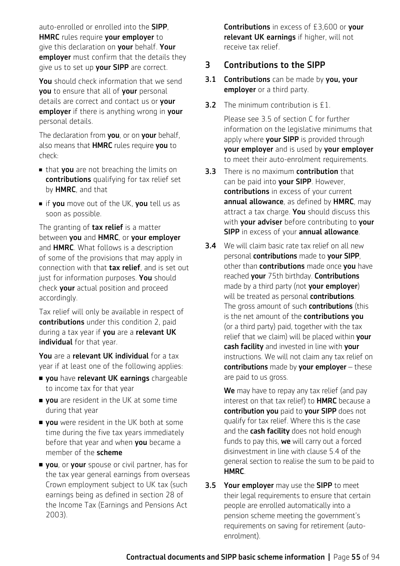auto-enrolled or enrolled into the SIPP, **HMRC** rules require your employer to give this declaration on your behalf. Your employer must confirm that the details they give us to set up your SIPP are correct.

You should check information that we send you to ensure that all of your personal details are correct and contact us or **your** employer if there is anything wrong in your personal details.

The declaration from you, or on your behalf, also means that HMRC rules require you to check:

- that you are not breaching the limits on contributions qualifying for tax relief set by HMRC, and that
- **n** if you move out of the UK, you tell us as soon as possible.

The granting of **tax relief** is a matter between you and HMRC, or your employer and HMRC. What follows is a description of some of the provisions that may apply in connection with that **tax relief**, and is set out just for information purposes. You should check your actual position and proceed accordingly.

Tax relief will only be available in respect of contributions under this condition 2, paid during a tax year if you are a relevant UK individual for that year.

You are a relevant UK individual for a tax year if at least one of the following applies:

- **vou** have relevant UK earnings chargeable to income tax for that year
- **vou** are resident in the UK at some time during that year
- **vou** were resident in the UK both at some time during the five tax years immediately before that year and when you became a member of the scheme
- **vou**, or your spouse or civil partner, has for the tax year general earnings from overseas Crown employment subject to UK tax (such earnings being as defined in section 28 of the Income Tax (Earnings and Pensions Act 2003).

Contributions in excess of £3,600 or your relevant UK earnings if higher, will not receive tax relief.

#### 3 Contributions to the SIPP

- **3.1 Contributions** can be made by you, your employer or a third party.
- **3.2** The minimum contribution is £1.

Please see 3.5 of section C for further information on the legislative minimums that apply where your SIPP is provided through your employer and is used by your employer to meet their auto-enrolment requirements.

- **3.3** There is no maximum **contribution** that can be paid into your SIPP. However, contributions in excess of your current annual allowance, as defined by HMRC, may attract a tax charge. You should discuss this with your adviser before contributing to your SIPP in excess of your annual allowance.
- **3.4** We will claim basic rate tax relief on all new personal contributions made to your SIPP, other than **contributions** made once you have reached your 75th birthday. Contributions made by a third party (not your employer) will be treated as personal contributions. The gross amount of such **contributions** (this is the net amount of the **contributions you** (or a third party) paid, together with the tax relief that we claim) will be placed within your cash facility and invested in line with your instructions. We will not claim any tax relief on contributions made by your employer  $-$  these are paid to us gross.

We may have to repay any tax relief (and pay interest on that tax relief) to **HMRC** because a contribution you paid to your SIPP does not qualify for tax relief. Where this is the case and the **cash facility** does not hold enough funds to pay this, we will carry out a forced disinvestment in line with clause 5.4 of the general section to realise the sum to be paid to HMRC.

**3.5 Your employer** may use the **SIPP** to meet their legal requirements to ensure that certain people are enrolled automatically into a pension scheme meeting the government's requirements on saving for retirement (autoenrolment).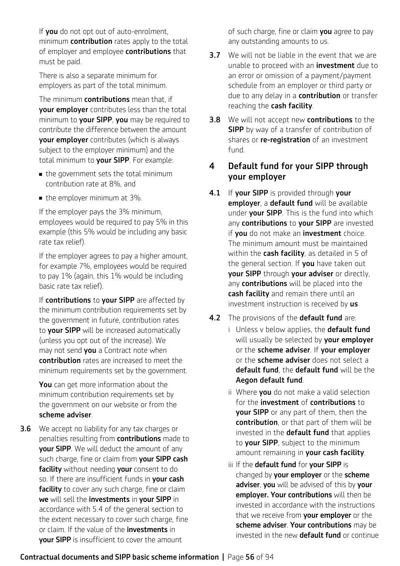If you do not opt out of auto-enrolment, minimum **contribution** rates apply to the total of employer and employee contributions that must be paid.

There is also a separate minimum for employers as part of the total minimum.

The minimum **contributions** mean that, if your employer contributes less than the total minimum to your SIPP, you may be required to contribute the difference between the amount your employer contributes (which is always subject to the employer minimum) and the total minimum to your SIPP. For example:

- $\blacksquare$  the government sets the total minimum contribution rate at 8%, and
- $\blacksquare$  the employer minimum at 3%.

If the employer pays the 3% minimum, employees would be required to pay 5% in this example (this 5% would be including any basic rate tax relief).

If the employer agrees to pay a higher amount, for example 7%, employees would be required to pay 1% (again, this 1% would be including basic rate tax relief).

If contributions to your SIPP are affected by the minimum contribution requirements set by the government in future, contribution rates to your SIPP will be increased automatically (unless you opt out of the increase). We may not send you a Contract note when contribution rates are increased to meet the minimum requirements set by the government.

You can get more information about the minimum contribution requirements set by the government on our website or from the scheme adviser.

**3.6** We accept no liability for any tax charges or penalties resulting from **contributions** made to your SIPP. We will deduct the amount of any such charge, fine or claim from your SIPP cash facility without needing your consent to do so. If there are insufficient funds in your cash facility to cover any such charge, fine or claim we will sell the investments in your SIPP in accordance with 5.4 of the general section to the extent necessary to cover such charge, fine or claim. If the value of the **investments** in your SIPP is insufficient to cover the amount

of such charge, fine or claim you agree to pay any outstanding amounts to us.

- **3.7** We will not be liable in the event that we are unable to proceed with an **investment** due to an error or omission of a payment/payment schedule from an employer or third party or due to any delay in a **contribution** or transfer reaching the cash facility.
- **3.8** We will not accept new **contributions** to the **SIPP** by way of a transfer of contribution of shares or re-registration of an investment fund.

## 4 Default fund for your SIPP through your employer

- 4.1 If your SIPP is provided through your employer, a default fund will be available under **your SIPP**. This is the fund into which any contributions to your SIPP are invested if vou do not make an *investment* choice. The minimum amount must be maintained within the cash facility, as detailed in 5 of the general section. If you have taken out your SIPP through your adviser or directly, any contributions will be placed into the cash facility and remain there until an investment instruction is received by us.
- 4.2 The provisions of the default fund are:
	- i Unless v below applies, the **default fund** will usually be selected by your employer or the scheme adviser. If your employer or the **scheme adviser** does not select a default fund, the default fund will be the Aegon default fund.
	- ii Where **you** do not make a valid selection for the **investment** of **contributions** to **vour SIPP** or any part of them, then the contribution, or that part of them will be invested in the **default fund** that applies to your SIPP, subject to the minimum amount remaining in **your cash facility**.
	- iii If the default fund for your SIPP is changed by **your employer** or the **scheme** adviser, you will be advised of this by your employer. Your contributions will then be invested in accordance with the instructions that we receive from your employer or the scheme adviser. Your contributions may be invested in the new **default fund** or continue

### Contractual documents and SIPP basic scheme information **|** Page 56 of 94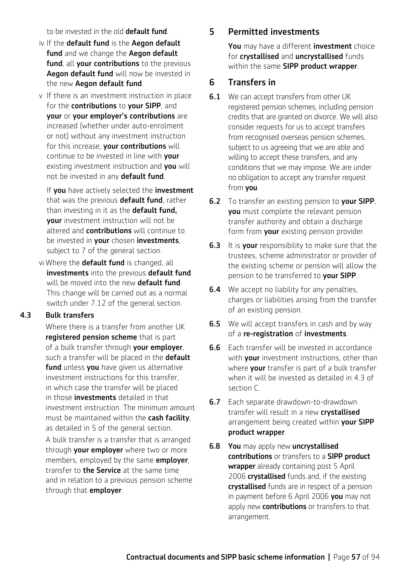to be invested in the old **default fund**.

- iv If the default fund is the Aegon default fund and we change the Aegon default fund, all your contributions to the previous Aegon default fund will now be invested in the new Aegon default fund.
- v If there is an investment instruction in place for the **contributions** to your SIPP, and your or your employer's contributions are increased (whether under auto-enrolment or not) without any investment instruction for this increase, your contributions will continue to be invested in line with **your** existing investment instruction and you will not be invested in any default fund.

If you have actively selected the investment that was the previous **default fund**, rather than investing in it as the default fund, your investment instruction will not be altered and **contributions** will continue to be invested in your chosen investments, subject to 7 of the general section.

vi Where the **default fund** is changed, all investments into the previous default fund will be moved into the new default fund. This change will be carried out as a normal switch under 7.12 of the general section.

#### 4.3 Bulk transfers

Where there is a transfer from another UK registered pension scheme that is part of a bulk transfer through your employer, such a transfer will be placed in the default fund unless you have given us alternative investment instructions for this transfer, in which case the transfer will be placed in those **investments** detailed in that investment instruction. The minimum amount must be maintained within the cash facility. as detailed in 5 of the general section.

A bulk transfer is a transfer that is arranged through your employer where two or more members, employed by the same **employer**. transfer to **the Service** at the same time and in relation to a previous pension scheme through that **employer**.

### 5 Permitted investments

You may have a different investment choice for crystallised and uncrystallised funds within the same SIPP product wrapper.

### 6 Transfers in

- **6.1** We can accept transfers from other UK registered pension schemes, including pension credits that are granted on divorce. We will also consider requests for us to accept transfers from recognised overseas pension schemes. subject to us agreeing that we are able and willing to accept these transfers, and any conditions that we may impose. We are under no obligation to accept any transfer request from you.
- **6.2** To transfer an existing pension to your SIPP, you must complete the relevant pension transfer authority and obtain a discharge form from **your** existing pension provider.
- **6.3** It is your responsibility to make sure that the trustees, scheme administrator or provider of the existing scheme or pension will allow the pension to be transferred to your SIPP.
- **6.4** We accept no liability for any penalties, charges or liabilities arising from the transfer of an existing pension.
- **6.5** We will accept transfers in cash and by way of a re-registration of investments.
- 6.6 Each transfer will be invested in accordance with **your** investment instructions, other than where **your** transfer is part of a bulk transfer when it will be invested as detailed in 4.3 of section C.
- 6.7 Each separate drawdown-to-drawdown transfer will result in a new crystallised arrangement being created within your SIPP product wrapper.
- 6.8 You may apply new uncrystallised contributions or transfers to a SIPP product wrapper already containing post 5 April 2006 **crystallised** funds and, if the existing crystallised funds are in respect of a pension in payment before 6 April 2006 **you** may not apply new **contributions** or transfers to that arrangement.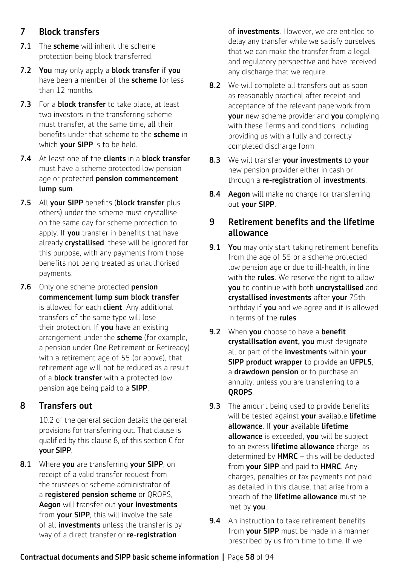# 7 Block transfers

- 7.1 The scheme will inherit the scheme protection being block transferred.
- 7.2 You may only apply a block transfer if you have been a member of the **scheme** for less than 12 months.
- 7.3 For a **block transfer** to take place, at least two investors in the transferring scheme must transfer, at the same time, all their benefits under that scheme to the scheme in which **your SIPP** is to be held.
- 7.4 At least one of the clients in a block transfer must have a scheme protected low pension age or protected pension commencement lump sum.
- 7.5 All your SIPP benefits (block transfer plus others) under the scheme must crystallise on the same day for scheme protection to apply. If **you** transfer in benefits that have already crystallised, these will be ignored for this purpose, with any payments from those benefits not being treated as unauthorised payments.
- 7.6 Only one scheme protected pension commencement lump sum block transfer is allowed for each **client**. Any additional transfers of the same type will lose their protection. If you have an existing arrangement under the **scheme** (for example, a pension under One Retirement or Retiready) with a retirement age of 55 (or above), that retirement age will not be reduced as a result of a **block transfer** with a protected low pension age being paid to a SIPP.

# 8 Transfers out

10.2 of the general section details the general provisions for transferring out. That clause is qualified by this clause 8, of this section C for your SIPP.

8.1 Where you are transferring your SIPP, on receipt of a valid transfer request from the trustees or scheme administrator of a registered pension scheme or QROPS, Aegon will transfer out your investments from your SIPP, this will involve the sale of all **investments** unless the transfer is by way of a direct transfer or re-registration

of **investments**. However, we are entitled to delay any transfer while we satisfy ourselves that we can make the transfer from a legal and regulatory perspective and have received any discharge that we require.

- 8.2 We will complete all transfers out as soon as reasonably practical after receipt and acceptance of the relevant paperwork from **your** new scheme provider and **you** complying with these Terms and conditions, including providing us with a fully and correctly completed discharge form.
- 8.3 We will transfer your investments to your new pension provider either in cash or through a re-registration of investments.
- 8.4 Aegon will make no charge for transferring out your SIPP.

### 9 Retirement benefits and the lifetime allowance

- **9.1 You** may only start taking retirement benefits from the age of 55 or a scheme protected low pension age or due to ill-health, in line with the **rules**. We reserve the right to allow you to continue with both uncrystallised and crystallised investments after your 75th birthday if **you** and we agree and it is allowed in terms of the rules.
- **9.2** When **you** choose to have a **benefit** crystallisation event, you must designate all or part of the investments within your SIPP product wrapper to provide an UFPLS, a **drawdown pension** or to purchase an annuity, unless you are transferring to a QROPS.
- **9.3** The amount being used to provide benefits will be tested against your available lifetime allowance. If your available lifetime allowance is exceeded, you will be subject to an excess **lifetime allowance** charge, as determined by  $HMRC -$  this will be deducted from your SIPP and paid to HMRC. Any charges, penalties or tax payments not paid as detailed in this clause, that arise from a breach of the lifetime allowance must be met by you.
- **9.4** An instruction to take retirement benefits from your SIPP must be made in a manner prescribed by us from time to time. If we

#### Contractual documents and SIPP basic scheme information **|** Page 58 of 94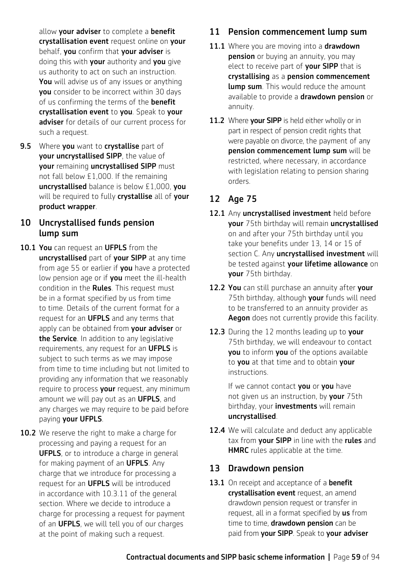allow your adviser to complete a benefit crystallisation event request online on your behalf, you confirm that your adviser is doing this with your authority and you give us authority to act on such an instruction. You will advise us of any issues or anything you consider to be incorrect within 30 days of us confirming the terms of the **benefit** crystallisation event to you. Speak to your adviser for details of our current process for such a request.

9.5 Where you want to crystallise part of your uncrystallised SIPP, the value of your remaining uncrystallised SIPP must not fall below £1,000. If the remaining uncrystallised balance is below £1,000, you will be required to fully crystallise all of your product wrapper.

### 10 Uncrystallised funds pension lump sum

- 10.1 You can request an UFPLS from the uncrystallised part of your SIPP at any time from age 55 or earlier if you have a protected low pension age or if you meet the ill-health condition in the Rules. This request must be in a format specified by us from time to time. Details of the current format for a request for an **UFPLS** and any terms that apply can be obtained from your adviser or the Service. In addition to any legislative requirements, any request for an **UFPLS** is subject to such terms as we may impose from time to time including but not limited to providing any information that we reasonably require to process your request, any minimum amount we will pay out as an **UFPLS**, and any charges we may require to be paid before paying your UFPLS.
- 10.2 We reserve the right to make a charge for processing and paying a request for an **UFPLS**, or to introduce a charge in general for making payment of an **UFPLS**. Any charge that we introduce for processing a request for an UFPLS will be introduced in accordance with 10.3.11 of the general section. Where we decide to introduce a charge for processing a request for payment of an UFPLS, we will tell you of our charges at the point of making such a request.

# 11 Pension commencement lump sum

- 11.1 Where you are moving into a drawdown **pension** or buying an annuity, you may elect to receive part of your SIPP that is crystallising as a pension commencement **lump sum**. This would reduce the amount available to provide a drawdown pension or annuity.
- 11.2 Where your SIPP is held either wholly or in part in respect of pension credit rights that were payable on divorce, the payment of any pension commencement lump sum will be restricted, where necessary, in accordance with legislation relating to pension sharing orders.

## 12 Age 75

- 12.1 Any uncrystallised investment held before your 75th birthday will remain uncrystallised on and after your 75th birthday until you take your benefits under 13, 14 or 15 of section C. Any *uncrystallised investment* will be tested against your lifetime allowance on your 75th birthday.
- 12.2 You can still purchase an annuity after your 75th birthday, although your funds will need to be transferred to an annuity provider as Aegon does not currently provide this facility.
- 12.3 During the 12 months leading up to your 75th birthday, we will endeavour to contact you to inform you of the options available to you at that time and to obtain your instructions.

If we cannot contact you or you have not given us an instruction, by your 75th birthday, your **investments** will remain uncrystallised.

12.4 We will calculate and deduct any applicable tax from your SIPP in line with the rules and **HMRC** rules applicable at the time.

### 13 Drawdown pension

13.1 On receipt and acceptance of a **benefit** crystallisation event request, an amend drawdown pension request or transfer in request, all in a format specified by us from time to time, drawdown pension can be paid from your SIPP. Speak to your adviser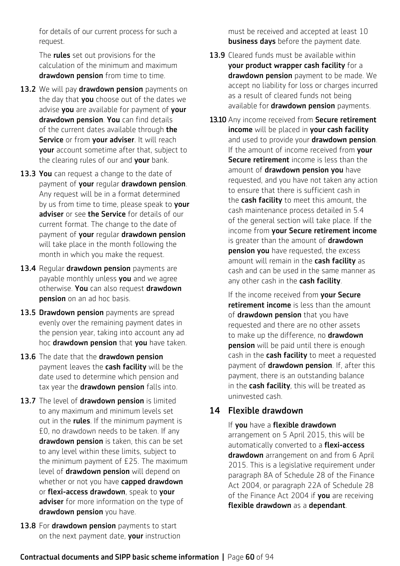for details of our current process for such a request.

The **rules** set out provisions for the calculation of the minimum and maximum drawdown pension from time to time.

- 13.2 We will pay drawdown pension payments on the day that you choose out of the dates we advise you are available for payment of your drawdown pension. You can find details of the current dates available through the Service or from your adviser. It will reach your account sometime after that, subject to the clearing rules of our and your bank.
- 13.3 You can request a change to the date of payment of your regular drawdown pension. Any request will be in a format determined by us from time to time, please speak to your adviser or see the Service for details of our current format. The change to the date of payment of your regular drawdown pension will take place in the month following the month in which you make the request.
- 13.4 Regular drawdown pension payments are payable monthly unless **you** and we agree otherwise. You can also request drawdown pension on an ad hoc basis.
- 13.5 Drawdown pension payments are spread evenly over the remaining payment dates in the pension year, taking into account any ad hoc drawdown pension that you have taken.
- 13.6 The date that the drawdown pension payment leaves the cash facility will be the date used to determine which pension and tax year the **drawdown pension** falls into.
- 13.7 The level of drawdown pension is limited to any maximum and minimum levels set out in the **rules**. If the minimum payment is £0, no drawdown needs to be taken. If any drawdown pension is taken, this can be set to any level within these limits, subject to the minimum payment of £25. The maximum level of drawdown pension will depend on whether or not you have capped drawdown or flexi-access drawdown, speak to your adviser for more information on the type of drawdown pension you have.
- 13.8 For drawdown pension payments to start on the next payment date, your instruction

must be received and accepted at least 10 **business days** before the payment date.

- 13.9 Cleared funds must be available within your product wrapper cash facility for a drawdown pension payment to be made. We accept no liability for loss or charges incurred as a result of cleared funds not being available for **drawdown pension** payments.
- 13.10 Any income received from Secure retirement income will be placed in your cash facility and used to provide your drawdown pension. If the amount of income received from your **Secure retirement** income is less than the amount of drawdown pension you have requested, and you have not taken any action to ensure that there is sufficient cash in the **cash facility** to meet this amount, the cash maintenance process detailed in 5.4 of the general section will take place. If the income from your Secure retirement income is greater than the amount of **drawdown pension you** have requested, the excess amount will remain in the cash facility as cash and can be used in the same manner as any other cash in the cash facility.

If the income received from **vour Secure** retirement income is less than the amount of **drawdown pension** that you have requested and there are no other assets to make up the difference, no **drawdown** pension will be paid until there is enough cash in the cash facility to meet a requested payment of **drawdown pension**. If, after this payment, there is an outstanding balance in the cash facility, this will be treated as uninvested cash.

### 14 Flexible drawdown

If you have a flexible drawdown arrangement on 5 April 2015, this will be automatically converted to a **flexi-access** drawdown arrangement on and from 6 April 2015. This is a legislative requirement under paragraph 8A of Schedule 28 of the Finance Act 2004, or paragraph 22A of Schedule 28 of the Finance Act 2004 if you are receiving flexible drawdown as a dependant.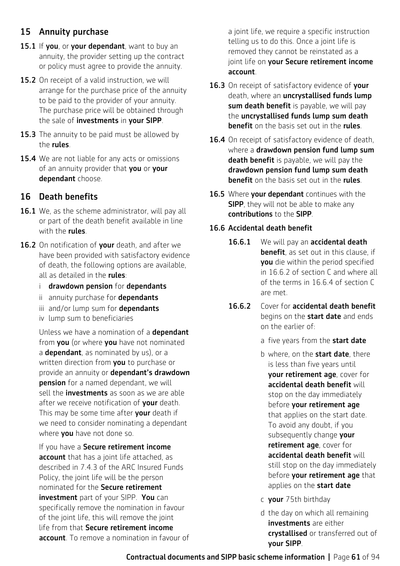## 15 Annuity purchase

- 15.1 If you, or your dependant, want to buy an annuity, the provider setting up the contract or policy must agree to provide the annuity.
- 15.2 On receipt of a valid instruction, we will arrange for the purchase price of the annuity to be paid to the provider of your annuity. The purchase price will be obtained through the sale of investments in your SIPP.
- **15.3** The annuity to be paid must be allowed by the rules.
- 15.4 We are not liable for any acts or omissions of an annuity provider that you or your dependant choose.

### 16 Death benefits

- 16.1 We, as the scheme administrator, will pay all or part of the death benefit available in line with the **rules**.
- 16.2 On notification of your death, and after we have been provided with satisfactory evidence of death, the following options are available, all as detailed in the rules:
	- i drawdown pension for dependants
	- ii annuity purchase for dependants
	- iii and/or lump sum for dependants
	- iv lump sum to beneficiaries

Unless we have a nomination of a **dependant** from you (or where you have not nominated a **dependant**, as nominated by us), or a written direction from you to purchase or provide an annuity or dependant's drawdown pension for a named dependant, we will sell the **investments** as soon as we are able after we receive notification of your death. This may be some time after your death if we need to consider nominating a dependant where you have not done so.

If you have a Secure retirement income account that has a joint life attached, as described in 7.4.3 of the ARC Insured Funds Policy, the joint life will be the person nominated for the Secure retirement **investment** part of your SIPP. You can specifically remove the nomination in favour of the joint life, this will remove the joint life from that Secure retirement income account. To remove a nomination in favour of a joint life, we require a specific instruction telling us to do this. Once a joint life is removed they cannot be reinstated as a joint life on your Secure retirement income account.

- 16.3 On receipt of satisfactory evidence of your death, where an uncrystallised funds lump sum death benefit is payable, we will pay the uncrystallised funds lump sum death benefit on the basis set out in the rules.
- 16.4 On receipt of satisfactory evidence of death, where a drawdown pension fund lump sum death benefit is payable, we will pay the drawdown pension fund lump sum death benefit on the basis set out in the rules.
- 16.5 Where **vour dependant** continues with the **SIPP**, they will not be able to make any contributions to the SIPP.

#### 16.6 Accidental death benefit

- 16.6.1 We will pay an accidental death benefit, as set out in this clause, if you die within the period specified in 16.6.2 of section C and where all of the terms in 16.6.4 of section C are met.
- 16.6.2 Cover for accidental death benefit begins on the **start date** and ends on the earlier of:
	- a five years from the **start date**
	- b where, on the **start date**, there is less than five years until your retirement age, cover for accidental death benefit will stop on the day immediately before your retirement age that applies on the start date. To avoid any doubt, if you subsequently change your retirement age, cover for accidental death benefit will still stop on the day immediately before **your retirement age** that applies on the start date
	- c your 75th birthday
	- d the day on which all remaining investments are either crystallised or transferred out of your SIPP.

Contractual documents and SIPP basic scheme information **|** Page 61 of 94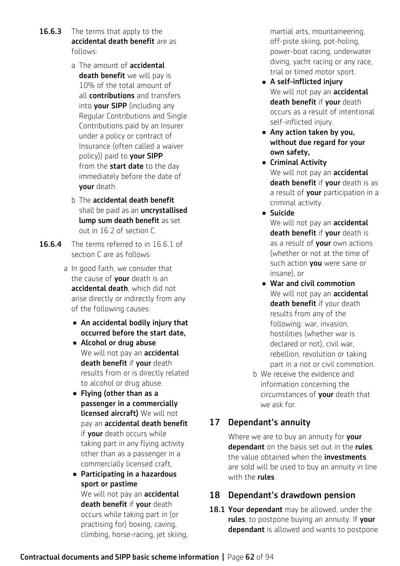- **16.6.3** The terms that apply to the accidental death benefit are as follows:
	- a The amount of **accidental** death benefit we will pay is 10% of the total amount of all contributions and transfers into your SIPP (including any Regular Contributions and Single Contributions paid by an Insurer under a policy or contract of Insurance (often called a waiver policy)) paid to your SIPP from the start date to the day immediately before the date of your death.
	- b The accidental death benefit shall be paid as an *uncrystallised* lump sum death benefit as set out in 16.2 of section C.
- 16.6.4 The terms referred to in 16.6.1 of section C are as follows:
	- a In good faith, we consider that the cause of **your** death is an accidental death, which did not arise directly or indirectly from any of the following causes:
		- $\blacksquare$  An accidental bodily injury that occurred before the start date,
		- Alcohol or drug abuse We will not pay an **accidental** death benefit if your death results from or is directly related to alcohol or drug abuse.
		- $\blacksquare$  Flying (other than as a passenger in a commercially licensed aircraft) We will not pay an accidental death benefit if your death occurs while taking part in any flying activity other than as a passenger in a commercially licensed craft,
		- Participating in a hazardous sport or pastime We will not pay an **accidental** death benefit if your death occurs while taking part in (or practising for) boxing, caving, climbing, horse-racing, jet skiing,

martial arts, mountaineering, off-piste skiing, pot-holing, power-boat racing, underwater diving, yacht racing or any race, trial or timed motor sport.

- <sup>n</sup> A self-inflicted injury We will not pay an **accidental** death benefit if your death occurs as a result of intentional self-inflicted injury.
- $\blacksquare$  Any action taken by you, without due regard for your own safety,
- **E** Criminal Activity We will not pay an **accidental** death benefit if your death is as a result of your participation in a criminal activity.
- <sup>n</sup> Suicide We will not pay an **accidental**

death benefit if your death is as a result of your own actions (whether or not at the time of such action you were sane or insane), or

- War and civil commotion We will not pay an **accidental** death benefit if your death results from any of the following: war, invasion, hostilities (whether war is declared or not), civil war, rebellion, revolution or taking part in a riot or civil commotion.
- b We receive the evidence and information concerning the circumstances of your death that we ask for.

# 17 Dependant's annuity

Where we are to buy an annuity for your dependant on the basis set out in the rules. the value obtained when the **investments** are sold will be used to buy an annuity in line with the **rules**.

# 18 Dependant's drawdown pension

18.1 Your dependant may be allowed, under the rules, to postpone buying an annuity. If your dependant is allowed and wants to postpone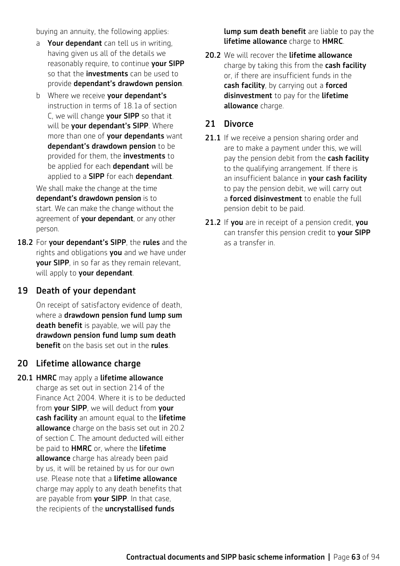buying an annuity, the following applies:

- a Your dependant can tell us in writing. having given us all of the details we reasonably require, to continue your SIPP so that the **investments** can be used to provide dependant's drawdown pension.
- b Where we receive your dependant's instruction in terms of 18.1a of section C, we will change your SIPP so that it will be your dependant's SIPP. Where more than one of your dependants want dependant's drawdown pension to be provided for them, the **investments** to be applied for each **dependant** will be applied to a **SIPP** for each **dependant**.

We shall make the change at the time dependant's drawdown pension is to start. We can make the change without the agreement of your dependant, or any other person.

18.2 For your dependant's SIPP, the rules and the rights and obligations you and we have under your SIPP, in so far as they remain relevant, will apply to your dependant.

#### 19 Death of your dependant

On receipt of satisfactory evidence of death, where a drawdown pension fund lump sum death benefit is payable, we will pay the drawdown pension fund lump sum death benefit on the basis set out in the rules.

#### 20 Lifetime allowance charge

20.1 HMRC may apply a lifetime allowance charge as set out in section 214 of the Finance Act 2004. Where it is to be deducted from your SIPP, we will deduct from your cash facility an amount equal to the lifetime allowance charge on the basis set out in 20.2 of section C. The amount deducted will either be paid to **HMRC** or, where the **lifetime** allowance charge has already been paid by us, it will be retained by us for our own use. Please note that a lifetime allowance charge may apply to any death benefits that are payable from your SIPP. In that case, the recipients of the *uncrystallised* funds

**lump sum death benefit** are liable to pay the lifetime allowance charge to HMRC.

20.2 We will recover the lifetime allowance charge by taking this from the cash facility or, if there are insufficient funds in the cash facility, by carrying out a forced disinvestment to pay for the lifetime allowance charge.

# 21 Divorce

- 21.1 If we receive a pension sharing order and are to make a payment under this, we will pay the pension debit from the cash facility to the qualifying arrangement. If there is an insufficient balance in your cash facility to pay the pension debit, we will carry out a **forced disinvestment** to enable the full pension debit to be paid.
- 21.2 If you are in receipt of a pension credit, you can transfer this pension credit to **your SIPP** as a transfer in.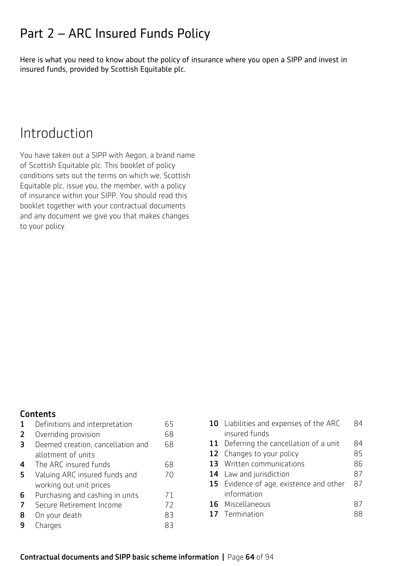# Part 2 – ARC Insured Funds Policy

Here is what you need to know about the policy of insurance where you open a SIPP and invest in insured funds, provided by Scottish Equitable plc.

# Introduction

You have taken out a SIPP with Aegon, a brand name of Scottish Equitable plc. This booklet of policy conditions sets out the terms on which we, Scottish Equitable plc, issue you, the member, with a policy of insurance within your SIPP. You should read this booklet together with your contractual documents and any document we give you that makes changes to your policy.

#### **Contents**

| 1 | Definitions and interpretation    | 65 |
|---|-----------------------------------|----|
| 2 | Overriding provision              | 68 |
| 3 | Deemed creation, cancellation and | 68 |
|   | allotment of units                |    |
| 4 | The ARC insured funds             | 68 |
| 5 | Valuing ARC insured funds and     | 70 |
|   | working out unit prices           |    |
| 6 | Purchasing and cashing in units   | 71 |
| 7 | Secure Retirement Income          | 72 |
| 8 | On your death                     | 83 |
| q | Charges                           | R  |

| 10 Liabilities and expenses of the ARC  |    |
|-----------------------------------------|----|
| insured funds                           |    |
| 11 Deferring the cancellation of a unit | 84 |
| 12 Changes to your policy               | 85 |
| 13 Written communications               | 86 |
| <b>14</b> Law and jurisdiction          | 87 |
| 15 Evidence of age, existence and other | 87 |
| information                             |    |
| 16 Miscellaneous                        | 87 |
| 17 Termination                          |    |
|                                         |    |

#### Contractual documents and SIPP basic scheme information **|** Page 64 of 94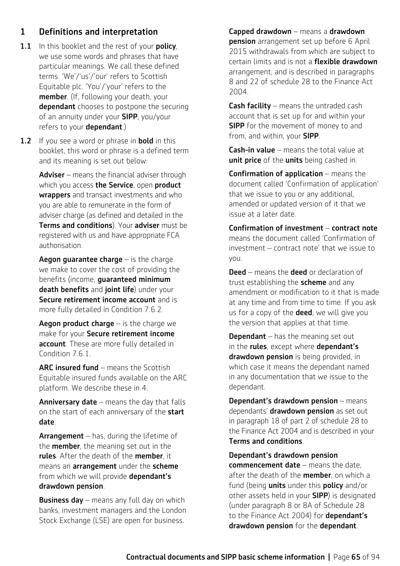## 1 Definitions and interpretation

- 1.1 In this booklet and the rest of your policy, we use some words and phrases that have particular meanings. We call these defined terms. 'We'/'us'/'our' refers to Scottish Equitable plc. 'You'/'your' refers to the member. (If, following your death, your dependant chooses to postpone the securing of an annuity under your SIPP, you/your refers to your **dependant**.)
- **1.2** If you see a word or phrase in **bold** in this booklet, this word or phrase is a defined term and its meaning is set out below:

Adviser – means the financial adviser through which you access the Service, open product wrappers and transact investments and who you are able to remunerate in the form of adviser charge (as defined and detailed in the Terms and conditions). Your adviser must be registered with us and have appropriate FCA authorisation.

**Aegon guarantee charge**  $-$  is the charge we make to cover the cost of providing the benefits (income, guaranteed minimum death benefits and joint life) under your Secure retirement income account and is more fully detailed in Condition 7.6.2.

Aegon product charge  $-$  is the charge we make for your Secure retirement income account. These are more fully detailed in Condition 7.6.1

ARC insured fund – means the Scottish Equitable insured funds available on the ARC platform. We describe these in 4.

**Anniversary date**  $-$  means the day that falls on the start of each anniversary of the start date.

**Arrangement**  $-$  has, during the lifetime of the **member**, the meaning set out in the rules. After the death of the member, it means an **arrangement** under the scheme from which we will provide dependant's drawdown pension.

**Business day** – means any full day on which banks, investment managers and the London Stock Exchange (LSE) are open for business.

Capped drawdown – means a drawdown **pension** arrangement set up before 6 April 2015 withdrawals from which are subject to certain limits and is not a flexible drawdown arrangement, and is described in paragraphs 8 and 22 of schedule 28 to the Finance Act 2004.

**Cash facility** – means the untraded cash account that is set up for and within your **SIPP** for the movement of money to and from, and within, your **SIPP**.

**Cash-in value** – means the total value at unit price of the units being cashed in.

Confirmation of application – means the document called 'Confirmation of application' that we issue to you or any additional, amended or updated version of it that we issue at a later date.

Confirmation of investment – contract note means the document called 'Confirmation of investment – contract note' that we issue to you.

**Deed** – means the **deed** or declaration of trust establishing the **scheme** and any amendment or modification to it that is made at any time and from time to time. If you ask us for a copy of the **deed**, we will give you the version that applies at that time.

**Dependant**  $-$  has the meaning set out in the **rules**, except where **dependant's** drawdown pension is being provided, in which case it means the dependant named in any documentation that we issue to the dependant.

Dependant's drawdown pension – means dependants' drawdown pension as set out in paragraph 18 of part 2 of schedule 28 to the Finance Act 2004 and is described in your Terms and conditions.

Dependant's drawdown pension commencement date – means the date, after the death of the **member**, on which a fund (being **units** under this **policy** and/or other assets held in your SIPP) is designated (under paragraph 8 or 8A of Schedule 28 to the Finance Act 2004) for **dependant's** drawdown pension for the dependant.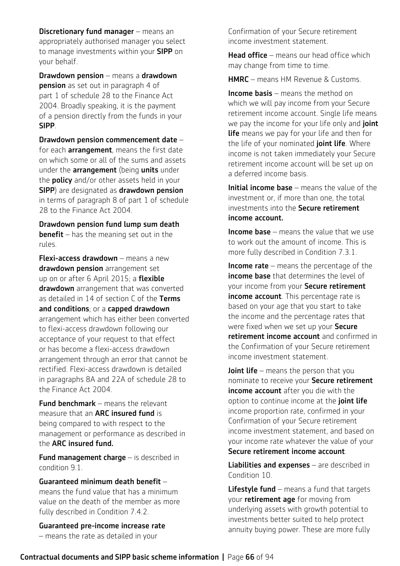**Discretionary fund manager** – means an appropriately authorised manager you select to manage investments within your SIPP on your behalf.

Drawdown pension – means a drawdown **pension** as set out in paragraph 4 of part 1 of schedule 28 to the Finance Act 2004. Broadly speaking, it is the payment of a pension directly from the funds in your SIPP.

Drawdown pension commencement date – for each **arrangement**, means the first date on which some or all of the sums and assets under the **arrangement** (being **units** under the **policy** and/or other assets held in your SIPP) are designated as drawdown pension in terms of paragraph 8 of part 1 of schedule 28 to the Finance Act 2004.

Drawdown pension fund lump sum death **benefit** – has the meaning set out in the rules.

Flexi-access drawdown – means a new drawdown pension arrangement set up on or after 6 April 2015; a flexible drawdown arrangement that was converted as detailed in 14 of section C of the Terms and conditions; or a capped drawdown arrangement which has either been converted to flexi-access drawdown following our acceptance of your request to that effect or has become a flexi-access drawdown arrangement through an error that cannot be rectified. Flexi-access drawdown is detailed in paragraphs 8A and 22A of schedule 28 to the Finance Act 2004.

**Fund benchmark** – means the relevant measure that an ARC insured fund is being compared to with respect to the management or performance as described in the ARC insured fund.

Fund management charge – is described in condition 9.1.

Guaranteed minimum death benefit – means the fund value that has a minimum value on the death of the member as more fully described in Condition 7.4.2.

Guaranteed pre-income increase rate – means the rate as detailed in your

Confirmation of your Secure retirement income investment statement.

**Head office** – means our head office which may change from time to time.

HMRC – means HM Revenue & Customs.

Income basis – means the method on which we will pay income from your Secure retirement income account. Single life means we pay the income for your life only and *joint* **life** means we pay for your life and then for the life of your nominated joint life. Where income is not taken immediately your Secure retirement income account will be set up on a deferred income basis.

Initial income base – means the value of the investment or, if more than one, the total investments into the Secure retirement income account.

Income base – means the value that we use to work out the amount of income. This is more fully described in Condition 7.3.1.

**Income rate** – means the percentage of the income base that determines the level of your income from your Secure retirement income account. This percentage rate is based on your age that you start to take the income and the percentage rates that were fixed when we set up your Secure retirement income account and confirmed in the Confirmation of your Secure retirement income investment statement.

**Joint life** – means the person that you nominate to receive your Secure retirement income account after you die with the option to continue income at the joint life income proportion rate, confirmed in your Confirmation of your Secure retirement income investment statement, and based on your income rate whatever the value of your Secure retirement income account.

Liabilities and expenses - are described in Condition 10.

**Lifestyle fund**  $-$  means a fund that targets your **retirement age** for moving from underlying assets with growth potential to investments better suited to help protect annuity buying power. These are more fully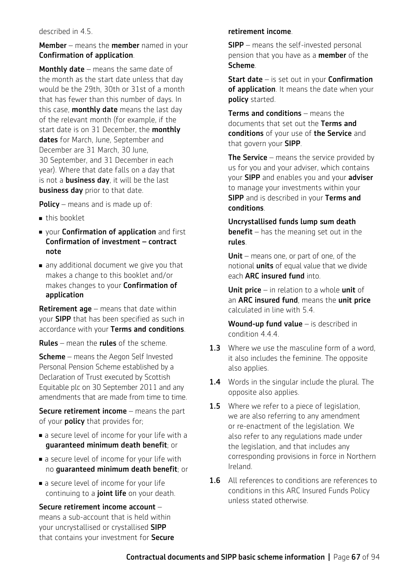#### described in 4.5.

#### Member – means the member named in your Confirmation of application.

**Monthly date** – means the same date of the month as the start date unless that day would be the 29th, 30th or 31st of a month that has fewer than this number of days. In this case, **monthly date** means the last day of the relevant month (for example, if the start date is on 31 December, the **monthly** dates for March, June, September and December are 31 March, 30 June, 30 September, and 31 December in each year). Where that date falls on a day that is not a **business day**, it will be the last business day prior to that date.

**Policy** – means and is made up of:

- $\blacksquare$  this booklet
- vour **Confirmation of application** and first Confirmation of investment – contract note
- $\blacksquare$  any additional document we give you that makes a change to this booklet and/or makes changes to your Confirmation of application

**Retirement age** – means that date within your SIPP that has been specified as such in accordance with your Terms and conditions.

Rules – mean the rules of the scheme.

**Scheme** – means the Aegon Self Invested Personal Pension Scheme established by a Declaration of Trust executed by Scottish Equitable plc on 30 September 2011 and any amendments that are made from time to time.

**Secure retirement income** – means the part of your **policy** that provides for;

- **Exercise 1** a secure level of income for your life with a guaranteed minimum death benefit; or
- $\blacksquare$  a secure level of income for your life with no guaranteed minimum death benefit; or
- a secure level of income for your life continuing to a joint life on your death.

Secure retirement income account – means a sub-account that is held within your uncrystallised or crystallised SIPP that contains your investment for Secure

#### retirement income.

**SIPP** – means the self-invested personal pension that you have as a member of the Scheme.

Start date – is set out in your Confirmation of application. It means the date when your policy started.

Terms and conditions – means the documents that set out the Terms and conditions of your use of the Service and that govern your SIPP.

**The Service** – means the service provided by us for you and your adviser, which contains your SIPP and enables you and your adviser to manage your investments within your **SIPP** and is described in your Terms and conditions.

Uncrystallised funds lump sum death **benefit** – has the meaning set out in the rules.

Unit – means one, or part of one, of the notional **units** of equal value that we divide each ARC insured fund into.

Unit price – in relation to a whole unit of an ARC insured fund, means the unit price calculated in line with 5.4.

Wound-up fund value - is described in condition 4.4.4.

- **1.3** Where we use the masculine form of a word, it also includes the feminine. The opposite also applies.
- 1.4 Words in the singular include the plural. The opposite also applies.
- **1.5** Where we refer to a piece of legislation, we are also referring to any amendment or re-enactment of the legislation. We also refer to any regulations made under the legislation, and that includes any corresponding provisions in force in Northern Ireland.
- 1.6 All references to conditions are references to conditions in this ARC Insured Funds Policy unless stated otherwise.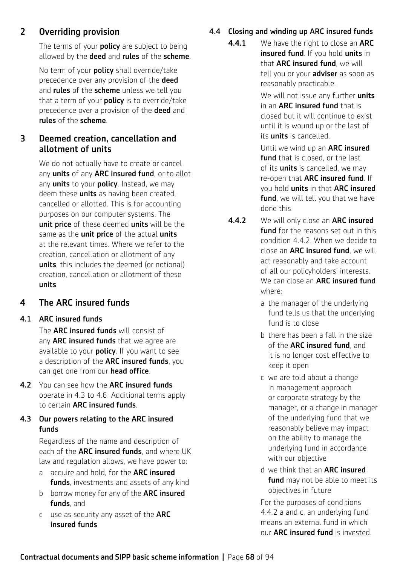# 2 Overriding provision

The terms of your **policy** are subject to being allowed by the **deed** and rules of the scheme.

No term of your **policy** shall override/take precedence over any provision of the **deed** and **rules** of the **scheme** unless we tell you that a term of your **policy** is to override/take precedence over a provision of the **deed** and rules of the scheme.

### 3 Deemed creation, cancellation and allotment of units

We do not actually have to create or cancel any units of any ARC insured fund, or to allot any **units** to your **policy**. Instead, we may deem these **units** as having been created, cancelled or allotted. This is for accounting purposes on our computer systems. The unit price of these deemed units will be the same as the *unit price* of the actual *units* at the relevant times. Where we refer to the creation, cancellation or allotment of any units, this includes the deemed (or notional) creation, cancellation or allotment of these units.

# 4 The ARC insured funds

#### 4.1 ARC insured funds

The **ARC insured funds** will consist of any **ARC insured funds** that we agree are available to your **policy**. If you want to see a description of the ARC insured funds, you can get one from our head office.

4.2 You can see how the ARC insured funds operate in 4.3 to 4.6. Additional terms apply to certain ARC insured funds.

#### 4.3 Our powers relating to the ARC insured funds

Regardless of the name and description of each of the **ARC insured funds**, and where UK law and regulation allows, we have power to:

- a acquire and hold, for the ARC insured funds, investments and assets of any kind
- b borrow money for any of the **ARC insured** funds, and
- c use as security any asset of the ARC insured funds

### 4.4 Closing and winding up ARC insured funds

4.4.1 We have the right to close an ARC **insured fund**. If you hold **units** in that ARC insured fund, we will tell you or your **adviser** as soon as reasonably practicable.

> We will not issue any further units in an **ARC insured fund** that is closed but it will continue to exist until it is wound up or the last of its units is cancelled.

> Until we wind up an ARC insured fund that is closed, or the last of its *units* is cancelled, we may re-open that ARC insured fund. If you hold units in that ARC insured fund, we will tell you that we have done this.

- **4.4.2** We will only close an **ARC insured fund** for the reasons set out in this condition 4.4.2. When we decide to close an ARC insured fund, we will act reasonably and take account of all our policyholders' interests. We can close an **ARC insured fund** where:
	- a the manager of the underlying fund tells us that the underlying fund is to close
	- b there has been a fall in the size of the ARC insured fund, and it is no longer cost effective to keep it open
	- c we are told about a change in management approach or corporate strategy by the manager, or a change in manager of the underlying fund that we reasonably believe may impact on the ability to manage the underlying fund in accordance with our objective
	- d we think that an ARC insured fund may not be able to meet its objectives in future

For the purposes of conditions 4.4.2 a and c, an underlying fund means an external fund in which our ARC insured fund is invested.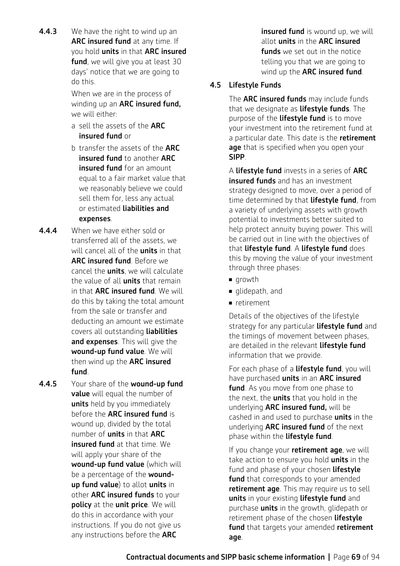**4.4.3** We have the right to wind up an ARC insured fund at any time. If you hold **units** in that ARC insured fund, we will give you at least 30 days' notice that we are going to do this.

> When we are in the process of winding up an ARC insured fund, we will either:

- a sell the assets of the ARC insured fund or
- b transfer the assets of the ARC insured fund to another ARC insured fund for an amount equal to a fair market value that we reasonably believe we could sell them for, less any actual or estimated liabilities and expenses.
- 4.4.4 When we have either sold or transferred all of the assets, we will cancel all of the **units** in that ARC insured fund. Before we cancel the **units**, we will calculate the value of all **units** that remain in that **ARC insured fund**. We will do this by taking the total amount from the sale or transfer and deducting an amount we estimate covers all outstanding liabilities and expenses. This will give the wound-up fund value. We will then wind up the **ARC insured** fund.
- 4.4.5 Your share of the wound-up fund value will equal the number of units held by you immediately before the ARC insured fund is wound up, divided by the total number of units in that ARC insured fund at that time. We will apply your share of the wound-up fund value (which will be a percentage of the woundup fund value) to allot units in other ARC insured funds to your policy at the unit price. We will do this in accordance with your instructions. If you do not give us any instructions before the **ARC**

**insured fund** is wound up, we will allot units in the ARC insured **funds** we set out in the notice telling you that we are going to wind up the **ARC insured fund**.

#### 4.5 Lifestyle Funds

The **ARC insured funds** may include funds that we designate as *lifestyle funds*. The purpose of the **lifestyle fund** is to move your investment into the retirement fund at a particular date. This date is the **retirement** age that is specified when you open your SIPP.

A lifestyle fund invests in a series of ARC insured funds and has an investment strategy designed to move, over a period of time determined by that **lifestyle fund**, from a variety of underlying assets with growth potential to investments better suited to help protect annuity buying power. This will be carried out in line with the objectives of that lifestyle fund. A lifestyle fund does this by moving the value of your investment through three phases:

- growth
- $\blacksquare$  glidepath, and
- n retirement

Details of the objectives of the lifestyle strategy for any particular **lifestyle fund** and the timings of movement between phases, are detailed in the relevant lifestyle fund information that we provide.

For each phase of a **lifestyle fund**, you will have purchased units in an ARC insured fund. As you move from one phase to the next, the **units** that you hold in the underlying **ARC insured fund,** will be cashed in and used to purchase **units** in the underlying **ARC insured fund** of the next phase within the **lifestyle fund**.

If you change your retirement age, we will take action to ensure you hold **units** in the fund and phase of your chosen lifestyle fund that corresponds to your amended retirement age. This may require us to sell units in your existing lifestyle fund and purchase **units** in the growth, glidepath or retirement phase of the chosen lifestyle fund that targets your amended retirement age.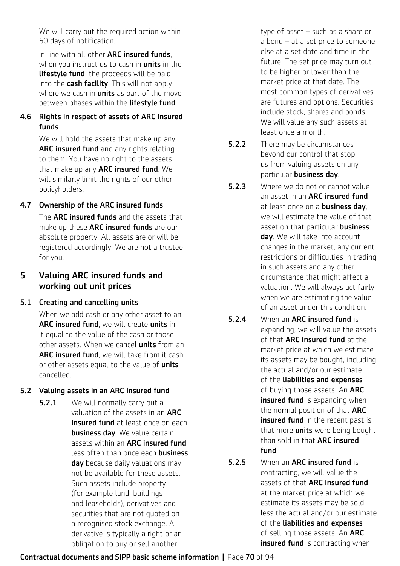We will carry out the required action within 60 days of notification.

In line with all other **ARC insured funds**. when you instruct us to cash in **units** in the **lifestyle fund**, the proceeds will be paid into the cash facility. This will not apply where we cash in **units** as part of the move between phases within the **lifestyle fund**.

#### 4.6 Rights in respect of assets of ARC insured funds

We will hold the assets that make up any ARC insured fund and any rights relating to them. You have no right to the assets that make up any ARC insured fund. We will similarly limit the rights of our other policyholders.

# 4.7 Ownership of the ARC insured funds The **ARC insured funds** and the assets that

make up these ARC insured funds are our absolute property. All assets are or will be registered accordingly. We are not a trustee for you.

### 5 Valuing ARC insured funds and working out unit prices

#### 5.1 Creating and cancelling units

When we add cash or any other asset to an ARC insured fund, we will create units in it equal to the value of the cash or those other assets. When we cancel **units** from an ARC insured fund, we will take from it cash or other assets equal to the value of units cancelled.

### 5.2 Valuing assets in an ARC insured fund

**5.2.1** We will normally carry out a valuation of the assets in an ARC insured fund at least once on each **business day**. We value certain assets within an ARC insured fund less often than once each business day because daily valuations may not be available for these assets. Such assets include property (for example land, buildings and leaseholds), derivatives and securities that are not quoted on a recognised stock exchange. A derivative is typically a right or an obligation to buy or sell another

type of asset – such as a share or a bond – at a set price to someone else at a set date and time in the future. The set price may turn out to be higher or lower than the market price at that date. The most common types of derivatives are futures and options. Securities include stock, shares and bonds. We will value any such assets at least once a month.

- 5.2.2 There may be circumstances beyond our control that stop us from valuing assets on any particular business day.
- **5.2.3** Where we do not or cannot value an asset in an **ARC insured fund** at least once on a **business day**. we will estimate the value of that asset on that particular **business** day. We will take into account changes in the market, any current restrictions or difficulties in trading in such assets and any other circumstance that might affect a valuation. We will always act fairly when we are estimating the value of an asset under this condition.
- 5.2.4 When an ARC insured fund is expanding, we will value the assets of that ARC insured fund at the market price at which we estimate its assets may be bought, including the actual and/or our estimate of the liabilities and expenses of buying those assets. An ARC insured fund is expanding when the normal position of that **ARC** insured fund in the recent past is that more **units** were being bought than sold in that ARC insured fund.
- 5.2.5 When an ARC insured fund is contracting, we will value the assets of that ARC insured fund at the market price at which we estimate its assets may be sold, less the actual and/or our estimate of the liabilities and expenses of selling those assets. An ARC insured fund is contracting when

### Contractual documents and SIPP basic scheme information **|** Page 70 of 94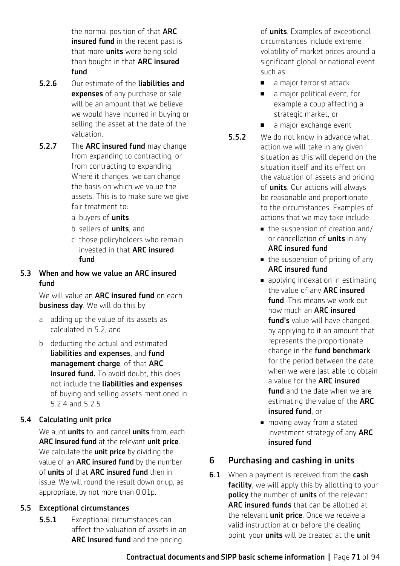the normal position of that **ARC** insured fund in the recent past is that more **units** were being sold than bought in that ARC insured fund.

- 5.2.6 Our estimate of the liabilities and expenses of any purchase or sale will be an amount that we believe we would have incurred in buying or selling the asset at the date of the valuation.
- **5.2.7** The **ARC insured fund** may change from expanding to contracting, or from contracting to expanding. Where it changes, we can change the basis on which we value the assets. This is to make sure we give fair treatment to:
	- a buvers of **units**
	- b sellers of units, and
	- c those policyholders who remain invested in that ARC insured fund

#### 5.3 When and how we value an ARC insured fund

We will value an **ARC insured fund** on each business day. We will do this by:

- a adding up the value of its assets as calculated in 5.2, and
- b deducting the actual and estimated liabilities and expenses, and fund management charge, of that ARC insured fund. To avoid doubt, this does not include the liabilities and expenses of buying and selling assets mentioned in 5.2.4 and 5.2.5

#### 5.4 Calculating unit price

We allot **units** to, and cancel **units** from, each ARC insured fund at the relevant unit price. We calculate the **unit price** by dividing the value of an **ARC insured fund** by the number of units of that ARC insured fund then in issue. We will round the result down or up, as appropriate, by not more than 0.01p.

#### 5.5 Exceptional circumstances

**5.5.1** Exceptional circumstances can affect the valuation of assets in an ARC insured fund and the pricing

of **units**. Examples of exceptional circumstances include extreme volatility of market prices around a significant global or national event such as:

- a major terrorist attack
- $\blacksquare$  a major political event, for example a coup affecting a strategic market, or
- a major exchange event
- **5.5.2** We do not know in advance what action we will take in any given situation as this will depend on the situation itself and its effect on the valuation of assets and pricing of **units**. Our actions will always be reasonable and proportionate to the circumstances. Examples of actions that we may take include:
	- $\blacksquare$  the suspension of creation and/ or cancellation of **units** in any ARC insured fund
	- $\blacksquare$  the suspension of pricing of any ARC insured fund
	- $\blacksquare$  applying indexation in estimating the value of any **ARC insured** fund. This means we work out how much an ARC insured fund's value will have changed by applying to it an amount that represents the proportionate change in the **fund benchmark** for the period between the date when we were last able to obtain a value for the **ARC insured fund** and the date when we are estimating the value of the **ARC** insured fund, or
	- moving away from a stated investment strategy of any ARC insured fund

### 6 Purchasing and cashing in units

**6.1** When a payment is received from the **cash** facility, we will apply this by allotting to your **policy** the number of **units** of the relevant ARC insured funds that can be allotted at the relevant **unit price**. Once we receive a valid instruction at or before the dealing point, your **units** will be created at the unit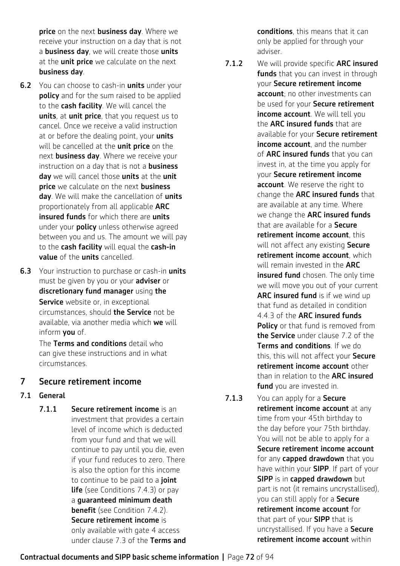price on the next business day. Where we receive your instruction on a day that is not a **business day**, we will create those units at the *unit price* we calculate on the next business day.

- **6.2** You can choose to cash-in **units** under your policy and for the sum raised to be applied to the cash facility. We will cancel the units, at unit price, that you request us to cancel. Once we receive a valid instruction at or before the dealing point, your units will be cancelled at the **unit price** on the next **business day**. Where we receive your instruction on a day that is not a **business** day we will cancel those units at the unit price we calculate on the next business day. We will make the cancellation of units proportionately from all applicable ARC insured funds for which there are units under your **policy** unless otherwise agreed between you and us. The amount we will pay to the cash facility will equal the cash-in value of the units cancelled.
- **6.3** Your instruction to purchase or cash-in units must be given by you or your adviser or discretionary fund manager using the Service website or, in exceptional circumstances, should the Service not be available, via another media which we will inform you of.

The Terms and conditions detail who can give these instructions and in what circumstances.

#### 7 Secure retirement income

#### 7.1 General

7.1.1 Secure retirement income is an investment that provides a certain level of income which is deducted from your fund and that we will continue to pay until you die, even if your fund reduces to zero. There is also the option for this income to continue to be paid to a joint **life** (see Conditions 7.4.3) or pay a guaranteed minimum death **benefit** (see Condition 7.4.2). Secure retirement income is only available with gate 4 access under clause 7.3 of the Terms and conditions, this means that it can only be applied for through your adviser.

- 7.1.2 We will provide specific ARC insured funds that you can invest in through your Secure retirement income account; no other investments can be used for your **Secure retirement** income account. We will tell you the **ARC insured funds** that are available for your Secure retirement income account, and the number of **ARC insured funds** that you can invest in, at the time you apply for your Secure retirement income account. We reserve the right to change the ARC insured funds that are available at any time. Where we change the **ARC insured funds** that are available for a Secure retirement income account, this will not affect any existing Secure retirement income account, which will remain invested in the **ARC** insured fund chosen. The only time we will move you out of your current ARC insured fund is if we wind up that fund as detailed in condition 4.4.3 of the ARC insured funds Policy or that fund is removed from the Service under clause 7.2 of the Terms and conditions. If we do this, this will not affect your Secure retirement income account other than in relation to the **ARC insured fund** you are invested in.
- 7.1.3 You can apply for a Secure retirement income account at any time from your 45th birthday to the day before your 75th birthday. You will not be able to apply for a Secure retirement income account for any **capped drawdown** that you have within your **SIPP**. If part of your SIPP is in capped drawdown but part is not (it remains uncrystallised), you can still apply for a Secure retirement income account for that part of your **SIPP** that is uncrystallised. If you have a Secure retirement income account within

#### Contractual documents and SIPP basic scheme information **|** Page 72 of 94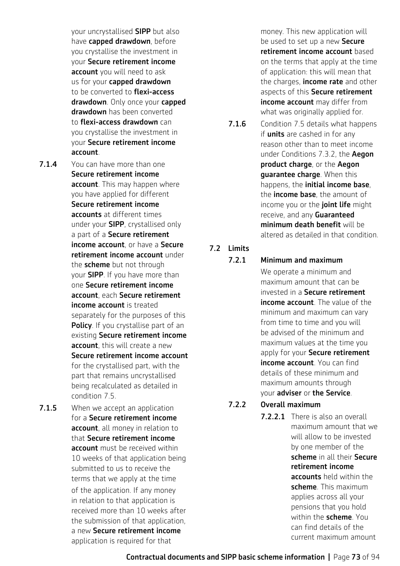your uncrystallised SIPP but also have capped drawdown, before you crystallise the investment in your Secure retirement income account you will need to ask us for your capped drawdown to be converted to **flexi-access** drawdown. Only once your capped drawdown has been converted to flexi-access drawdown can you crystallise the investment in your Secure retirement income account.

- 7.1.4 You can have more than one Secure retirement income account. This may happen where you have applied for different Secure retirement income accounts at different times under your SIPP, crystallised only a part of a Secure retirement income account, or have a Secure retirement income account under the scheme but not through your SIPP. If you have more than one Secure retirement income account, each Secure retirement income account is treated separately for the purposes of this Policy. If you crystallise part of an existing Secure retirement income account, this will create a new Secure retirement income account for the crystallised part, with the part that remains uncrystallised being recalculated as detailed in condition 7.5.
- **7.1.5** When we accept an application for a Secure retirement income account, all money in relation to that Secure retirement income account must be received within 10 weeks of that application being submitted to us to receive the terms that we apply at the time of the application. If any money in relation to that application is received more than 10 weeks after the submission of that application. a new Secure retirement income application is required for that

money. This new application will be used to set up a new Secure retirement income account based on the terms that apply at the time of application: this will mean that the charges, **income rate** and other aspects of this Secure retirement income account may differ from what was originally applied for.

7.1.6 Condition 7.5 details what happens if **units** are cashed in for any reason other than to meet income under Conditions 7.3.2, the Aegon product charge, or the Aegon **guarantee charge.** When this happens, the *initial income base*. the *income* base, the amount of income you or the *ioint life* might receive, and any **Guaranteed** minimum death benefit will be altered as detailed in that condition.

# 7.2 Limits

#### 7.2.1 Minimum and maximum

We operate a minimum and maximum amount that can be invested in a Secure retirement income account. The value of the minimum and maximum can vary from time to time and you will be advised of the minimum and maximum values at the time you apply for your Secure retirement income account. You can find details of these minimum and maximum amounts through your adviser or the Service.

### 7.2.2 Overall maximum

7.2.2.1 There is also an overall maximum amount that we will allow to be invested by one member of the scheme in all their Secure retirement income accounts held within the scheme. This maximum applies across all your pensions that you hold within the **scheme**. You can find details of the current maximum amount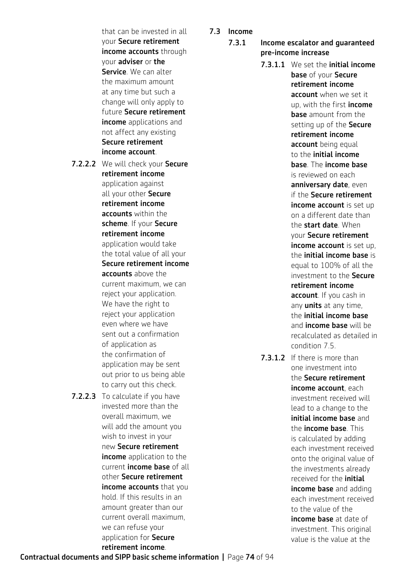that can be invested in all your Secure retirement income accounts through your adviser or the Service. We can alter the maximum amount at any time but such a change will only apply to future Secure retirement income applications and not affect any existing Secure retirement income account.

- 7.2.2.2 We will check your Secure retirement income application against all your other Secure retirement income accounts within the scheme. If your Secure retirement income application would take the total value of all your Secure retirement income accounts above the current maximum, we can reject your application. We have the right to reject your application even where we have sent out a confirmation of application as the confirmation of application may be sent out prior to us being able to carry out this check.
- 7.2.2.3 To calculate if you have invested more than the overall maximum, we will add the amount you wish to invest in your new Secure retirement income application to the current income base of all other Secure retirement income accounts that you hold. If this results in an amount greater than our current overall maximum, we can refuse your application for Secure retirement income.
- 7.3 Income
	- 7.3.1 Income escalator and guaranteed pre-income increase

7.3.1.1 We set the initial income base of your Secure retirement income account when we set it up, with the first income **base** amount from the setting up of the Secure retirement income account being equal to the initial income base. The income base is reviewed on each anniversary date, even if the Secure retirement income account is set up on a different date than the start date. When your Secure retirement income account is set up. the initial income base is equal to 100% of all the investment to the Secure retirement income account. If you cash in any **units** at any time. the initial income base and **income base** will be recalculated as detailed in condition 7.5.

7.3.1.2 If there is more than one investment into the Secure retirement income account, each investment received will lead to a change to the initial income base and the income base. This is calculated by adding each investment received onto the original value of the investments already received for the *initial* income base and adding each investment received to the value of the income base at date of investment. This original value is the value at the

Contractual documents and SIPP basic scheme information **|** Page 74 of 94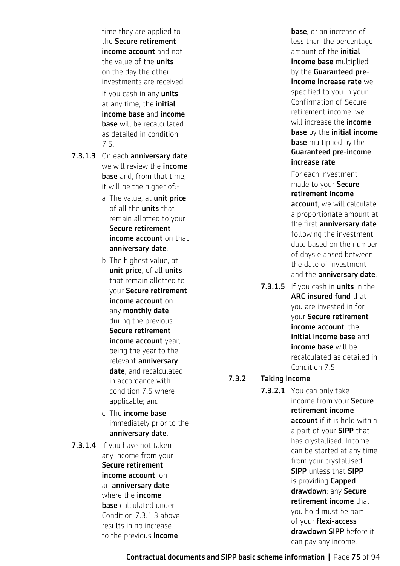time they are applied to the Secure retirement income account and not the value of the **units** on the day the other investments are received. If you cash in any units at any time, the *initial* income base and income base will be recalculated as detailed in condition 7.5.

- <span id="page-74-0"></span>7.3.1.3 On each anniversary date we will review the **income base** and, from that time, it will be the higher of:
	- a The value, at unit price, of all the *units* that remain allotted to your Secure retirement income account on that anniversary date;
	- b The highest value, at unit price, of all units that remain allotted to your Secure retirement income account on any monthly date during the previous Secure retirement income account year, being the year to the relevant anniversary date, and recalculated in accordance with condition 7.5 where applicable; and
	- c The income base immediately prior to the anniversary date.
- 7.3.1.4 If you have not taken any income from your Secure retirement income account, on an anniversary date where the **income** base calculated under Condition [7.3.1.3](#page-74-0) above results in no increase to the previous **income**

**base**, or an increase of less than the percentage amount of the *initial* income base multiplied by the **Guaranteed pre**income increase rate we specified to you in your Confirmation of Secure retirement income, we will increase the **income** base by the initial income **base** multiplied by the Guaranteed pre-income increase rate.

 For each investment made to your Secure retirement income account, we will calculate a proportionate amount at the first anniversary date following the investment date based on the number of days elapsed between the date of investment and the anniversary date.

7.3.1.5 If you cash in units in the ARC insured fund that you are invested in for your Secure retirement income account, the initial income base and income base will be recalculated as detailed in Condition 7.5.

#### <span id="page-74-1"></span>7.3.2 Taking income

7.3.2.1 You can only take income from your Secure retirement income account if it is held within a part of your **SIPP** that has crystallised. Income can be started at any time from your crystallised SIPP unless that SIPP is providing Capped drawdown; any Secure retirement income that you hold must be part of your flexi-access drawdown SIPP before it can pay any income.

Contractual documents and SIPP basic scheme information **|** Page 75 of 94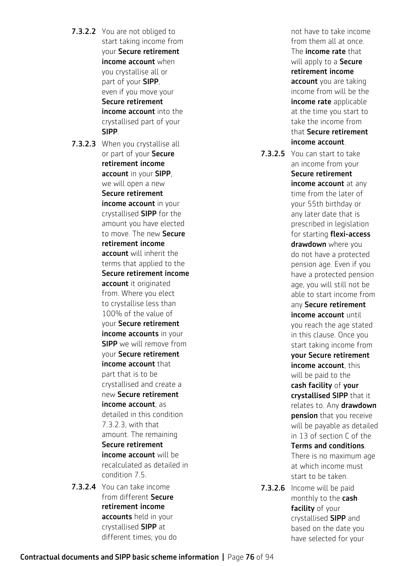- **7.3.2.2** You are not obliged to start taking income from your Secure retirement income account when you crystallise all or part of your SIPP, even if you move your Secure retirement income account into the crystallised part of your SIPP.
- 7.3.2.3 When you crystallise all or part of your Secure retirement income account in your SIPP, we will open a new Secure retirement income account in your crystallised SIPP for the amount you have elected to move. The new Secure retirement income account will inherit the terms that applied to the Secure retirement income account it originated from. Where you elect to crystallise less than 100% of the value of your Secure retirement income accounts in your **SIPP** we will remove from your Secure retirement income account that part that is to be crystallised and create a new Secure retirement income account, as detailed in this condition 7.3.2.3, with that amount. The remaining Secure retirement income account will be recalculated as detailed in condition 7.5.
- <span id="page-75-0"></span>7.3.2.4 You can take income from different Secure retirement income accounts held in your crystallised SIPP at different times; you do

not have to take income from them all at once. The **income rate** that will apply to a **Secure** retirement income account you are taking income from will be the income rate applicable at the time you start to take the income from that Secure retirement income account.

- 7.3.2.5 You can start to take an income from your Secure retirement income account at any time from the later of your 55th birthday or any later date that is prescribed in legislation for starting **flexi-access** drawdown where you do not have a protected pension age. Even if you have a protected pension age, you will still not be able to start income from any Secure retirement income account until you reach the age stated in this clause. Once you start taking income from your Secure retirement income account, this will be paid to the cash facility of your crystallised SIPP that it relates to. Any **drawdown** pension that you receive will be payable as detailed in 13 of section C of the Terms and conditions. There is no maximum age at which income must start to be taken. 7.3.2.6 Income will be paid
	- monthly to the cash facility of your crystallised SIPP and based on the date you have selected for your

Contractual documents and SIPP basic scheme information **|** Page 76 of 94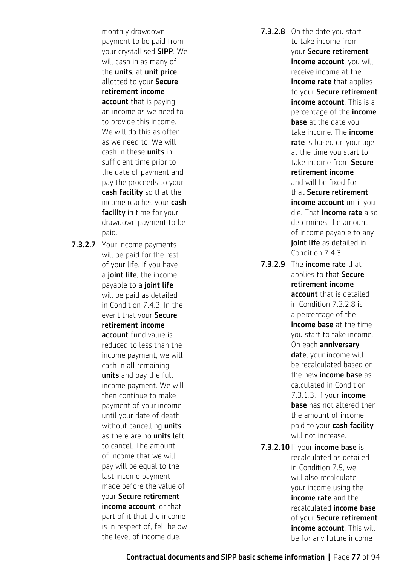monthly drawdown payment to be paid from your crystallised SIPP. We will cash in as many of the units, at unit price, allotted to your Secure retirement income account that is paying an income as we need to to provide this income. We will do this as often as we need to. We will cash in these units in sufficient time prior to the date of payment and pay the proceeds to your cash facility so that the income reaches your cash facility in time for your drawdown payment to be paid.

7.3.2.7 Your income payments will be paid for the rest of your life. If you have a joint life, the income payable to a joint life will be paid as detailed in Condition 7.4.3. In the event that your Secure retirement income account fund value is reduced to less than the income payment, we will cash in all remaining units and pay the full income payment. We will then continue to make payment of your income until your date of death without cancelling **units** as there are no **units** left to cancel. The amount of income that we will pay will be equal to the last income payment made before the value of your Secure retirement income account, or that part of it that the income is in respect of, fell below the level of income due.

<span id="page-76-0"></span>7.3.2.8 On the date you start to take income from your Secure retirement income account, you will receive income at the **income rate** that applies to your Secure retirement income account. This is a percentage of the income **base** at the date you take income. The *income* rate is based on your age at the time you start to take income from Secure retirement income and will be fixed for that Secure retirement income account until you die. That income rate also determines the amount of income payable to any joint life as detailed in Condition 7.4.3.

- 7.3.2.9 The income rate that applies to that Secure retirement income account that is detailed in Condition [7.3.2.8](#page-76-0) is a percentage of the income base at the time you start to take income. On each **anniversary** date, your income will be recalculated based on the new **income base** as calculated in Condition [7.3.1.3.](#page-74-0) If your income **base** has not altered then the amount of income paid to your cash facility will not increase.
- 7.3.2.10 If your **income base** is recalculated as detailed in Condition 7.5, we will also recalculate your income using the income rate and the recalculated income base of your Secure retirement income account. This will be for any future income

Contractual documents and SIPP basic scheme information **|** Page 77 of 94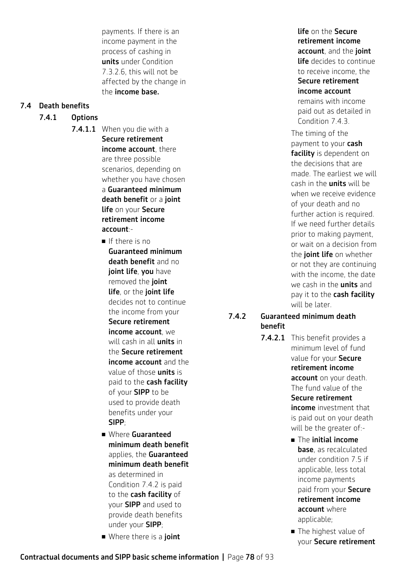payments. If there is an income payment in the process of cashing in units under Condition [7.3.2.6](#page-75-0), this will not be affected by the change in the income base.

### 7.4 Death benefits

### 7.4.1 Options

- 7.4.1.1 When you die with a Secure retirement income account, there are three possible scenarios, depending on whether you have chosen a Guaranteed minimum death benefit or a joint **life on your Secure** retirement income account:-
	- $\blacksquare$  If there is no Guaranteed minimum death benefit and no joint life, you have removed the joint life, or the joint life decides not to continue the income from your Secure retirement income account, we will cash in all **units** in the Secure retirement income account and the value of those **units** is paid to the cash facility of your **SIPP** to be used to provide death benefits under your SIPP;
	- <sup>n</sup> Where Guaranteed minimum death benefit applies, the Guaranteed minimum death benefit as determined in Condition 7.4.2 is paid to the cash facility of your SIPP and used to provide death benefits under your SIPP;
	- Where there is a joint

#### life on the Secure retirement income account, and the joint life decides to continue to receive income, the Secure retirement

income account remains with income

paid out as detailed in Condition 7.4.3.

The timing of the payment to your cash facility is dependent on the decisions that are made. The earliest we will cash in the units will be when we receive evidence of your death and no further action is required. If we need further details prior to making payment, or wait on a decision from the **joint life** on whether or not they are continuing with the income, the date we cash in the **units** and pay it to the cash facility will be later.

#### 7.4.2 Guaranteed minimum death benefit

- 7.4.2.1 This benefit provides a minimum level of fund value for your Secure retirement income account on your death. The fund value of the Secure retirement income investment that is paid out on your death will be the greater of:-
	- $\blacksquare$  The initial income base, as recalculated under condition 7.5 if applicable, less total income payments paid from your Secure retirement income account where applicable;
	- The highest value of your Secure retirement

Contractual documents and SIPP basic scheme information **|** Page 78 of 93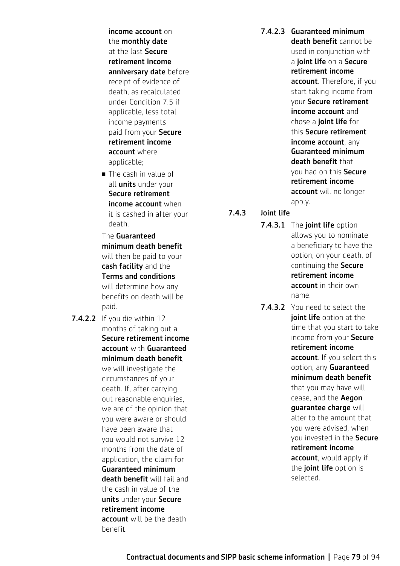income account on the monthly date at the last Secure retirement income anniversary date before receipt of evidence of death, as recalculated under Condition 7.5 if applicable, less total income payments paid from your Secure retirement income account where applicable;

**n** The cash in value of all *units* under your Secure retirement income account when it is cashed in after your death.

#### The Guaranteed minimum death benefit will then be paid to your cash facility and the Terms and conditions will determine how any benefits on death will be paid.

7.4.2.2 If you die within 12 months of taking out a Secure retirement income account with Guaranteed minimum death benefit, we will investigate the circumstances of your death. If, after carrying out reasonable enquiries, we are of the opinion that you were aware or should have been aware that you would not survive 12 months from the date of application, the claim for Guaranteed minimum death benefit will fail and the cash in value of the units under your Secure retirement income account will be the death benefit.

7.4.2.3 Guaranteed minimum death benefit cannot be used in conjunction with a joint life on a Secure retirement income account. Therefore, if you start taking income from your Secure retirement income account and chose a joint life for this Secure retirement income account, any Guaranteed minimum death benefit that you had on this Secure retirement income account will no longer apply.

- <span id="page-78-0"></span>7.4.3 Joint life
	- 7.4.3.1 The joint life option allows you to nominate a beneficiary to have the option, on your death, of continuing the Secure retirement income account in their own name.
	- 7.4.3.2 You need to select the joint life option at the time that you start to take income from your Secure retirement income account. If you select this option, any Guaranteed minimum death benefit that you may have will cease, and the Aegon guarantee charge will alter to the amount that you were advised, when you invested in the Secure retirement income **account**, would apply if the joint life option is selected.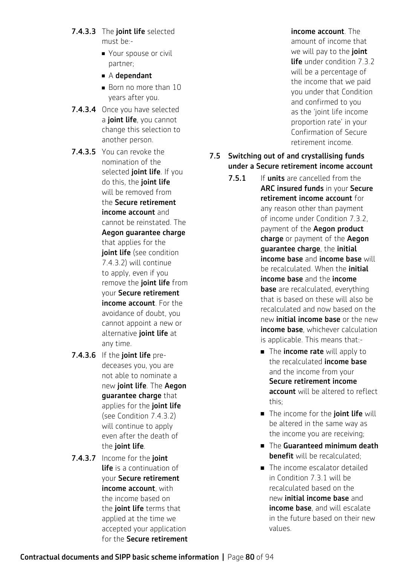- 7.4.3.3 The joint life selected must be:-
	- Your spouse or civil partner;
	- $\blacksquare$  A dependant
	- $\blacksquare$  Born no more than 10 years after you.
- 7.4.3.4 Once you have selected a joint life, you cannot change this selection to another person.
- 7.4.3.5 You can revoke the nomination of the selected joint life. If you do this, the joint life will be removed from the Secure retirement income account and cannot be reinstated. The Aegon guarantee charge that applies for the joint life (see condition [7.4.3.2](#page-78-0)) will continue to apply, even if you remove the joint life from your Secure retirement income account. For the avoidance of doubt, you cannot appoint a new or alternative joint life at any time.
- 7.4.3.6 If the joint life predeceases you, you are not able to nominate a new joint life. The Aegon guarantee charge that applies for the joint life (see Condition [7.4.3.2\)](#page-78-0) will continue to apply even after the death of the joint life.
- 7.4.3.7 Income for the **joint** life is a continuation of your Secure retirement income account, with the income based on the *ioint life* terms that applied at the time we accepted your application for the Secure retirement

income account. The amount of income that we will pay to the joint life under condition 7.3.2 will be a percentage of the income that we paid you under that Condition and confirmed to you as the 'joint life income proportion rate' in your Confirmation of Secure retirement income.

### 7.5 Switching out of and crystallising funds under a Secure retirement income account

- 7.5.1 If units are cancelled from the ARC insured funds in your Secure retirement income account for any reason other than payment of income under Condition [7.3.2](#page-74-1), payment of the Aegon product charge or payment of the Aegon guarantee charge, the initial income base and income base will be recalculated. When the *initial* income base and the income **base** are recalculated, everything that is based on these will also be recalculated and now based on the new initial income base or the new **income base**, whichever calculation is applicable. This means that:-
	- $\blacksquare$  The income rate will apply to the recalculated **income base** and the income from your Secure retirement income account will be altered to reflect this;
	- The income for the joint life will be altered in the same way as the income you are receiving;
	- $\blacksquare$  The Guaranteed minimum death benefit will be recalculated:
	- $\blacksquare$  The income escalator detailed in Condition 7.3.1 will be recalculated based on the new initial income base and income base, and will escalate in the future based on their new values.

### Contractual documents and SIPP basic scheme information **|** Page 80 of 94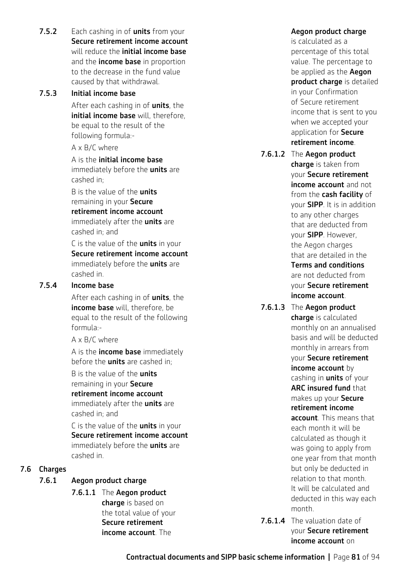**7.5.2** Each cashing in of **units** from your Secure retirement income account will reduce the **initial income base** and the *income* base in proportion to the decrease in the fund value caused by that withdrawal.

### 7.5.3 Initial income base

After each cashing in of **units**, the initial income base will, therefore, be equal to the result of the following formula:-

A x B/C where

A is the initial income base immediately before the *units* are cashed in;

B is the value of the **units** remaining in your Secure retirement income account immediately after the **units** are cashed in; and

C is the value of the **units** in your Secure retirement income account immediately before the **units** are cashed in.

### 7.5.4 Income base

After each cashing in of units, the income base will, therefore, be equal to the result of the following formula:-

A x B/C where

A is the **income base** immediately before the **units** are cashed in;

B is the value of the **units** remaining in your Secure retirement income account immediately after the **units** are cashed in; and

C is the value of the **units** in your Secure retirement income account immediately before the **units** are cashed in.

### 7.6 Charges

### 7.6.1 Aegon product charge

7.6.1.1 The Aegon product charge is based on the total value of your Secure retirement income account. The

### Aegon product charge

is calculated as a percentage of this total value. The percentage to be applied as the **Aegon** product charge is detailed in your Confirmation of Secure retirement income that is sent to you when we accepted your application for Secure retirement income.

- 7.6.1.2 The Aegon product charge is taken from your Secure retirement income account and not from the cash facility of your SIPP. It is in addition to any other charges that are deducted from your SIPP. However, the Aegon charges that are detailed in the Terms and conditions are not deducted from your Secure retirement income account.
- 7.6.1.3 The Aegon product charge is calculated monthly on an annualised basis and will be deducted monthly in arrears from your Secure retirement income account by cashing in **units** of your ARC insured fund that makes up your Secure retirement income account. This means that each month it will be calculated as though it was going to apply from one year from that month but only be deducted in relation to that month. It will be calculated and deducted in this way each month.
- 7.6.1.4 The valuation date of your Secure retirement income account on

Contractual documents and SIPP basic scheme information **|** Page 81 of 94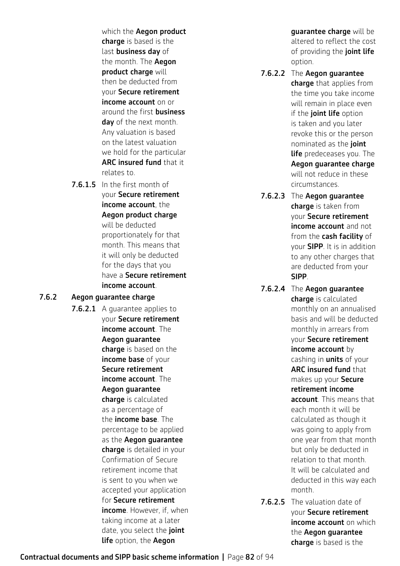which the **Aegon product** charge is based is the last **business day** of the month. The Aegon product charge will then be deducted from your Secure retirement income account on or around the first **business** day of the next month. Any valuation is based on the latest valuation we hold for the particular ARC insured fund that it relates to.

7.6.1.5 In the first month of your Secure retirement income account, the Aegon product charge will be deducted proportionately for that month. This means that it will only be deducted for the days that you have a Secure retirement income account.

### 7.6.2 Aegon guarantee charge

7.6.2.1 A quarantee applies to your Secure retirement income account. The Aegon guarantee charge is based on the income base of your Secure retirement income account. The Aegon guarantee charge is calculated as a percentage of the income base. The percentage to be applied as the Aegon guarantee charge is detailed in your Confirmation of Secure retirement income that is sent to you when we accepted your application for Secure retirement income. However, if, when taking income at a later date, you select the joint life option, the Aegon

guarantee charge will be altered to reflect the cost of providing the joint life option.

- 7.6.2.2 The Aegon guarantee charge that applies from the time you take income will remain in place even if the joint life option is taken and you later revoke this or the person nominated as the joint **life** predeceases you. The Aegon guarantee charge will not reduce in these circumstances.
- 7.6.2.3 The Aegon guarantee charge is taken from your Secure retirement income account and not from the **cash facility** of your SIPP. It is in addition to any other charges that are deducted from your SIPP.
- 7.6.2.4 The Aegon guarantee charge is calculated monthly on an annualised basis and will be deducted monthly in arrears from your Secure retirement income account by cashing in **units** of your ARC insured fund that makes up your Secure retirement income account. This means that each month it will be calculated as though it was going to apply from one year from that month but only be deducted in relation to that month. It will be calculated and deducted in this way each month.
- 7.6.2.5 The valuation date of your Secure retirement income account on which the Aegon guarantee charge is based is the

Contractual documents and SIPP basic scheme information **|** Page 82 of 94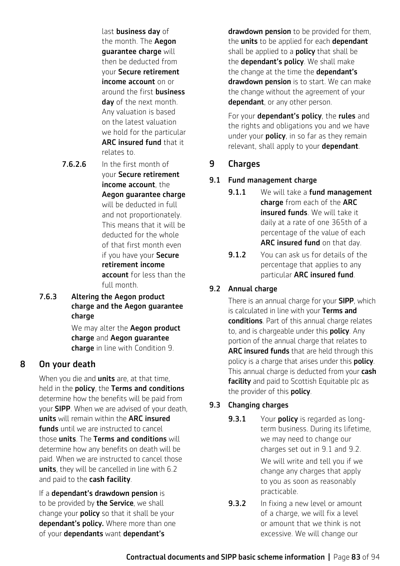last business day of the month. The Aegon guarantee charge will then be deducted from your Secure retirement income account on or around the first **business** day of the next month. Any valuation is based on the latest valuation we hold for the particular ARC insured fund that it relates to.

7.6.2.6 In the first month of

your Secure retirement income account, the Aegon guarantee charge will be deducted in full and not proportionately. This means that it will be deducted for the whole of that first month even if you have your Secure retirement income account for less than the full month.

7.6.3 Altering the Aegon product charge and the Aegon guarantee charge

> We may alter the **Aegon product** charge and Aegon guarantee charge in line with Condition 9.

# 8 On your death

When you die and **units** are, at that time, held in the policy, the Terms and conditions determine how the benefits will be paid from your SIPP. When we are advised of your death, units will remain within the ARC insured funds until we are instructed to cancel those **units**. The Terms and conditions will determine how any benefits on death will be paid. When we are instructed to cancel those units, they will be cancelled in line with 6.2 and paid to the cash facility.

If a dependant's drawdown pension is to be provided by the Service, we shall change your **policy** so that it shall be your dependant's policy. Where more than one of your dependants want dependant's

drawdown pension to be provided for them, the **units** to be applied for each **dependant** shall be applied to a **policy** that shall be the **dependant's policy**. We shall make the change at the time the **dependant's** drawdown pension is to start. We can make the change without the agreement of your dependant, or any other person.

For your **dependant's policy**, the **rules** and the rights and obligations you and we have under your **policy**, in so far as they remain relevant, shall apply to your **dependant**.

# 9 Charges

### 9.1 Fund management charge

- **9.1.1** We will take a **fund management** charge from each of the ARC insured funds. We will take it daily at a rate of one 365th of a percentage of the value of each ARC insured fund on that day.
- 9.1.2 You can ask us for details of the percentage that applies to any particular ARC insured fund.

# 9.2 Annual charge

There is an annual charge for your **SIPP**, which is calculated in line with your Terms and conditions. Part of this annual charge relates to, and is chargeable under this **policy**. Any portion of the annual charge that relates to ARC insured funds that are held through this policy is a charge that arises under this **policy**. This annual charge is deducted from your cash facility and paid to Scottish Equitable plc as the provider of this **policy**.

# 9.3 Changing charges

- **9.3.1** Your **policy** is regarded as longterm business. During its lifetime, we may need to change our charges set out in 9.1 and 9.2. We will write and tell you if we change any charges that apply to you as soon as reasonably practicable.
- **9.3.2** In fixing a new level or amount of a charge, we will fix a level or amount that we think is not excessive. We will change our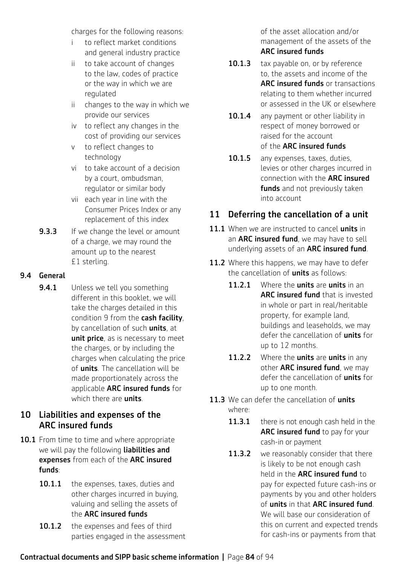charges for the following reasons:

- i to reflect market conditions and general industry practice
- ii to take account of changes to the law, codes of practice or the way in which we are regulated
- ii changes to the way in which we provide our services
- iv to reflect any changes in the cost of providing our services
- v to reflect changes to technology
- vi to take account of a decision by a court, ombudsman, regulator or similar body
- vii each year in line with the Consumer Prices Index or any replacement of this index
- **9.3.3** If we change the level or amount of a charge, we may round the amount up to the nearest £1 sterling.

### 9.4 General

**9.4.1** Unless we tell you something different in this booklet, we will take the charges detailed in this condition 9 from the cash facility. by cancellation of such units, at unit price, as is necessary to meet the charges, or by including the charges when calculating the price of **units**. The cancellation will be made proportionately across the applicable ARC insured funds for which there are **units**.

# 10 Liabilities and expenses of the ARC insured funds

- 10.1 From time to time and where appropriate we will pay the following liabilities and expenses from each of the ARC insured funds:
	- 10.1.1 the expenses, taxes, duties and other charges incurred in buying, valuing and selling the assets of the ARC insured funds
	- 10.1.2 the expenses and fees of third parties engaged in the assessment

of the asset allocation and/or management of the assets of the ARC insured funds

- 10.1.3 tax payable on, or by reference to, the assets and income of the ARC insured funds or transactions relating to them whether incurred or assessed in the UK or elsewhere
- 10.1.4 any payment or other liability in respect of money borrowed or raised for the account of the ARC insured funds
- 10.1.5 any expenses, taxes, duties, levies or other charges incurred in connection with the ARC insured funds and not previously taken into account

# 11 Deferring the cancellation of a unit

- 11.1 When we are instructed to cancel units in an **ARC insured fund**, we may have to sell underlying assets of an ARC insured fund.
- 11.2 Where this happens, we may have to defer the cancellation of **units** as follows:
	- 11.2.1 Where the units are units in an ARC insured fund that is invested in whole or part in real/heritable property, for example land, buildings and leaseholds, we may defer the cancellation of **units** for up to 12 months.
	- 11.2.2 Where the units are units in any other **ARC insured fund**, we may defer the cancellation of **units** for up to one month.
- 11.3 We can defer the cancellation of units where:
	- 11.3.1 there is not enough cash held in the ARC insured fund to pay for your cash-in or payment
	- 11.3.2 we reasonably consider that there is likely to be not enough cash held in the ARC insured fund to pay for expected future cash-ins or payments by you and other holders of units in that ARC insured fund. We will base our consideration of this on current and expected trends for cash-ins or payments from that

### Contractual documents and SIPP basic scheme information **|** Page 84 of 94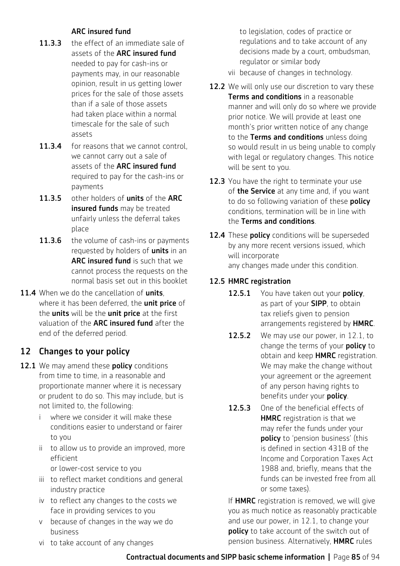### ARC insured fund

- 11.3.3 the effect of an immediate sale of assets of the ARC insured fund needed to pay for cash-ins or payments may, in our reasonable opinion, result in us getting lower prices for the sale of those assets than if a sale of those assets had taken place within a normal timescale for the sale of such assets
- 11.3.4 for reasons that we cannot control, we cannot carry out a sale of assets of the ARC insured fund required to pay for the cash-ins or payments
- 11.3.5 other holders of units of the ARC insured funds may be treated unfairly unless the deferral takes place
- 11.3.6 the volume of cash-ins or payments requested by holders of **units** in an ARC insured fund is such that we cannot process the requests on the normal basis set out in this booklet
- 11.4 When we do the cancellation of units. where it has been deferred, the unit price of the **units** will be the unit price at the first valuation of the ARC insured fund after the end of the deferred period.

# 12 Changes to your policy

- 12.1 We may amend these **policy** conditions from time to time, in a reasonable and proportionate manner where it is necessary or prudent to do so. This may include, but is not limited to, the following:
	- i where we consider it will make these conditions easier to understand or fairer to you
	- ii to allow us to provide an improved, more efficient or lower-cost service to you
	- iii to reflect market conditions and general industry practice
	- iv to reflect any changes to the costs we face in providing services to you
	- v because of changes in the way we do business
	- vi to take account of any changes

to legislation, codes of practice or regulations and to take account of any decisions made by a court, ombudsman, regulator or similar body

- vii because of changes in technology.
- 12.2 We will only use our discretion to vary these Terms and conditions in a reasonable manner and will only do so where we provide prior notice. We will provide at least one month's prior written notice of any change to the Terms and conditions unless doing so would result in us being unable to comply with legal or regulatory changes. This notice will be sent to you.
- 12.3 You have the right to terminate your use of the Service at any time and, if you want to do so following variation of these policy conditions, termination will be in line with the Terms and conditions.
- 12.4 These **policy** conditions will be superseded by any more recent versions issued, which will incorporate any changes made under this condition.

### 12.5 HMRC registration

- 12.5.1 You have taken out your policy, as part of your **SIPP**, to obtain tax reliefs given to pension arrangements registered by **HMRC**.
- 12.5.2 We may use our power, in 12.1, to change the terms of your **policy** to obtain and keep **HMRC** registration. We may make the change without your agreement or the agreement of any person having rights to benefits under your **policy**.
- 12.5.3 One of the beneficial effects of **HMRC** registration is that we may refer the funds under your policy to 'pension business' (this is defined in section 431B of the Income and Corporation Taxes Act 1988 and, briefly, means that the funds can be invested free from all or some taxes).

If HMRC registration is removed, we will give you as much notice as reasonably practicable and use our power, in 12.1, to change your policy to take account of the switch out of pension business. Alternatively, HMRC rules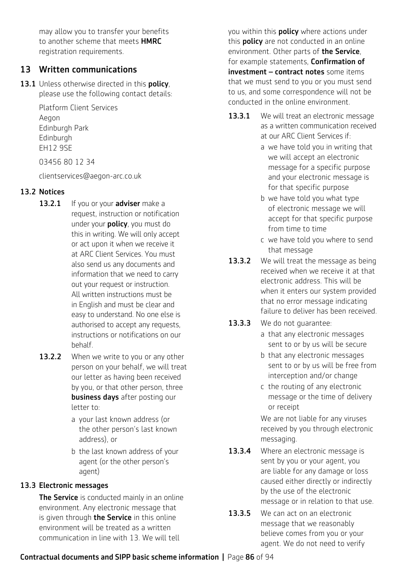may allow you to transfer your benefits to another scheme that meets **HMRC** registration requirements.

### 13 Written communications

13.1 Unless otherwise directed in this policy, please use the following contact details:

> Platform Client Services Aegon Edinburgh Park Edinburgh EH12 9SE

03456 80 12 34

clientservices@aegon-arc.co.uk

### 13.2 Notices

- 13.2.1 If you or your adviser make a request, instruction or notification under your **policy**, you must do this in writing. We will only accept or act upon it when we receive it at ARC Client Services. You must also send us any documents and information that we need to carry out your request or instruction. All written instructions must be in English and must be clear and easy to understand. No one else is authorised to accept any requests, instructions or notifications on our behalf.
- 13.2.2 When we write to you or any other person on your behalf, we will treat our letter as having been received by you, or that other person, three **business days** after posting our letter to:
	- a your last known address (or the other person's last known address), or
	- b the last known address of your agent (or the other person's agent)

### 13.3 Electronic messages

The Service is conducted mainly in an online environment. Any electronic message that is given through **the Service** in this online environment will be treated as a written communication in line with 13. We will tell

you within this **policy** where actions under this **policy** are not conducted in an online environment. Other parts of **the Service**. for example statements, Confirmation of investment - contract notes some items that we must send to you or you must send to us, and some correspondence will not be conducted in the online environment.

- 13.3.1 We will treat an electronic message as a written communication received at our ARC Client Services if:
	- a we have told you in writing that we will accept an electronic message for a specific purpose and your electronic message is for that specific purpose
	- b we have told you what type of electronic message we will accept for that specific purpose from time to time
	- c we have told you where to send that message
- 13.3.2 We will treat the message as being received when we receive it at that electronic address. This will be when it enters our system provided that no error message indicating failure to deliver has been received.
- 13.3.3 We do not quarantee:
	- a that any electronic messages sent to or by us will be secure
	- b that any electronic messages sent to or by us will be free from interception and/or change
	- c the routing of any electronic message or the time of delivery or receipt

We are not liable for any viruses received by you through electronic messaging.

- 13.3.4 Where an electronic message is sent by you or your agent, you are liable for any damage or loss caused either directly or indirectly by the use of the electronic message or in relation to that use.
- 13.3.5 We can act on an electronic message that we reasonably believe comes from you or your agent. We do not need to verify

### Contractual documents and SIPP basic scheme information **|** Page 86 of 94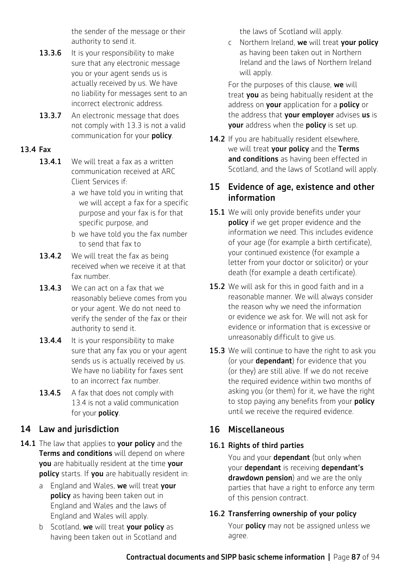the sender of the message or their authority to send it.

- **13.3.6** It is your responsibility to make sure that any electronic message you or your agent sends us is actually received by us. We have no liability for messages sent to an incorrect electronic address.
- 13.3.7 An electronic message that does not comply with 13.3 is not a valid communication for your policy.

### 13.4 Fax

- 13.4.1 We will treat a fax as a written communication received at ARC Client Services if:
	- a we have told you in writing that we will accept a fax for a specific purpose and your fax is for that specific purpose, and
	- b we have told you the fax number to send that fax to
- 13.4.2 We will treat the fax as being received when we receive it at that fax number.
- 13.4.3 We can act on a fax that we reasonably believe comes from you or your agent. We do not need to verify the sender of the fax or their authority to send it.
- 13.4.4 It is your responsibility to make sure that any fax you or your agent sends us is actually received by us. We have no liability for faxes sent to an incorrect fax number.
- 13.4.5 A fax that does not comply with 13.4 is not a valid communication for your policy.

# 14 Law and jurisdiction

- 14.1 The law that applies to your policy and the **Terms and conditions** will depend on where you are habitually resident at the time your policy starts. If you are habitually resident in:
	- a England and Wales, we will treat your policy as having been taken out in England and Wales and the laws of England and Wales will apply.
	- b Scotland, we will treat your policy as having been taken out in Scotland and

the laws of Scotland will apply.

c Northern Ireland, we will treat your policy as having been taken out in Northern Ireland and the laws of Northern Ireland will apply.

For the purposes of this clause, we will treat you as being habitually resident at the address on your application for a policy or the address that **your employer** advises us is your address when the policy is set up.

14.2 If you are habitually resident elsewhere, we will treat your policy and the Terms and conditions as having been effected in Scotland, and the laws of Scotland will apply.

### 15 Evidence of age, existence and other information

- 15.1 We will only provide benefits under your **policy** if we get proper evidence and the information we need. This includes evidence of your age (for example a birth certificate), your continued existence (for example a letter from your doctor or solicitor) or your death (for example a death certificate).
- 15.2 We will ask for this in good faith and in a reasonable manner. We will always consider the reason why we need the information or evidence we ask for. We will not ask for evidence or information that is excessive or unreasonably difficult to give us.
- 15.3 We will continue to have the right to ask you (or your dependant) for evidence that you (or they) are still alive. If we do not receive the required evidence within two months of asking you (or them) for it, we have the right to stop paying any benefits from your **policy** until we receive the required evidence.

# 16 Miscellaneous

# 16.1 Rights of third parties

You and your **dependant** (but only when your dependant is receiving dependant's drawdown pension) and we are the only parties that have a right to enforce any term of this pension contract.

# 16.2 Transferring ownership of your policy

Your **policy** may not be assigned unless we agree.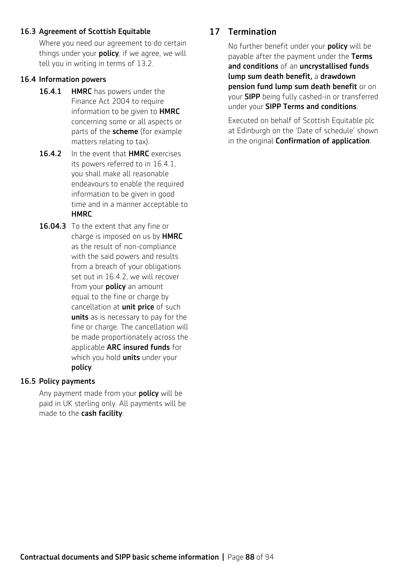### 16.3 Agreement of Scottish Equitable

Where you need our agreement to do certain things under your **policy**, if we agree, we will tell you in writing in terms of 13.2.

#### 16.4 Information powers

- 16.4.1 HMRC has powers under the Finance Act 2004 to require information to be given to HMRC concerning some or all aspects or parts of the **scheme** (for example matters relating to tax).
- 16.4.2 In the event that HMRC exercises its powers referred to in 16.4.1, you shall make all reasonable endeavours to enable the required information to be given in good time and in a manner acceptable to **HMRC**
- 16.04.3 To the extent that any fine or charge is imposed on us by HMRC as the result of non-compliance with the said powers and results from a breach of your obligations set out in 16.4.2, we will recover from your **policy** an amount equal to the fine or charge by cancellation at **unit price** of such units as is necessary to pay for the fine or charge. The cancellation will be made proportionately across the applicable ARC insured funds for which you hold **units** under your policy.

#### 16.5 Policy payments

Any payment made from your **policy** will be paid in UK sterling only. All payments will be made to the cash facility.

### 17 Termination

No further benefit under your **policy** will be payable after the payment under the Terms and conditions of an uncrystallised funds lump sum death benefit, a drawdown pension fund lump sum death benefit or on your SIPP being fully cashed-in or transferred under your SIPP Terms and conditions.

Executed on behalf of Scottish Equitable plc at Edinburgh on the 'Date of schedule' shown in the original Confirmation of application.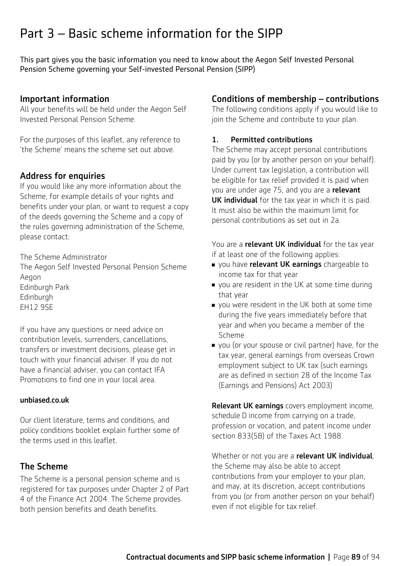# Part 3 – Basic scheme information for the SIPP

This part gives you the basic information you need to know about the Aegon Self Invested Personal Pension Scheme governing your Self-invested Personal Pension (SIPP)

### Important information

All your benefits will be held under the Aegon Self Invested Personal Pension Scheme.

For the purposes of this leaflet, any reference to 'the Scheme' means the scheme set out above.

### Address for enquiries

If you would like any more information about the Scheme, for example details of your rights and benefits under your plan, or want to request a copy of the deeds governing the Scheme and a copy of the rules governing administration of the Scheme, please contact:

The Scheme Administrator

The Aegon Self Invested Personal Pension Scheme Aegon Edinburgh Park Edinburgh EH12 9SE

If you have any questions or need advice on contribution levels, surrenders, cancellations, transfers or investment decisions, please get in touch with your financial adviser. If you do not have a financial adviser, you can contact IFA Promotions to find one in your local area.

### [unbiased.co.uk](http://www.unbiased.co.uk)

Our client literature, terms and conditions, and policy conditions booklet explain further some of the terms used in this leaflet.

### The Scheme

The Scheme is a personal pension scheme and is registered for tax purposes under Chapter 2 of Part 4 of the Finance Act 2004. The Scheme provides both pension benefits and death benefits.

# Conditions of membership – contributions

The following conditions apply if you would like to join the Scheme and contribute to your plan.

### 1. Permitted contributions

The Scheme may accept personal contributions paid by you (or by another person on your behalf). Under current tax legislation, a contribution will be eligible for tax relief provided it is paid when you are under age 75, and you are a relevant UK individual for the tax vear in which it is paid. It must also be within the maximum limit for personal contributions as set out in 2a.

You are a **relevant UK individual** for the tax year if at least one of the following applies:

- vou have relevant UK earnings chargeable to income tax for that year
- vou are resident in the UK at some time during that year
- vou were resident in the UK both at some time during the five years immediately before that year and when you became a member of the Scheme
- vou (or your spouse or civil partner) have, for the tax year, general earnings from overseas Crown employment subject to UK tax (such earnings are as defined in section 28 of the Income Tax (Earnings and Pensions) Act 2003)

Relevant UK earnings covers employment income, schedule D income from carrying on a trade, profession or vocation, and patent income under section 833(5B) of the Taxes Act 1988.

Whether or not you are a relevant UK individual, the Scheme may also be able to accept contributions from your employer to your plan, and may, at its discretion, accept contributions from you (or from another person on your behalf) even if not eligible for tax relief.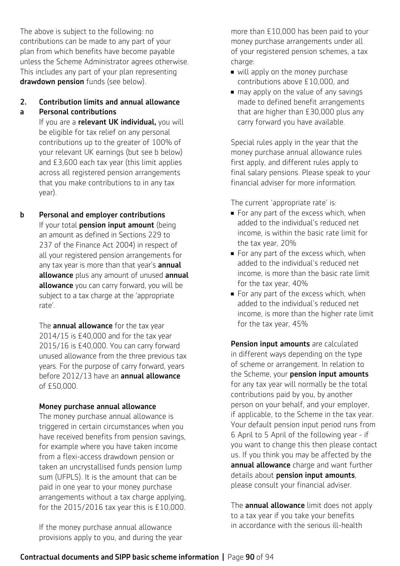The above is subject to the following: no contributions can be made to any part of your plan from which benefits have become payable unless the Scheme Administrator agrees otherwise. This includes any part of your plan representing drawdown pension funds (see below).

# 2. Contribution limits and annual allowance

### a Personal contributions

If you are a relevant UK individual, you will be eligible for tax relief on any personal contributions up to the greater of 100% of your relevant UK earnings (but see b below) and £3,600 each tax year (this limit applies across all registered pension arrangements that you make contributions to in any tax year).

b Personal and employer contributions If your total **pension input amount** (being an amount as defined in Sections 229 to 237 of the Finance Act 2004) in respect of all your registered pension arrangements for any tax year is more than that year's **annual** allowance plus any amount of unused annual allowance you can carry forward, you will be subject to a tax charge at the 'appropriate rate'.

> The **annual allowance** for the tax year 2014/15 is £40,000 and for the tax year 2015/16 is £40,000. You can carry forward unused allowance from the three previous tax years. For the purpose of carry forward, years before 2012/13 have an annual allowance of £50,000.

# Money purchase annual allowance

The money purchase annual allowance is triggered in certain circumstances when you have received benefits from pension savings, for example where you have taken income from a flexi-access drawdown pension or taken an uncrystallised funds pension lump sum (UFPLS). It is the amount that can be paid in one year to your money purchase arrangements without a tax charge applying, for the 2015/2016 tax year this is £10,000.

If the money purchase annual allowance provisions apply to you, and during the year more than £10,000 has been paid to your money purchase arrangements under all of your registered pension schemes, a tax charge:

- $\blacksquare$  will apply on the money purchase contributions above £10,000, and
- $\blacksquare$  may apply on the value of any savings made to defined benefit arrangements that are higher than £30,000 plus any carry forward you have available.

Special rules apply in the year that the money purchase annual allowance rules first apply, and different rules apply to final salary pensions. Please speak to your financial adviser for more information.

The current 'appropriate rate' is:

- $\blacksquare$  For any part of the excess which, when added to the individual's reduced net income, is within the basic rate limit for the tax year, 20%
- For any part of the excess which, when added to the individual's reduced net income, is more than the basic rate limit for the tax year, 40%
- $\blacksquare$  For any part of the excess which, when added to the individual's reduced net income, is more than the higher rate limit for the tax year, 45%

Pension input amounts are calculated in different ways depending on the type of scheme or arrangement. In relation to the Scheme, your pension input amounts for any tax year will normally be the total contributions paid by you, by another person on your behalf, and your employer, if applicable, to the Scheme in the tax year. Your default pension input period runs from 6 April to 5 April of the following year - if you want to change this then please contact us. If you think you may be affected by the annual allowance charge and want further details about pension input amounts, please consult your financial adviser.

The **annual allowance** limit does not apply to a tax year if you take your benefits in accordance with the serious ill-health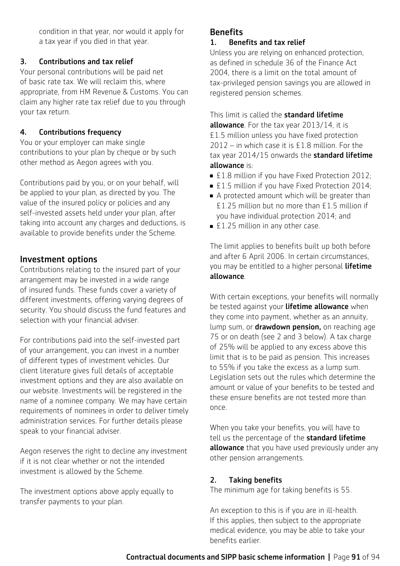condition in that year, nor would it apply for a tax year if you died in that year.

#### 3. Contributions and tax relief

Your personal contributions will be paid net of basic rate tax. We will reclaim this, where appropriate, from HM Revenue & Customs. You can claim any higher rate tax relief due to you through your tax return.

#### 4. Contributions frequency

You or your employer can make single contributions to your plan by cheque or by such other method as Aegon agrees with you.

Contributions paid by you, or on your behalf, will be applied to your plan, as directed by you. The value of the insured policy or policies and any self-invested assets held under your plan, after taking into account any charges and deductions, is available to provide benefits under the Scheme.

### Investment options

Contributions relating to the insured part of your arrangement may be invested in a wide range of insured funds. These funds cover a variety of different investments, offering varying degrees of security. You should discuss the fund features and selection with your financial adviser.

For contributions paid into the self-invested part of your arrangement, you can invest in a number of different types of investment vehicles. Our client literature gives full details of acceptable investment options and they are also available on our website. Investments will be registered in the name of a nominee company. We may have certain requirements of nominees in order to deliver timely administration services. For further details please speak to your financial adviser.

Aegon reserves the right to decline any investment if it is not clear whether or not the intended investment is allowed by the Scheme.

The investment options above apply equally to transfer payments to your plan.

### **Benefits**

#### 1. Benefits and tax relief

Unless you are relying on enhanced protection, as defined in schedule 36 of the Finance Act 2004, there is a limit on the total amount of tax-privileged pension savings you are allowed in registered pension schemes.

This limit is called the **standard lifetime** 

allowance. For the tax year 2013/14, it is £1.5 million unless you have fixed protection 2012 – in which case it is £1.8 million. For the tax year 2014/15 onwards the standard lifetime allowance is:

- £1.8 million if you have Fixed Protection 2012;
- £1.5 million if you have Fixed Protection 2014;
- A protected amount which will be greater than £1.25 million but no more than £1.5 million if you have individual protection 2014; and
- $\blacktriangleright$  £1.25 million in any other case.

The limit applies to benefits built up both before and after 6 April 2006. In certain circumstances, you may be entitled to a higher personal lifetime allowance.

With certain exceptions, your benefits will normally be tested against your lifetime allowance when they come into payment, whether as an annuity, lump sum, or **drawdown pension,** on reaching age 75 or on death (see 2 and 3 below). A tax charge of 25% will be applied to any excess above this limit that is to be paid as pension. This increases to 55% if you take the excess as a lump sum. Legislation sets out the rules which determine the amount or value of your benefits to be tested and these ensure benefits are not tested more than once.

When you take your benefits, you will have to tell us the percentage of the **standard lifetime** allowance that you have used previously under any other pension arrangements.

#### 2. Taking benefits

The minimum age for taking benefits is 55.

An exception to this is if you are in ill-health. If this applies, then subject to the appropriate medical evidence, you may be able to take your benefits earlier.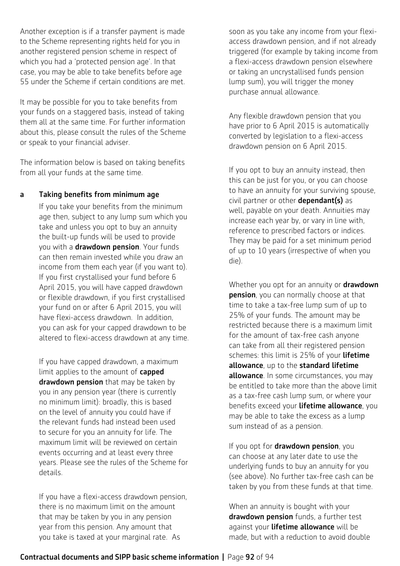Another exception is if a transfer payment is made to the Scheme representing rights held for you in another registered pension scheme in respect of which you had a 'protected pension age'. In that case, you may be able to take benefits before age 55 under the Scheme if certain conditions are met.

It may be possible for you to take benefits from your funds on a staggered basis, instead of taking them all at the same time. For further information about this, please consult the rules of the Scheme or speak to your financial adviser.

The information below is based on taking benefits from all your funds at the same time.

#### a Taking benefits from minimum age

If you take your benefits from the minimum age then, subject to any lump sum which you take and unless you opt to buy an annuity the built-up funds will be used to provide you with a **drawdown pension**. Your funds can then remain invested while you draw an income from them each year (if you want to). If you first crystallised your fund before 6 April 2015, you will have capped drawdown or flexible drawdown, if you first crystallised your fund on or after 6 April 2015, you will have flexi-access drawdown. In addition, you can ask for your capped drawdown to be altered to flexi-access drawdown at any time.

If you have capped drawdown, a maximum limit applies to the amount of capped drawdown pension that may be taken by you in any pension year (there is currently no minimum limit): broadly, this is based on the level of annuity you could have if the relevant funds had instead been used to secure for you an annuity for life. The maximum limit will be reviewed on certain events occurring and at least every three years. Please see the rules of the Scheme for details.

If you have a flexi-access drawdown pension, there is no maximum limit on the amount that may be taken by you in any pension year from this pension. Any amount that you take is taxed at your marginal rate. As

soon as you take any income from your flexiaccess drawdown pension, and if not already triggered (for example by taking income from a flexi-access drawdown pension elsewhere or taking an uncrystallised funds pension lump sum), you will trigger the money purchase annual allowance.

Any flexible drawdown pension that you have prior to 6 April 2015 is automatically converted by legislation to a flexi-access drawdown pension on 6 April 2015.

If you opt to buy an annuity instead, then this can be just for you, or you can choose to have an annuity for your surviving spouse, civil partner or other **dependant(s)** as well, payable on your death. Annuities may increase each year by, or vary in line with, reference to prescribed factors or indices. They may be paid for a set minimum period of up to 10 years (irrespective of when you die).

Whether you opt for an annuity or **drawdown** pension, you can normally choose at that time to take a tax-free lump sum of up to 25% of your funds. The amount may be restricted because there is a maximum limit for the amount of tax-free cash anyone can take from all their registered pension schemes: this limit is 25% of your lifetime allowance, up to the standard lifetime **allowance**. In some circumstances, you may be entitled to take more than the above limit as a tax-free cash lump sum, or where your benefits exceed your lifetime allowance, you may be able to take the excess as a lump sum instead of as a pension.

If you opt for **drawdown pension**, you can choose at any later date to use the underlying funds to buy an annuity for you (see above). No further tax-free cash can be taken by you from these funds at that time.

When an annuity is bought with your drawdown pension funds, a further test against your lifetime allowance will be made, but with a reduction to avoid double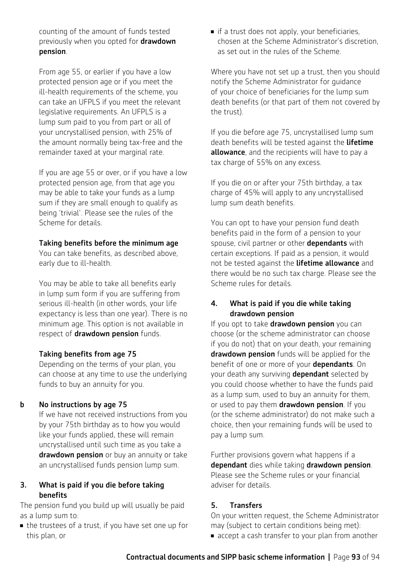counting of the amount of funds tested previously when you opted for **drawdown** pension.

From age 55, or earlier if you have a low protected pension age or if you meet the ill-health requirements of the scheme, you can take an UFPLS if you meet the relevant legislative requirements. An UFPLS is a lump sum paid to you from part or all of your uncrystallised pension, with 25% of the amount normally being tax-free and the remainder taxed at your marginal rate.

If you are age 55 or over, or if you have a low protected pension age, from that age you may be able to take your funds as a lump sum if they are small enough to qualify as being 'trivial'. Please see the rules of the Scheme for details.

#### Taking benefits before the minimum age

You can take benefits, as described above, early due to ill-health.

You may be able to take all benefits early in lump sum form if you are suffering from serious ill-health (in other words, your life expectancy is less than one year). There is no minimum age. This option is not available in respect of drawdown pension funds.

#### Taking benefits from age 75

Depending on the terms of your plan, you can choose at any time to use the underlying funds to buy an annuity for you.

#### b No instructions by age 75

 If we have not received instructions from you by your 75th birthday as to how you would like your funds applied, these will remain uncrystallised until such time as you take a drawdown pension or buy an annuity or take an uncrystallised funds pension lump sum.

#### 3. What is paid if you die before taking benefits

The pension fund you build up will usually be paid as a lump sum to:

• the trustees of a trust, if you have set one up for this plan, or

 $\blacksquare$  if a trust does not apply, your beneficiaries, chosen at the Scheme Administrator's discretion, as set out in the rules of the Scheme.

Where you have not set up a trust, then you should notify the Scheme Administrator for guidance of your choice of beneficiaries for the lump sum death benefits (or that part of them not covered by the trust).

If you die before age 75, uncrystallised lump sum death benefits will be tested against the lifetime allowance, and the recipients will have to pay a tax charge of 55% on any excess.

If you die on or after your 75th birthday, a tax charge of 45% will apply to any uncrystallised lump sum death benefits.

You can opt to have your pension fund death benefits paid in the form of a pension to your spouse, civil partner or other dependants with certain exceptions. If paid as a pension, it would not be tested against the lifetime allowance and there would be no such tax charge. Please see the Scheme rules for details.

### 4. What is paid if you die while taking drawdown pension

If you opt to take drawdown pension you can choose (or the scheme administrator can choose if you do not) that on your death, your remaining drawdown pension funds will be applied for the benefit of one or more of your dependants. On your death any surviving **dependant** selected by you could choose whether to have the funds paid as a lump sum, used to buy an annuity for them, or used to pay them drawdown pension. If you (or the scheme administrator) do not make such a choice, then your remaining funds will be used to pay a lump sum.

Further provisions govern what happens if a dependant dies while taking drawdown pension. Please see the Scheme rules or your financial adviser for details.

### 5. Transfers

On your written request, the Scheme Administrator may (subject to certain conditions being met):

n accept a cash transfer to your plan from another